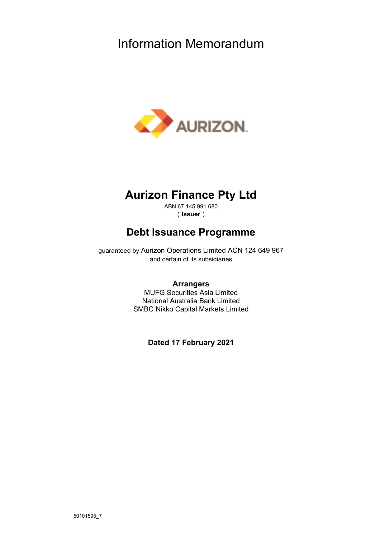# Information Memorandum



# **Aurizon Finance Pty Ltd**

ABN 67 145 991 680 ("**Issuer**")

# **Debt Issuance Programme**

guaranteed by Aurizon Operations Limited ACN 124 649 967 and certain of its subsidiaries

# **Arrangers**

MUFG Securities Asia Limited National Australia Bank Limited SMBC Nikko Capital Markets Limited

**Dated 17 February 2021**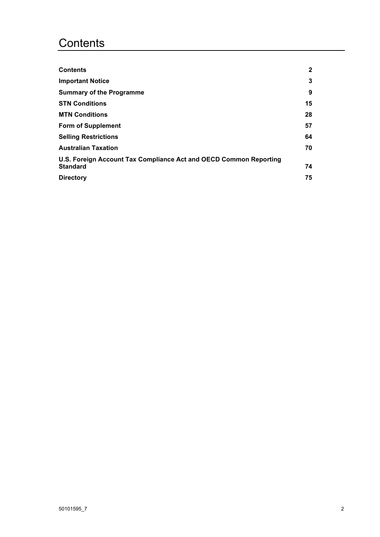# **Contents**

| <b>Contents</b>                                                   | $\mathbf{2}$ |
|-------------------------------------------------------------------|--------------|
| <b>Important Notice</b>                                           | 3            |
| <b>Summary of the Programme</b>                                   | 9            |
| <b>STN Conditions</b>                                             | 15           |
| <b>MTN Conditions</b>                                             | 28           |
| <b>Form of Supplement</b>                                         | 57           |
| <b>Selling Restrictions</b>                                       | 64           |
| <b>Australian Taxation</b>                                        | 70           |
| U.S. Foreign Account Tax Compliance Act and OECD Common Reporting |              |
| <b>Standard</b>                                                   | 74           |
| <b>Directory</b>                                                  | 75           |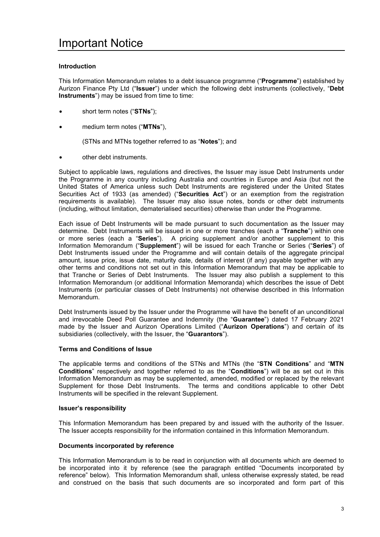# **Introduction**

This Information Memorandum relates to a debt issuance programme ("**Programme**") established by Aurizon Finance Pty Ltd ("**Issuer**") under which the following debt instruments (collectively, "**Debt Instruments**") may be issued from time to time:

- short term notes ("**STNs**");
- medium term notes ("**MTNs**"),

(STNs and MTNs together referred to as "**Notes**"); and

other debt instruments.

Subject to applicable laws, regulations and directives, the Issuer may issue Debt Instruments under the Programme in any country including Australia and countries in Europe and Asia (but not the United States of America unless such Debt Instruments are registered under the United States Securities Act of 1933 (as amended) ("**Securities Act**") or an exemption from the registration requirements is available). The Issuer may also issue notes, bonds or other debt instruments (including, without limitation, dematerialised securities) otherwise than under the Programme.

Each issue of Debt Instruments will be made pursuant to such documentation as the Issuer may determine. Debt Instruments will be issued in one or more tranches (each a "**Tranche**") within one or more series (each a "**Series**"). A pricing supplement and/or another supplement to this Information Memorandum ("**Supplement**") will be issued for each Tranche or Series ("**Series**") of Debt Instruments issued under the Programme and will contain details of the aggregate principal amount, issue price, issue date, maturity date, details of interest (if any) payable together with any other terms and conditions not set out in this Information Memorandum that may be applicable to that Tranche or Series of Debt Instruments. The Issuer may also publish a supplement to this Information Memorandum (or additional Information Memoranda) which describes the issue of Debt Instruments (or particular classes of Debt Instruments) not otherwise described in this Information Memorandum.

Debt Instruments issued by the Issuer under the Programme will have the benefit of an unconditional and irrevocable Deed Poll Guarantee and Indemnity (the "**Guarantee**") dated 17 February 2021 made by the Issuer and Aurizon Operations Limited ("**Aurizon Operations**") and certain of its subsidiaries (collectively, with the Issuer, the "**Guarantors**").

# **Terms and Conditions of Issue**

The applicable terms and conditions of the STNs and MTNs (the "**STN Conditions**" and "**MTN Conditions**" respectively and together referred to as the "**Conditions**") will be as set out in this Information Memorandum as may be supplemented, amended, modified or replaced by the relevant Supplement for those Debt Instruments. The terms and conditions applicable to other Debt Instruments will be specified in the relevant Supplement.

# **Issuer's responsibility**

This Information Memorandum has been prepared by and issued with the authority of the Issuer. The Issuer accepts responsibility for the information contained in this Information Memorandum.

# **Documents incorporated by reference**

This Information Memorandum is to be read in conjunction with all documents which are deemed to be incorporated into it by reference (see the paragraph entitled "Documents incorporated by reference" below). This Information Memorandum shall, unless otherwise expressly stated, be read and construed on the basis that such documents are so incorporated and form part of this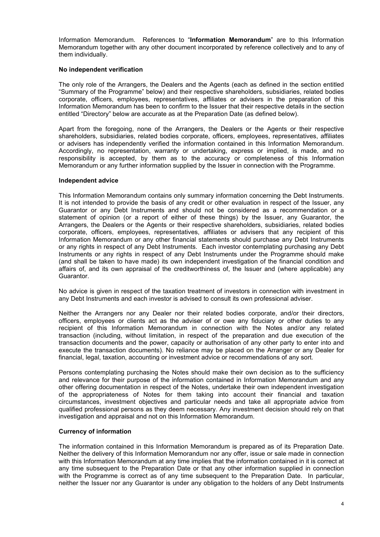Information Memorandum. References to "**Information Memorandum**" are to this Information Memorandum together with any other document incorporated by reference collectively and to any of them individually.

# **No independent verification**

The only role of the Arrangers, the Dealers and the Agents (each as defined in the section entitled "Summary of the Programme" below) and their respective shareholders, subsidiaries, related bodies corporate, officers, employees, representatives, affiliates or advisers in the preparation of this Information Memorandum has been to confirm to the Issuer that their respective details in the section entitled "Directory" below are accurate as at the Preparation Date (as defined below).

Apart from the foregoing, none of the Arrangers, the Dealers or the Agents or their respective shareholders, subsidiaries, related bodies corporate, officers, employees, representatives, affiliates or advisers has independently verified the information contained in this Information Memorandum. Accordingly, no representation, warranty or undertaking, express or implied, is made, and no responsibility is accepted, by them as to the accuracy or completeness of this Information Memorandum or any further information supplied by the Issuer in connection with the Programme.

# **Independent advice**

This Information Memorandum contains only summary information concerning the Debt Instruments. It is not intended to provide the basis of any credit or other evaluation in respect of the Issuer, any Guarantor or any Debt Instruments and should not be considered as a recommendation or a statement of opinion (or a report of either of these things) by the Issuer, any Guarantor, the Arrangers, the Dealers or the Agents or their respective shareholders, subsidiaries, related bodies corporate, officers, employees, representatives, affiliates or advisers that any recipient of this Information Memorandum or any other financial statements should purchase any Debt Instruments or any rights in respect of any Debt Instruments. Each investor contemplating purchasing any Debt Instruments or any rights in respect of any Debt Instruments under the Programme should make (and shall be taken to have made) its own independent investigation of the financial condition and affairs of, and its own appraisal of the creditworthiness of, the Issuer and (where applicable) any Guarantor.

No advice is given in respect of the taxation treatment of investors in connection with investment in any Debt Instruments and each investor is advised to consult its own professional adviser.

Neither the Arrangers nor any Dealer nor their related bodies corporate, and/or their directors, officers, employees or clients act as the adviser of or owe any fiduciary or other duties to any recipient of this Information Memorandum in connection with the Notes and/or any related transaction (including, without limitation, in respect of the preparation and due execution of the transaction documents and the power, capacity or authorisation of any other party to enter into and execute the transaction documents). No reliance may be placed on the Arranger or any Dealer for financial, legal, taxation, accounting or investment advice or recommendations of any sort.

Persons contemplating purchasing the Notes should make their own decision as to the sufficiency and relevance for their purpose of the information contained in Information Memorandum and any other offering documentation in respect of the Notes, undertake their own independent investigation of the appropriateness of Notes for them taking into account their financial and taxation circumstances, investment objectives and particular needs and take all appropriate advice from qualified professional persons as they deem necessary. Any investment decision should rely on that investigation and appraisal and not on this Information Memorandum.

# **Currency of information**

The information contained in this Information Memorandum is prepared as of its Preparation Date. Neither the delivery of this Information Memorandum nor any offer, issue or sale made in connection with this Information Memorandum at any time implies that the information contained in it is correct at any time subsequent to the Preparation Date or that any other information supplied in connection with the Programme is correct as of any time subsequent to the Preparation Date. In particular, neither the Issuer nor any Guarantor is under any obligation to the holders of any Debt Instruments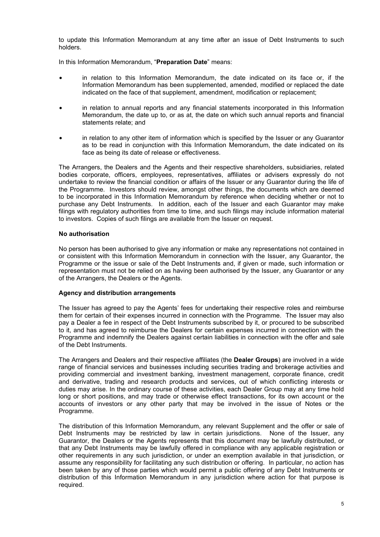to update this Information Memorandum at any time after an issue of Debt Instruments to such holders.

In this Information Memorandum, "**Preparation Date**" means:

- in relation to this Information Memorandum, the date indicated on its face or, if the Information Memorandum has been supplemented, amended, modified or replaced the date indicated on the face of that supplement, amendment, modification or replacement;
- in relation to annual reports and any financial statements incorporated in this Information Memorandum, the date up to, or as at, the date on which such annual reports and financial statements relate; and
- in relation to any other item of information which is specified by the Issuer or any Guarantor as to be read in conjunction with this Information Memorandum, the date indicated on its face as being its date of release or effectiveness.

The Arrangers, the Dealers and the Agents and their respective shareholders, subsidiaries, related bodies corporate, officers, employees, representatives, affiliates or advisers expressly do not undertake to review the financial condition or affairs of the Issuer or any Guarantor during the life of the Programme. Investors should review, amongst other things, the documents which are deemed to be incorporated in this Information Memorandum by reference when deciding whether or not to purchase any Debt Instruments. In addition, each of the Issuer and each Guarantor may make filings with regulatory authorities from time to time, and such filings may include information material to investors. Copies of such filings are available from the Issuer on request.

# **No authorisation**

No person has been authorised to give any information or make any representations not contained in or consistent with this Information Memorandum in connection with the Issuer, any Guarantor, the Programme or the issue or sale of the Debt Instruments and, if given or made, such information or representation must not be relied on as having been authorised by the Issuer, any Guarantor or any of the Arrangers, the Dealers or the Agents.

# **Agency and distribution arrangements**

The Issuer has agreed to pay the Agents' fees for undertaking their respective roles and reimburse them for certain of their expenses incurred in connection with the Programme. The Issuer may also pay a Dealer a fee in respect of the Debt Instruments subscribed by it, or procured to be subscribed to it, and has agreed to reimburse the Dealers for certain expenses incurred in connection with the Programme and indemnify the Dealers against certain liabilities in connection with the offer and sale of the Debt Instruments.

The Arrangers and Dealers and their respective affiliates (the **Dealer Groups**) are involved in a wide range of financial services and businesses including securities trading and brokerage activities and providing commercial and investment banking, investment management, corporate finance, credit and derivative, trading and research products and services, out of which conflicting interests or duties may arise. In the ordinary course of these activities, each Dealer Group may at any time hold long or short positions, and may trade or otherwise effect transactions, for its own account or the accounts of investors or any other party that may be involved in the issue of Notes or the Programme.

The distribution of this Information Memorandum, any relevant Supplement and the offer or sale of Debt Instruments may be restricted by law in certain jurisdictions. None of the Issuer, any Guarantor, the Dealers or the Agents represents that this document may be lawfully distributed, or that any Debt Instruments may be lawfully offered in compliance with any applicable registration or other requirements in any such jurisdiction, or under an exemption available in that jurisdiction, or assume any responsibility for facilitating any such distribution or offering. In particular, no action has been taken by any of those parties which would permit a public offering of any Debt Instruments or distribution of this Information Memorandum in any jurisdiction where action for that purpose is required.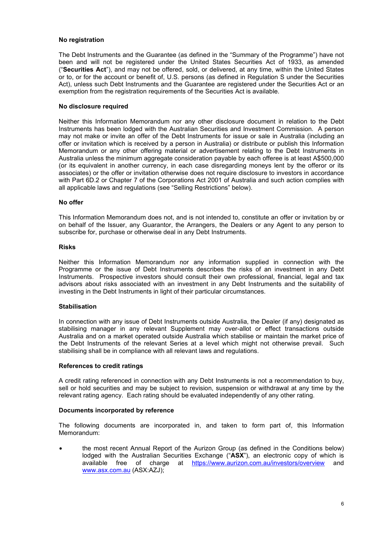# **No registration**

The Debt Instruments and the Guarantee (as defined in the "Summary of the Programme") have not been and will not be registered under the United States Securities Act of 1933, as amended ("**Securities Act**"), and may not be offered, sold, or delivered, at any time, within the United States or to, or for the account or benefit of, U.S. persons (as defined in Regulation S under the Securities Act), unless such Debt Instruments and the Guarantee are registered under the Securities Act or an exemption from the registration requirements of the Securities Act is available.

# **No disclosure required**

Neither this Information Memorandum nor any other disclosure document in relation to the Debt Instruments has been lodged with the Australian Securities and Investment Commission. A person may not make or invite an offer of the Debt Instruments for issue or sale in Australia (including an offer or invitation which is received by a person in Australia) or distribute or publish this Information Memorandum or any other offering material or advertisement relating to the Debt Instruments in Australia unless the minimum aggregate consideration payable by each offeree is at least A\$500,000 (or its equivalent in another currency, in each case disregarding moneys lent by the offeror or its associates) or the offer or invitation otherwise does not require disclosure to investors in accordance with Part 6D.2 or Chapter 7 of the Corporations Act 2001 of Australia and such action complies with all applicable laws and regulations (see "Selling Restrictions" below).

# **No offer**

This Information Memorandum does not, and is not intended to, constitute an offer or invitation by or on behalf of the Issuer, any Guarantor, the Arrangers, the Dealers or any Agent to any person to subscribe for, purchase or otherwise deal in any Debt Instruments.

# **Risks**

Neither this Information Memorandum nor any information supplied in connection with the Programme or the issue of Debt Instruments describes the risks of an investment in any Debt Instruments. Prospective investors should consult their own professional, financial, legal and tax advisors about risks associated with an investment in any Debt Instruments and the suitability of investing in the Debt Instruments in light of their particular circumstances.

# **Stabilisation**

In connection with any issue of Debt Instruments outside Australia, the Dealer (if any) designated as stabilising manager in any relevant Supplement may over-allot or effect transactions outside Australia and on a market operated outside Australia which stabilise or maintain the market price of the Debt Instruments of the relevant Series at a level which might not otherwise prevail. Such stabilising shall be in compliance with all relevant laws and regulations.

# **References to credit ratings**

A credit rating referenced in connection with any Debt Instruments is not a recommendation to buy, sell or hold securities and may be subject to revision, suspension or withdrawal at any time by the relevant rating agency. Each rating should be evaluated independently of any other rating.

# **Documents incorporated by reference**

The following documents are incorporated in, and taken to form part of, this Information Memorandum:

• the most recent Annual Report of the Aurizon Group (as defined in the Conditions below) lodged with the Australian Securities Exchange ("**ASX**"), an electronic copy of which is available free of charge at https://www.aurizon.com.au/investors/overview and www.asx.com.au (ASX:AZJ);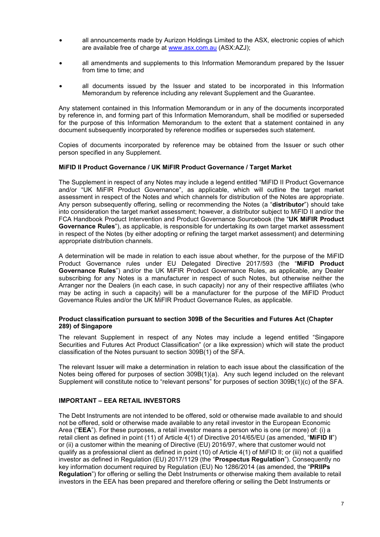- all announcements made by Aurizon Holdings Limited to the ASX, electronic copies of which are available free of charge at www.asx.com.au (ASX:AZJ);
- all amendments and supplements to this Information Memorandum prepared by the Issuer from time to time; and
- all documents issued by the Issuer and stated to be incorporated in this Information Memorandum by reference including any relevant Supplement and the Guarantee.

Any statement contained in this Information Memorandum or in any of the documents incorporated by reference in, and forming part of this Information Memorandum, shall be modified or superseded for the purpose of this Information Memorandum to the extent that a statement contained in any document subsequently incorporated by reference modifies or supersedes such statement.

Copies of documents incorporated by reference may be obtained from the Issuer or such other person specified in any Supplement.

# **MiFID II Product Governance / UK MiFIR Product Governance / Target Market**

The Supplement in respect of any Notes may include a legend entitled "MiFID II Product Governance and/or "UK MiFIR Product Governance", as applicable, which will outline the target market assessment in respect of the Notes and which channels for distribution of the Notes are appropriate. Any person subsequently offering, selling or recommending the Notes (a "**distributor**") should take into consideration the target market assessment; however, a distributor subject to MiFID II and/or the FCA Handbook Product Intervention and Product Governance Sourcebook (the "**UK MiFIR Product Governance Rules**"), as applicable, is responsible for undertaking its own target market assessment in respect of the Notes (by either adopting or refining the target market assessment) and determining appropriate distribution channels.

A determination will be made in relation to each issue about whether, for the purpose of the MiFID Product Governance rules under EU Delegated Directive 2017/593 (the "**MiFID Product Governance Rules**") and/or the UK MiFIR Product Governance Rules, as applicable, any Dealer subscribing for any Notes is a manufacturer in respect of such Notes, but otherwise neither the Arranger nor the Dealers (in each case, in such capacity) nor any of their respective affiliates (who may be acting in such a capacity) will be a manufacturer for the purpose of the MiFID Product Governance Rules and/or the UK MiFIR Product Governance Rules, as applicable.

# **Product classification pursuant to section 309B of the Securities and Futures Act (Chapter 289) of Singapore**

The relevant Supplement in respect of any Notes may include a legend entitled "Singapore Securities and Futures Act Product Classification" (or a like expression) which will state the product classification of the Notes pursuant to section 309B(1) of the SFA.

The relevant Issuer will make a determination in relation to each issue about the classification of the Notes being offered for purposes of section 309B(1)(a). Any such legend included on the relevant Supplement will constitute notice to "relevant persons" for purposes of section 309B(1)(c) of the SFA.

# **IMPORTANT – EEA RETAIL INVESTORS**

The Debt Instruments are not intended to be offered, sold or otherwise made available to and should not be offered, sold or otherwise made available to any retail investor in the European Economic Area ("**EEA**"). For these purposes, a retail investor means a person who is one (or more) of: (i) a retail client as defined in point (11) of Article 4(1) of Directive 2014/65/EU (as amended, "**MiFID II**") or (ii) a customer within the meaning of Directive (EU) 2016/97, where that customer would not qualify as a professional client as defined in point (10) of Article 4(1) of MiFID II; or (iii) not a qualified investor as defined in Regulation (EU) 2017/1129 (the "**Prospectus Regulation**"). Consequently no key information document required by Regulation (EU) No 1286/2014 (as amended, the "**PRIIPs Regulation**") for offering or selling the Debt Instruments or otherwise making them available to retail investors in the EEA has been prepared and therefore offering or selling the Debt Instruments or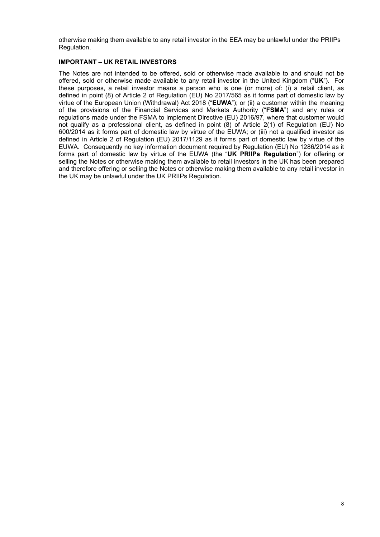otherwise making them available to any retail investor in the EEA may be unlawful under the PRIIPs Regulation.

# **IMPORTANT – UK RETAIL INVESTORS**

The Notes are not intended to be offered, sold or otherwise made available to and should not be offered, sold or otherwise made available to any retail investor in the United Kingdom ("**UK**"). For these purposes, a retail investor means a person who is one (or more) of: (i) a retail client, as defined in point (8) of Article 2 of Regulation (EU) No 2017/565 as it forms part of domestic law by virtue of the European Union (Withdrawal) Act 2018 ("**EUWA**"); or (ii) a customer within the meaning of the provisions of the Financial Services and Markets Authority ("**FSMA**") and any rules or regulations made under the FSMA to implement Directive (EU) 2016/97, where that customer would not qualify as a professional client, as defined in point (8) of Article 2(1) of Regulation (EU) No 600/2014 as it forms part of domestic law by virtue of the EUWA; or (iii) not a qualified investor as defined in Article 2 of Regulation (EU) 2017/1129 as it forms part of domestic law by virtue of the EUWA. Consequently no key information document required by Regulation (EU) No 1286/2014 as it forms part of domestic law by virtue of the EUWA (the "**UK PRIIPs Regulation**") for offering or selling the Notes or otherwise making them available to retail investors in the UK has been prepared and therefore offering or selling the Notes or otherwise making them available to any retail investor in the UK may be unlawful under the UK PRIIPs Regulation.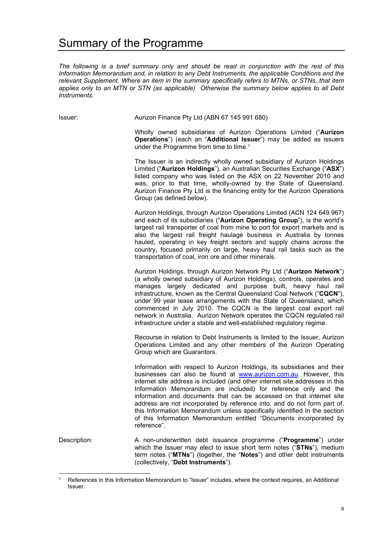# Summary of the Programme

*The following is a brief summary only and should be read in conjunction with the rest of this Information Memorandum and, in relation to any Debt Instruments, the applicable Conditions and the relevant Supplement. Where an item in the summary specifically refers to MTNs, or STNs, that item applies only to an MTN or STN (as applicable) Otherwise the summary below applies to all Debt Instruments.* 

Issuer: Aurizon Finance Pty Ltd (ABN 67 145 991 680)

Wholly owned subsidiaries of Aurizon Operations Limited ("**Aurizon Operations**") (each an "**Additional Issuer**") may be added as issuers under the Programme from time to time.<sup>1</sup>

The Issuer is an indirectly wholly owned subsidiary of Aurizon Holdings Limited ("**Aurizon Holdings**"), an Australian Securities Exchange ("**ASX**") listed company who was listed on the ASX on 22 November 2010 and was, prior to that time, wholly-owned by the State of Queensland. Aurizon Finance Pty Ltd is the financing entity for the Aurizon Operations Group (as defined below).

Aurizon Holdings, through Aurizon Operations Limited (ACN 124 649 967) and each of its subsidiaries ("**Aurizon Operating Group**"), is the world's largest rail transporter of coal from mine to port for export markets and is also the largest rail freight haulage business in Australia by tonnes hauled, operating in key freight sectors and supply chains across the country, focused primarily on large, heavy haul rail tasks such as the transportation of coal, iron ore and other minerals.

Aurizon Holdings, through Aurizon Network Pty Ltd ("**Aurizon Network**") (a wholly owned subsidiary of Aurizon Holdings), controls, operates and manages largely dedicated and purpose built, heavy haul rail infrastructure, known as the Central Queensland Coal Network ("**CQCN**"), under 99 year lease arrangements with the State of Queensland, which commenced in July 2010. The CQCN is the largest coal export rail network in Australia. Aurizon Network operates the CQCN regulated rail infrastructure under a stable and well-established regulatory regime.

Recourse in relation to Debt Instruments is limited to the Issuer, Aurizon Operations Limited and any other members of the Aurizon Operating Group which are Guarantors.

Information with respect to Aurizon Holdings, its subsidiaries and their businesses can also be found at www.aurizon.com.au. However, this internet site address is included (and other internet site addresses in this Information Memorandum are included) for reference only and the information and documents that can be accessed on that internet site address are not incorporated by reference into, and do not form part of, this Information Memorandum unless specifically identified in the section of this Information Memorandum entitled "Documents incorporated by reference".

Description: A non-underwritten debt issuance programme ("**Programme**") under which the Issuer may elect to issue short term notes ("**STNs**"), medium term notes ("**MTNs**") (together, the "**Notes**") and other debt instruments (collectively, "**Debt Instruments**").

<sup>1</sup> References in this Information Memorandum to "Issuer" includes, where the context requires, an Additional Issuer.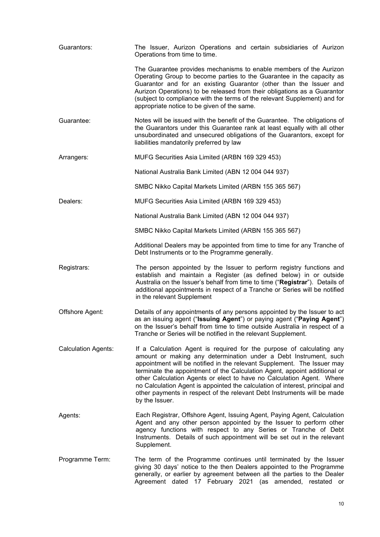| Guarantors:                | The Issuer, Aurizon Operations and certain subsidiaries of Aurizon<br>Operations from time to time.                                                                                                                                                                                                                                                                                                                                                                                                                                                     |
|----------------------------|---------------------------------------------------------------------------------------------------------------------------------------------------------------------------------------------------------------------------------------------------------------------------------------------------------------------------------------------------------------------------------------------------------------------------------------------------------------------------------------------------------------------------------------------------------|
|                            | The Guarantee provides mechanisms to enable members of the Aurizon<br>Operating Group to become parties to the Guarantee in the capacity as<br>Guarantor and for an existing Guarantor (other than the Issuer and<br>Aurizon Operations) to be released from their obligations as a Guarantor<br>(subject to compliance with the terms of the relevant Supplement) and for<br>appropriate notice to be given of the same.                                                                                                                               |
| Guarantee:                 | Notes will be issued with the benefit of the Guarantee. The obligations of<br>the Guarantors under this Guarantee rank at least equally with all other<br>unsubordinated and unsecured obligations of the Guarantors, except for<br>liabilities mandatorily preferred by law                                                                                                                                                                                                                                                                            |
| Arrangers:                 | MUFG Securities Asia Limited (ARBN 169 329 453)                                                                                                                                                                                                                                                                                                                                                                                                                                                                                                         |
|                            | National Australia Bank Limited (ABN 12 004 044 937)                                                                                                                                                                                                                                                                                                                                                                                                                                                                                                    |
|                            | SMBC Nikko Capital Markets Limited (ARBN 155 365 567)                                                                                                                                                                                                                                                                                                                                                                                                                                                                                                   |
| Dealers:                   | MUFG Securities Asia Limited (ARBN 169 329 453)                                                                                                                                                                                                                                                                                                                                                                                                                                                                                                         |
|                            | National Australia Bank Limited (ABN 12 004 044 937)                                                                                                                                                                                                                                                                                                                                                                                                                                                                                                    |
|                            | SMBC Nikko Capital Markets Limited (ARBN 155 365 567)                                                                                                                                                                                                                                                                                                                                                                                                                                                                                                   |
|                            | Additional Dealers may be appointed from time to time for any Tranche of<br>Debt Instruments or to the Programme generally.                                                                                                                                                                                                                                                                                                                                                                                                                             |
| Registrars:                | The person appointed by the Issuer to perform registry functions and<br>establish and maintain a Register (as defined below) in or outside<br>Australia on the Issuer's behalf from time to time ("Registrar"). Details of<br>additional appointments in respect of a Tranche or Series will be notified<br>in the relevant Supplement                                                                                                                                                                                                                  |
| Offshore Agent:            | Details of any appointments of any persons appointed by the Issuer to act<br>as an issuing agent ("Issuing Agent") or paying agent ("Paying Agent")<br>on the Issuer's behalf from time to time outside Australia in respect of a<br>Tranche or Series will be notified in the relevant Supplement.                                                                                                                                                                                                                                                     |
| <b>Calculation Agents:</b> | If a Calculation Agent is required for the purpose of calculating any<br>amount or making any determination under a Debt Instrument, such<br>appointment will be notified in the relevant Supplement. The Issuer may<br>terminate the appointment of the Calculation Agent, appoint additional or<br>other Calculation Agents or elect to have no Calculation Agent. Where<br>no Calculation Agent is appointed the calculation of interest, principal and<br>other payments in respect of the relevant Debt Instruments will be made<br>by the Issuer. |
| Agents:                    | Each Registrar, Offshore Agent, Issuing Agent, Paying Agent, Calculation<br>Agent and any other person appointed by the Issuer to perform other<br>agency functions with respect to any Series or Tranche of Debt<br>Instruments. Details of such appointment will be set out in the relevant<br>Supplement.                                                                                                                                                                                                                                            |
| Programme Term:            | The term of the Programme continues until terminated by the Issuer<br>giving 30 days' notice to the then Dealers appointed to the Programme<br>generally, or earlier by agreement between all the parties to the Dealer<br>Agreement dated 17 February 2021 (as amended, restated or                                                                                                                                                                                                                                                                    |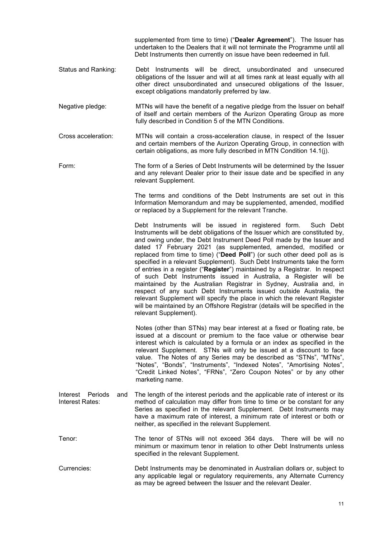supplemented from time to time) ("**Dealer Agreement**"). The Issuer has undertaken to the Dealers that it will not terminate the Programme until all Debt Instruments then currently on issue have been redeemed in full.

- Status and Ranking: Debt Instruments will be direct, unsubordinated and unsecured obligations of the Issuer and will at all times rank at least equally with all other direct unsubordinated and unsecured obligations of the Issuer, except obligations mandatorily preferred by law.
- Negative pledge: MTNs will have the benefit of a negative pledge from the Issuer on behalf of itself and certain members of the Aurizon Operating Group as more fully described in Condition 5 of the MTN Conditions.
- Cross acceleration: MTNs will contain a cross-acceleration clause, in respect of the Issuer and certain members of the Aurizon Operating Group, in connection with certain obligations, as more fully described in MTN Condition 14.1(j).
- Form: The form of a Series of Debt Instruments will be determined by the Issuer and any relevant Dealer prior to their issue date and be specified in any relevant Supplement.

The terms and conditions of the Debt Instruments are set out in this Information Memorandum and may be supplemented, amended, modified or replaced by a Supplement for the relevant Tranche.

Debt Instruments will be issued in registered form. Such Debt Instruments will be debt obligations of the Issuer which are constituted by, and owing under, the Debt Instrument Deed Poll made by the Issuer and dated 17 February 2021 (as supplemented, amended, modified or replaced from time to time) ("**Deed Poll**") (or such other deed poll as is specified in a relevant Supplement). Such Debt Instruments take the form of entries in a register ("**Register**") maintained by a Registrar. In respect of such Debt Instruments issued in Australia, a Register will be maintained by the Australian Registrar in Sydney, Australia and, in respect of any such Debt Instruments issued outside Australia, the relevant Supplement will specify the place in which the relevant Register will be maintained by an Offshore Registrar (details will be specified in the relevant Supplement).

Notes (other than STNs) may bear interest at a fixed or floating rate, be issued at a discount or premium to the face value or otherwise bear interest which is calculated by a formula or an index as specified in the relevant Supplement. STNs will only be issued at a discount to face value. The Notes of any Series may be described as "STNs", "MTNs", "Notes", "Bonds", "Instruments", "Indexed Notes", "Amortising Notes", "Credit Linked Notes", "FRNs", "Zero Coupon Notes" or by any other marketing name.

- Interest Periods and Interest Rates: The length of the interest periods and the applicable rate of interest or its method of calculation may differ from time to time or be constant for any Series as specified in the relevant Supplement. Debt Instruments may have a maximum rate of interest, a minimum rate of interest or both or neither, as specified in the relevant Supplement.
- Tenor: The tenor of STNs will not exceed 364 days. There will be will no minimum or maximum tenor in relation to other Debt Instruments unless specified in the relevant Supplement.
- Currencies: Debt Instruments may be denominated in Australian dollars or, subject to any applicable legal or regulatory requirements, any Alternate Currency as may be agreed between the Issuer and the relevant Dealer.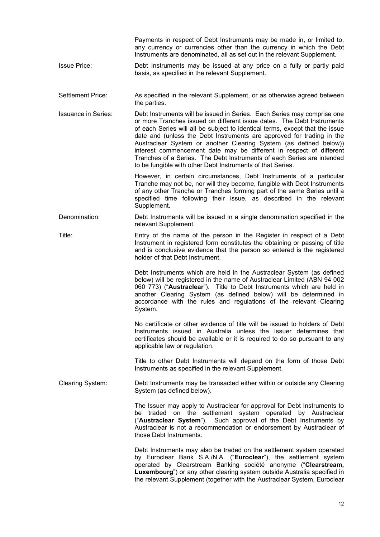|                            | Payments in respect of Debt Instruments may be made in, or limited to,<br>any currency or currencies other than the currency in which the Debt<br>Instruments are denominated, all as set out in the relevant Supplement.                                                                                                                                                                                                                                                                                                                                                                      |
|----------------------------|------------------------------------------------------------------------------------------------------------------------------------------------------------------------------------------------------------------------------------------------------------------------------------------------------------------------------------------------------------------------------------------------------------------------------------------------------------------------------------------------------------------------------------------------------------------------------------------------|
| <b>Issue Price:</b>        | Debt Instruments may be issued at any price on a fully or partly paid<br>basis, as specified in the relevant Supplement.                                                                                                                                                                                                                                                                                                                                                                                                                                                                       |
| <b>Settlement Price:</b>   | As specified in the relevant Supplement, or as otherwise agreed between<br>the parties.                                                                                                                                                                                                                                                                                                                                                                                                                                                                                                        |
| <b>Issuance in Series:</b> | Debt Instruments will be issued in Series. Each Series may comprise one<br>or more Tranches issued on different issue dates. The Debt Instruments<br>of each Series will all be subject to identical terms, except that the issue<br>date and (unless the Debt Instruments are approved for trading in the<br>Austraclear System or another Clearing System (as defined below))<br>interest commencement date may be different in respect of different<br>Tranches of a Series. The Debt Instruments of each Series are intended<br>to be fungible with other Debt Instruments of that Series. |
|                            | However, in certain circumstances, Debt Instruments of a particular<br>Tranche may not be, nor will they become, fungible with Debt Instruments<br>of any other Tranche or Tranches forming part of the same Series until a<br>specified time following their issue, as described in the relevant<br>Supplement.                                                                                                                                                                                                                                                                               |
| Denomination:              | Debt Instruments will be issued in a single denomination specified in the<br>relevant Supplement.                                                                                                                                                                                                                                                                                                                                                                                                                                                                                              |
| Title:                     | Entry of the name of the person in the Register in respect of a Debt<br>Instrument in registered form constitutes the obtaining or passing of title<br>and is conclusive evidence that the person so entered is the registered<br>holder of that Debt Instrument.                                                                                                                                                                                                                                                                                                                              |
|                            | Debt Instruments which are held in the Austraclear System (as defined<br>below) will be registered in the name of Austraclear Limited (ABN 94 002<br>060 773) ("Austraclear"). Title to Debt Instruments which are held in<br>another Clearing System (as defined below) will be determined in<br>accordance with the rules and regulations of the relevant Clearing<br>System.                                                                                                                                                                                                                |
|                            | No certificate or other evidence of title will be issued to holders of Debt<br>Instruments issued in Australia unless the Issuer determines that<br>certificates should be available or it is required to do so pursuant to any<br>applicable law or regulation.                                                                                                                                                                                                                                                                                                                               |
|                            | Title to other Debt Instruments will depend on the form of those Debt<br>Instruments as specified in the relevant Supplement.                                                                                                                                                                                                                                                                                                                                                                                                                                                                  |
| Clearing System:           | Debt Instruments may be transacted either within or outside any Clearing<br>System (as defined below).                                                                                                                                                                                                                                                                                                                                                                                                                                                                                         |
|                            | The Issuer may apply to Austraclear for approval for Debt Instruments to<br>be traded on the settlement system operated by Austraclear<br>("Austraclear System"). Such approval of the Debt Instruments by<br>Austraclear is not a recommendation or endorsement by Austraclear of<br>those Debt Instruments.                                                                                                                                                                                                                                                                                  |
|                            | Debt Instruments may also be traded on the settlement system operated<br>by Euroclear Bank S.A./N.A. ("Euroclear"), the settlement system<br>operated by Clearstream Banking société anonyme ("Clearstream,<br>Luxembourg") or any other clearing system outside Australia specified in<br>the relevant Supplement (together with the Austraclear System, Euroclear                                                                                                                                                                                                                            |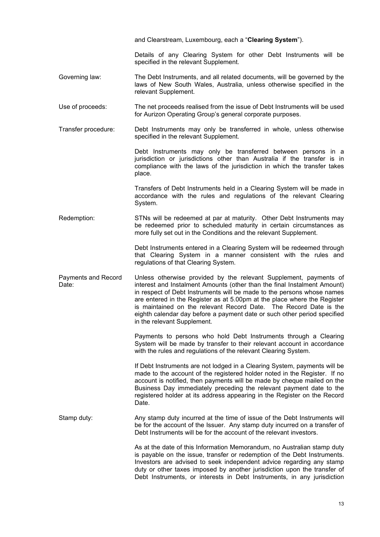|                              | and Clearstream, Luxembourg, each a "Clearing System").                                                                                                                                                                                                                                                                                                                                                                                                                             |
|------------------------------|-------------------------------------------------------------------------------------------------------------------------------------------------------------------------------------------------------------------------------------------------------------------------------------------------------------------------------------------------------------------------------------------------------------------------------------------------------------------------------------|
|                              | Details of any Clearing System for other Debt Instruments will be<br>specified in the relevant Supplement.                                                                                                                                                                                                                                                                                                                                                                          |
| Governing law:               | The Debt Instruments, and all related documents, will be governed by the<br>laws of New South Wales, Australia, unless otherwise specified in the<br>relevant Supplement.                                                                                                                                                                                                                                                                                                           |
| Use of proceeds:             | The net proceeds realised from the issue of Debt Instruments will be used<br>for Aurizon Operating Group's general corporate purposes.                                                                                                                                                                                                                                                                                                                                              |
| Transfer procedure:          | Debt Instruments may only be transferred in whole, unless otherwise<br>specified in the relevant Supplement.                                                                                                                                                                                                                                                                                                                                                                        |
|                              | Debt Instruments may only be transferred between persons in a<br>jurisdiction or jurisdictions other than Australia if the transfer is in<br>compliance with the laws of the jurisdiction in which the transfer takes<br>place.                                                                                                                                                                                                                                                     |
|                              | Transfers of Debt Instruments held in a Clearing System will be made in<br>accordance with the rules and regulations of the relevant Clearing<br>System.                                                                                                                                                                                                                                                                                                                            |
| Redemption:                  | STNs will be redeemed at par at maturity. Other Debt Instruments may<br>be redeemed prior to scheduled maturity in certain circumstances as<br>more fully set out in the Conditions and the relevant Supplement.                                                                                                                                                                                                                                                                    |
|                              | Debt Instruments entered in a Clearing System will be redeemed through<br>that Clearing System in a manner consistent with the rules and<br>regulations of that Clearing System.                                                                                                                                                                                                                                                                                                    |
| Payments and Record<br>Date: | Unless otherwise provided by the relevant Supplement, payments of<br>interest and Instalment Amounts (other than the final Instalment Amount)<br>in respect of Debt Instruments will be made to the persons whose names<br>are entered in the Register as at 5.00pm at the place where the Register<br>is maintained on the relevant Record Date. The Record Date is the<br>eighth calendar day before a payment date or such other period specified<br>in the relevant Supplement. |
|                              | Payments to persons who hold Debt Instruments through a Clearing<br>System will be made by transfer to their relevant account in accordance<br>with the rules and regulations of the relevant Clearing System.                                                                                                                                                                                                                                                                      |
|                              | If Debt Instruments are not lodged in a Clearing System, payments will be<br>made to the account of the registered holder noted in the Register. If no<br>account is notified, then payments will be made by cheque mailed on the<br>Business Day immediately preceding the relevant payment date to the<br>registered holder at its address appearing in the Register on the Record<br>Date.                                                                                       |
| Stamp duty:                  | Any stamp duty incurred at the time of issue of the Debt Instruments will<br>be for the account of the Issuer. Any stamp duty incurred on a transfer of<br>Debt Instruments will be for the account of the relevant investors.                                                                                                                                                                                                                                                      |
|                              | As at the date of this Information Memorandum, no Australian stamp duty<br>is payable on the issue, transfer or redemption of the Debt Instruments.<br>Investors are advised to seek independent advice regarding any stamp<br>duty or other taxes imposed by another jurisdiction upon the transfer of<br>Debt Instruments, or interests in Debt Instruments, in any jurisdiction                                                                                                  |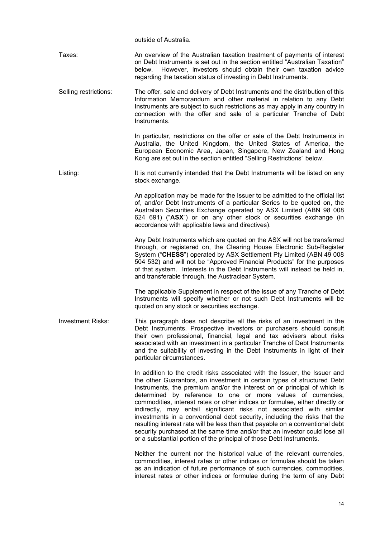outside of Australia.

Taxes: An overview of the Australian taxation treatment of payments of interest on Debt Instruments is set out in the section entitled "Australian Taxation" below. However, investors should obtain their own taxation advice regarding the taxation status of investing in Debt Instruments.

Selling restrictions: The offer, sale and delivery of Debt Instruments and the distribution of this Information Memorandum and other material in relation to any Debt Instruments are subject to such restrictions as may apply in any country in connection with the offer and sale of a particular Tranche of Debt Instruments.

> In particular, restrictions on the offer or sale of the Debt Instruments in Australia, the United Kingdom, the United States of America, the European Economic Area, Japan, Singapore, New Zealand and Hong Kong are set out in the section entitled "Selling Restrictions" below.

Listing: It is not currently intended that the Debt Instruments will be listed on any stock exchange.

> An application may be made for the Issuer to be admitted to the official list of, and/or Debt Instruments of a particular Series to be quoted on, the Australian Securities Exchange operated by ASX Limited (ABN 98 008 624 691) ("**ASX**") or on any other stock or securities exchange (in accordance with applicable laws and directives).

> Any Debt Instruments which are quoted on the ASX will not be transferred through, or registered on, the Clearing House Electronic Sub-Register System ("**CHESS**") operated by ASX Settlement Pty Limited (ABN 49 008 504 532) and will not be "Approved Financial Products" for the purposes of that system. Interests in the Debt Instruments will instead be held in, and transferable through, the Austraclear System.

> The applicable Supplement in respect of the issue of any Tranche of Debt Instruments will specify whether or not such Debt Instruments will be quoted on any stock or securities exchange.

Investment Risks: This paragraph does not describe all the risks of an investment in the Debt Instruments. Prospective investors or purchasers should consult their own professional, financial, legal and tax advisers about risks associated with an investment in a particular Tranche of Debt Instruments and the suitability of investing in the Debt Instruments in light of their particular circumstances.

> In addition to the credit risks associated with the Issuer, the Issuer and the other Guarantors, an investment in certain types of structured Debt Instruments, the premium and/or the interest on or principal of which is determined by reference to one or more values of currencies, commodities, interest rates or other indices or formulae, either directly or indirectly, may entail significant risks not associated with similar investments in a conventional debt security, including the risks that the resulting interest rate will be less than that payable on a conventional debt security purchased at the same time and/or that an investor could lose all or a substantial portion of the principal of those Debt Instruments.

> Neither the current nor the historical value of the relevant currencies, commodities, interest rates or other indices or formulae should be taken as an indication of future performance of such currencies, commodities, interest rates or other indices or formulae during the term of any Debt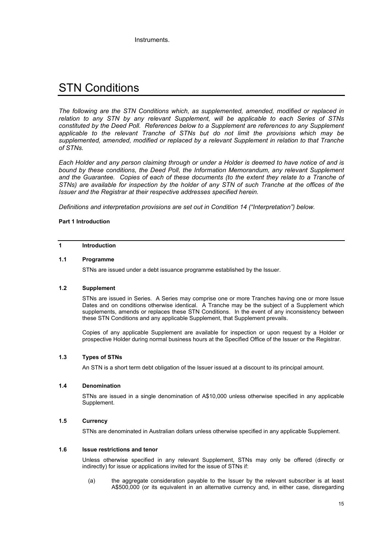Instruments.

# STN Conditions

*The following are the STN Conditions which, as supplemented, amended, modified or replaced in relation to any STN by any relevant Supplement, will be applicable to each Series of STNs constituted by the Deed Poll. References below to a Supplement are references to any Supplement applicable to the relevant Tranche of STNs but do not limit the provisions which may be supplemented, amended, modified or replaced by a relevant Supplement in relation to that Tranche of STNs.*

*Each Holder and any person claiming through or under a Holder is deemed to have notice of and is bound by these conditions, the Deed Poll, the Information Memorandum, any relevant Supplement and the Guarantee. Copies of each of these documents (to the extent they relate to a Tranche of STNs) are available for inspection by the holder of any STN of such Tranche at the offices of the Issuer and the Registrar at their respective addresses specified herein.* 

*Definitions and interpretation provisions are set out in Condition 14 ("Interpretation") below.*

## **Part 1 Introduction**

## **1 Introduction**

#### **1.1 Programme**

STNs are issued under a debt issuance programme established by the Issuer.

#### **1.2 Supplement**

STNs are issued in Series. A Series may comprise one or more Tranches having one or more Issue Dates and on conditions otherwise identical. A Tranche may be the subject of a Supplement which supplements, amends or replaces these STN Conditions. In the event of any inconsistency between these STN Conditions and any applicable Supplement, that Supplement prevails.

Copies of any applicable Supplement are available for inspection or upon request by a Holder or prospective Holder during normal business hours at the Specified Office of the Issuer or the Registrar.

# **1.3 Types of STNs**

An STN is a short term debt obligation of the Issuer issued at a discount to its principal amount.

#### **1.4 Denomination**

STNs are issued in a single denomination of A\$10,000 unless otherwise specified in any applicable Supplement.

#### **1.5 Currency**

STNs are denominated in Australian dollars unless otherwise specified in any applicable Supplement.

# **1.6 Issue restrictions and tenor**

Unless otherwise specified in any relevant Supplement, STNs may only be offered (directly or indirectly) for issue or applications invited for the issue of STNs if:

(a) the aggregate consideration payable to the Issuer by the relevant subscriber is at least A\$500,000 (or its equivalent in an alternative currency and, in either case, disregarding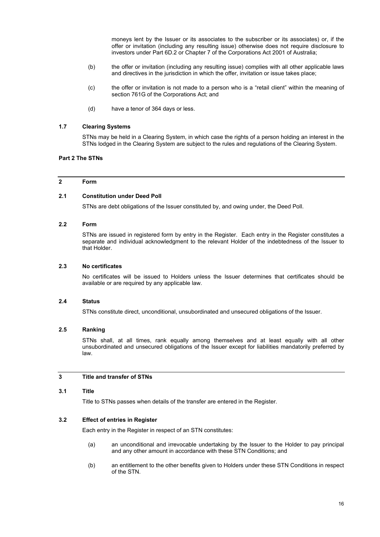moneys lent by the Issuer or its associates to the subscriber or its associates) or, if the offer or invitation (including any resulting issue) otherwise does not require disclosure to investors under Part 6D.2 or Chapter 7 of the Corporations Act 2001 of Australia;

- (b) the offer or invitation (including any resulting issue) complies with all other applicable laws and directives in the jurisdiction in which the offer, invitation or issue takes place;
- (c) the offer or invitation is not made to a person who is a "retail client" within the meaning of section 761G of the Corporations Act; and
- (d) have a tenor of 364 days or less.

## **1.7 Clearing Systems**

STNs may be held in a Clearing System, in which case the rights of a person holding an interest in the STNs lodged in the Clearing System are subject to the rules and regulations of the Clearing System.

# **Part 2 The STNs**

# **2 Form**

#### **2.1 Constitution under Deed Poll**

STNs are debt obligations of the Issuer constituted by, and owing under, the Deed Poll.

## **2.2 Form**

STNs are issued in registered form by entry in the Register. Fach entry in the Register constitutes a separate and individual acknowledgment to the relevant Holder of the indebtedness of the Issuer to that Holder.

#### **2.3 No certificates**

No certificates will be issued to Holders unless the Issuer determines that certificates should be available or are required by any applicable law.

#### **2.4 Status**

STNs constitute direct, unconditional, unsubordinated and unsecured obligations of the Issuer.

#### **2.5 Ranking**

STNs shall, at all times, rank equally among themselves and at least equally with all other unsubordinated and unsecured obligations of the Issuer except for liabilities mandatorily preferred by law.

#### **3 Title and transfer of STNs**

#### **3.1 Title**

Title to STNs passes when details of the transfer are entered in the Register.

# **3.2 Effect of entries in Register**

Each entry in the Register in respect of an STN constitutes:

- (a) an unconditional and irrevocable undertaking by the Issuer to the Holder to pay principal and any other amount in accordance with these STN Conditions; and
- (b) an entitlement to the other benefits given to Holders under these STN Conditions in respect of the STN.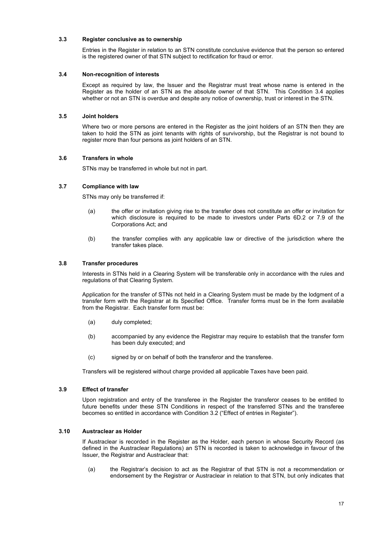# **3.3 Register conclusive as to ownership**

Entries in the Register in relation to an STN constitute conclusive evidence that the person so entered is the registered owner of that STN subject to rectification for fraud or error.

## **3.4 Non-recognition of interests**

Except as required by law, the Issuer and the Registrar must treat whose name is entered in the Register as the holder of an STN as the absolute owner of that STN. This Condition 3.4 applies whether or not an STN is overdue and despite any notice of ownership, trust or interest in the STN.

## **3.5 Joint holders**

Where two or more persons are entered in the Register as the joint holders of an STN then they are taken to hold the STN as joint tenants with rights of survivorship, but the Registrar is not bound to register more than four persons as joint holders of an STN.

## **3.6 Transfers in whole**

STNs may be transferred in whole but not in part.

## **3.7 Compliance with law**

STNs may only be transferred if:

- (a) the offer or invitation giving rise to the transfer does not constitute an offer or invitation for which disclosure is required to be made to investors under Parts 6D.2 or 7.9 of the Corporations Act; and
- (b) the transfer complies with any applicable law or directive of the jurisdiction where the transfer takes place.

## **3.8 Transfer procedures**

Interests in STNs held in a Clearing System will be transferable only in accordance with the rules and regulations of that Clearing System.

Application for the transfer of STNs not held in a Clearing System must be made by the lodgment of a transfer form with the Registrar at its Specified Office. Transfer forms must be in the form available from the Registrar. Each transfer form must be:

- (a) duly completed;
- (b) accompanied by any evidence the Registrar may require to establish that the transfer form has been duly executed; and
- (c) signed by or on behalf of both the transferor and the transferee.

Transfers will be registered without charge provided all applicable Taxes have been paid.

# **3.9 Effect of transfer**

Upon registration and entry of the transferee in the Register the transferor ceases to be entitled to future benefits under these STN Conditions in respect of the transferred STNs and the transferee becomes so entitled in accordance with Condition 3.2 ("Effect of entries in Register").

#### **3.10 Austraclear as Holder**

If Austraclear is recorded in the Register as the Holder, each person in whose Security Record (as defined in the Austraclear Regulations) an STN is recorded is taken to acknowledge in favour of the Issuer, the Registrar and Austraclear that:

(a) the Registrar's decision to act as the Registrar of that STN is not a recommendation or endorsement by the Registrar or Austraclear in relation to that STN, but only indicates that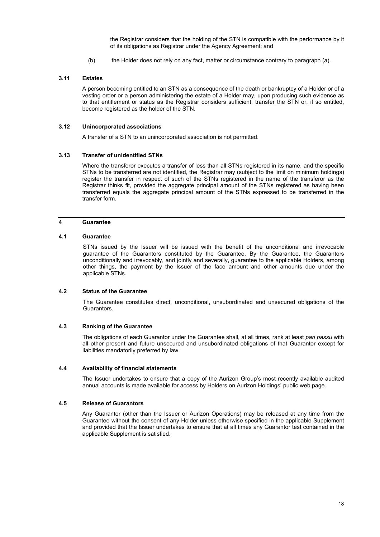the Registrar considers that the holding of the STN is compatible with the performance by it of its obligations as Registrar under the Agency Agreement; and

(b) the Holder does not rely on any fact, matter or circumstance contrary to paragraph (a).

## **3.11 Estates**

A person becoming entitled to an STN as a consequence of the death or bankruptcy of a Holder or of a vesting order or a person administering the estate of a Holder may, upon producing such evidence as to that entitlement or status as the Registrar considers sufficient, transfer the STN or, if so entitled, become registered as the holder of the STN.

#### **3.12 Unincorporated associations**

A transfer of a STN to an unincorporated association is not permitted.

#### **3.13 Transfer of unidentified STNs**

Where the transferor executes a transfer of less than all STNs registered in its name, and the specific STNs to be transferred are not identified, the Registrar may (subject to the limit on minimum holdings) register the transfer in respect of such of the STNs registered in the name of the transferor as the Registrar thinks fit, provided the aggregate principal amount of the STNs registered as having been transferred equals the aggregate principal amount of the STNs expressed to be transferred in the transfer form.

# **4 Guarantee**

#### **4.1 Guarantee**

STNs issued by the Issuer will be issued with the benefit of the unconditional and irrevocable guarantee of the Guarantors constituted by the Guarantee. By the Guarantee, the Guarantors unconditionally and irrevocably, and jointly and severally, guarantee to the applicable Holders, among other things, the payment by the Issuer of the face amount and other amounts due under the applicable STNs.

#### **4.2 Status of the Guarantee**

The Guarantee constitutes direct, unconditional, unsubordinated and unsecured obligations of the Guarantors.

## **4.3 Ranking of the Guarantee**

The obligations of each Guarantor under the Guarantee shall, at all times, rank at least *pari passu* with all other present and future unsecured and unsubordinated obligations of that Guarantor except for liabilities mandatorily preferred by law.

#### **4.4 Availability of financial statements**

The Issuer undertakes to ensure that a copy of the Aurizon Group's most recently available audited annual accounts is made available for access by Holders on Aurizon Holdings' public web page.

#### **4.5 Release of Guarantors**

Any Guarantor (other than the Issuer or Aurizon Operations) may be released at any time from the Guarantee without the consent of any Holder unless otherwise specified in the applicable Supplement and provided that the Issuer undertakes to ensure that at all times any Guarantor test contained in the applicable Supplement is satisfied.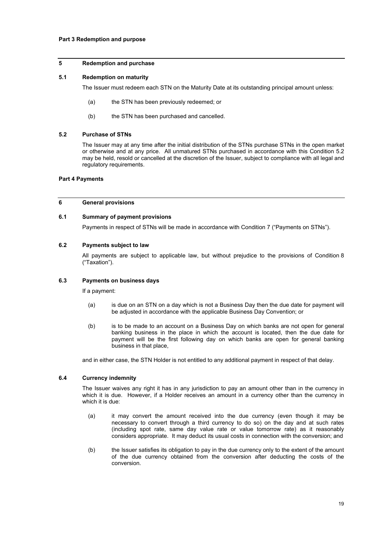# **Part 3 Redemption and purpose**

# **5 Redemption and purchase**

#### **5.1 Redemption on maturity**

The Issuer must redeem each STN on the Maturity Date at its outstanding principal amount unless:

- (a) the STN has been previously redeemed; or
- (b) the STN has been purchased and cancelled.

#### **5.2 Purchase of STNs**

The Issuer may at any time after the initial distribution of the STNs purchase STNs in the open market or otherwise and at any price. All unmatured STNs purchased in accordance with this Condition 5.2 may be held, resold or cancelled at the discretion of the Issuer, subject to compliance with all legal and regulatory requirements.

# **Part 4 Payments**

#### **6 General provisions**

#### **6.1 Summary of payment provisions**

Payments in respect of STNs will be made in accordance with Condition 7 ("Payments on STNs").

#### **6.2 Payments subject to law**

All payments are subject to applicable law, but without prejudice to the provisions of Condition 8 ("Taxation").

#### **6.3 Payments on business days**

If a payment:

- (a) is due on an STN on a day which is not a Business Day then the due date for payment will be adjusted in accordance with the applicable Business Day Convention; or
- (b) is to be made to an account on a Business Day on which banks are not open for general banking business in the place in which the account is located, then the due date for payment will be the first following day on which banks are open for general banking business in that place,

and in either case, the STN Holder is not entitled to any additional payment in respect of that delay.

#### **6.4 Currency indemnity**

The Issuer waives any right it has in any jurisdiction to pay an amount other than in the currency in which it is due. However, if a Holder receives an amount in a currency other than the currency in which it is due:

- (a) it may convert the amount received into the due currency (even though it may be necessary to convert through a third currency to do so) on the day and at such rates (including spot rate, same day value rate or value tomorrow rate) as it reasonably considers appropriate. It may deduct its usual costs in connection with the conversion; and
- (b) the Issuer satisfies its obligation to pay in the due currency only to the extent of the amount of the due currency obtained from the conversion after deducting the costs of the conversion.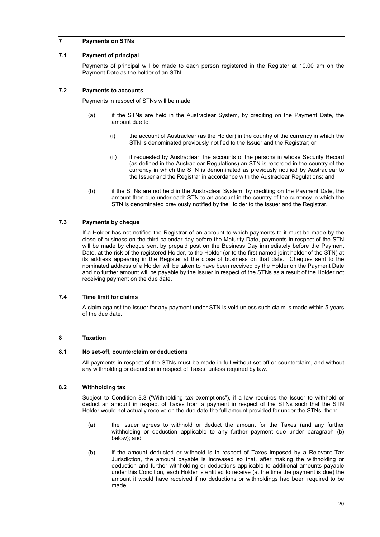# **7 Payments on STNs**

## **7.1 Payment of principal**

Payments of principal will be made to each person registered in the Register at 10.00 am on the Payment Date as the holder of an STN.

# **7.2 Payments to accounts**

Payments in respect of STNs will be made:

- (a) if the STNs are held in the Austraclear System, by crediting on the Payment Date, the amount due to:
	- (i) the account of Austraclear (as the Holder) in the country of the currency in which the STN is denominated previously notified to the Issuer and the Registrar; or
	- (ii) if requested by Austraclear, the accounts of the persons in whose Security Record (as defined in the Austraclear Regulations) an STN is recorded in the country of the currency in which the STN is denominated as previously notified by Austraclear to the Issuer and the Registrar in accordance with the Austraclear Regulations; and
- (b) if the STNs are not held in the Austraclear System, by crediting on the Payment Date, the amount then due under each STN to an account in the country of the currency in which the STN is denominated previously notified by the Holder to the Issuer and the Registrar.

# **7.3 Payments by cheque**

If a Holder has not notified the Registrar of an account to which payments to it must be made by the close of business on the third calendar day before the Maturity Date, payments in respect of the STN will be made by cheque sent by prepaid post on the Business Day immediately before the Payment Date, at the risk of the registered Holder, to the Holder (or to the first named joint holder of the STN) at its address appearing in the Register at the close of business on that date. Cheques sent to the nominated address of a Holder will be taken to have been received by the Holder on the Payment Date and no further amount will be payable by the Issuer in respect of the STNs as a result of the Holder not receiving payment on the due date.

# **7.4 Time limit for claims**

A claim against the Issuer for any payment under STN is void unless such claim is made within 5 years of the due date.

# **8 Taxation**

#### **8.1 No set-off, counterclaim or deductions**

All payments in respect of the STNs must be made in full without set-off or counterclaim, and without any withholding or deduction in respect of Taxes, unless required by law.

#### **8.2 Withholding tax**

Subject to Condition 8.3 ("Withholding tax exemptions"), if a law requires the Issuer to withhold or deduct an amount in respect of Taxes from a payment in respect of the STNs such that the STN Holder would not actually receive on the due date the full amount provided for under the STNs, then:

- (a) the Issuer agrees to withhold or deduct the amount for the Taxes (and any further withholding or deduction applicable to any further payment due under paragraph (b) below); and
- (b) if the amount deducted or withheld is in respect of Taxes imposed by a Relevant Tax Jurisdiction, the amount payable is increased so that, after making the withholding or deduction and further withholding or deductions applicable to additional amounts payable under this Condition, each Holder is entitled to receive (at the time the payment is due) the amount it would have received if no deductions or withholdings had been required to be made.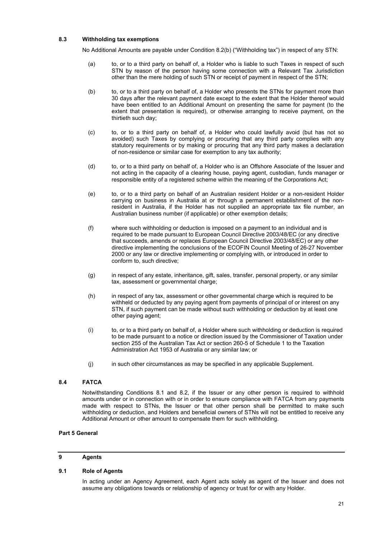# **8.3 Withholding tax exemptions**

No Additional Amounts are payable under Condition 8.2(b) ("Withholding tax") in respect of any STN:

- (a) to, or to a third party on behalf of, a Holder who is liable to such Taxes in respect of such STN by reason of the person having some connection with a Relevant Tax Jurisdiction other than the mere holding of such STN or receipt of payment in respect of the STN;
- (b) to, or to a third party on behalf of, a Holder who presents the STNs for payment more than 30 days after the relevant payment date except to the extent that the Holder thereof would have been entitled to an Additional Amount on presenting the same for payment (to the extent that presentation is required), or otherwise arranging to receive payment, on the thirtieth such day;
- (c) to, or to a third party on behalf of, a Holder who could lawfully avoid (but has not so avoided) such Taxes by complying or procuring that any third party complies with any statutory requirements or by making or procuring that any third party makes a declaration of non-residence or similar case for exemption to any tax authority;
- (d) to, or to a third party on behalf of, a Holder who is an Offshore Associate of the Issuer and not acting in the capacity of a clearing house, paying agent, custodian, funds manager or responsible entity of a registered scheme within the meaning of the Corporations Act;
- (e) to, or to a third party on behalf of an Australian resident Holder or a non-resident Holder carrying on business in Australia at or through a permanent establishment of the nonresident in Australia, if the Holder has not supplied an appropriate tax file number, an Australian business number (if applicable) or other exemption details;
- (f) where such withholding or deduction is imposed on a payment to an individual and is required to be made pursuant to European Council Directive 2003/48/EC (or any directive that succeeds, amends or replaces European Council Directive 2003/48/EC) or any other directive implementing the conclusions of the ECOFIN Council Meeting of 26-27 November 2000 or any law or directive implementing or complying with, or introduced in order to conform to, such directive;
- (g) in respect of any estate, inheritance, gift, sales, transfer, personal property, or any similar tax, assessment or governmental charge;
- (h) in respect of any tax, assessment or other governmental charge which is required to be withheld or deducted by any paying agent from payments of principal of or interest on any STN, if such payment can be made without such withholding or deduction by at least one other paying agent;
- (i) to, or to a third party on behalf of, a Holder where such withholding or deduction is required to be made pursuant to a notice or direction issued by the Commissioner of Taxation under section 255 of the Australian Tax Act or section 260-5 of Schedule 1 to the Taxation Administration Act 1953 of Australia or any similar law; or
- (j) in such other circumstances as may be specified in any applicable Supplement.

#### **8.4 FATCA**

Notwithstanding Conditions 8.1 and 8.2, if the Issuer or any other person is required to withhold amounts under or in connection with or in order to ensure compliance with FATCA from any payments made with respect to STNs, the Issuer or that other person shall be permitted to make such withholding or deduction, and Holders and beneficial owners of STNs will not be entitled to receive any Additional Amount or other amount to compensate them for such withholding.

#### **Part 5 General**

# **9 Agents**

# **9.1 Role of Agents**

In acting under an Agency Agreement, each Agent acts solely as agent of the Issuer and does not assume any obligations towards or relationship of agency or trust for or with any Holder.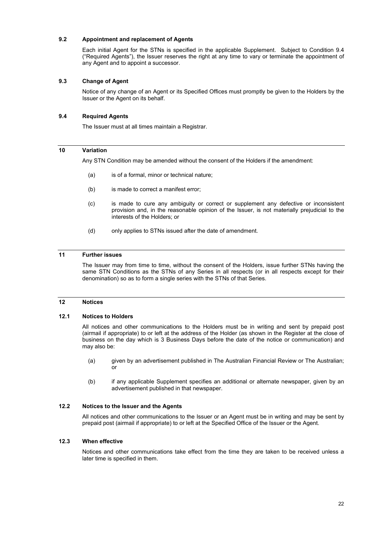# **9.2 Appointment and replacement of Agents**

Each initial Agent for the STNs is specified in the applicable Supplement. Subject to Condition 9.4 ("Required Agents"), the Issuer reserves the right at any time to vary or terminate the appointment of any Agent and to appoint a successor.

## **9.3 Change of Agent**

Notice of any change of an Agent or its Specified Offices must promptly be given to the Holders by the Issuer or the Agent on its behalf.

#### **9.4 Required Agents**

The Issuer must at all times maintain a Registrar.

# **10 Variation**

Any STN Condition may be amended without the consent of the Holders if the amendment:

- (a) is of a formal, minor or technical nature;
- (b) is made to correct a manifest error;
- (c) is made to cure any ambiguity or correct or supplement any defective or inconsistent provision and, in the reasonable opinion of the Issuer, is not materially prejudicial to the interests of the Holders; or
- (d) only applies to STNs issued after the date of amendment.

# **11 Further issues**

The Issuer may from time to time, without the consent of the Holders, issue further STNs having the same STN Conditions as the STNs of any Series in all respects (or in all respects except for their denomination) so as to form a single series with the STNs of that Series.

#### **12 Notices**

#### **12.1 Notices to Holders**

All notices and other communications to the Holders must be in writing and sent by prepaid post (airmail if appropriate) to or left at the address of the Holder (as shown in the Register at the close of business on the day which is 3 Business Days before the date of the notice or communication) and may also be:

- (a) given by an advertisement published in The Australian Financial Review or The Australian; or
- (b) if any applicable Supplement specifies an additional or alternate newspaper, given by an advertisement published in that newspaper.

#### **12.2 Notices to the Issuer and the Agents**

All notices and other communications to the Issuer or an Agent must be in writing and may be sent by prepaid post (airmail if appropriate) to or left at the Specified Office of the Issuer or the Agent.

# **12.3 When effective**

Notices and other communications take effect from the time they are taken to be received unless a later time is specified in them.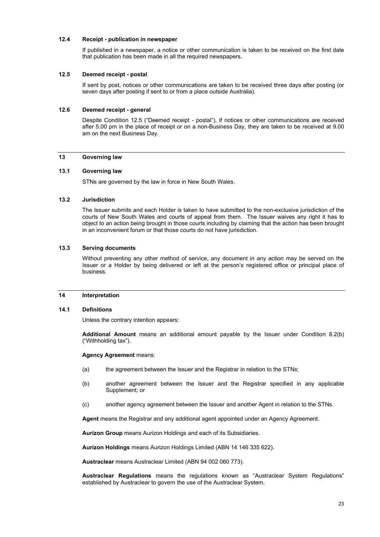# **12.4 Receipt - publication in newspaper**

If published in a newspaper, a notice or other communication is taken to be received on the first date that publication has been made in all the required newspapers.

# **12.5 Deemed receipt - postal**

If sent by post, notices or other communications are taken to be received three days after posting (or seven days after posting if sent to or from a place outside Australia).

## **12.6 Deemed receipt - general**

Despite Condition 12.5 ("Deemed receipt - postal"), if notices or other communications are received after 5.00 pm in the place of receipt or on a non-Business Day, they are taken to be received at 9.00 am on the next Business Day.

# **13 Governing law**

# **13.1 Governing law**

STNs are governed by the law in force in New South Wales.

# **13.2 Jurisdiction**

The Issuer submits and each Holder is taken to have submitted to the non-exclusive jurisdiction of the courts of New South Wales and courts of appeal from them. The Issuer waives any right it has to object to an action being brought in those courts including by claiming that the action has been brought in an inconvenient forum or that those courts do not have jurisdiction.

#### **13.3 Serving documents**

Without preventing any other method of service, any document in any action may be served on the Issuer or a Holder by being delivered or left at the person's registered office or principal place of business.

#### **14 Interpretation**

## **14.1 Definitions**

Unless the contrary intention appears:

**Additional Amount** means an additional amount payable by the Issuer under Condition 8.2(b) ("Withholding tax").

#### **Agency Agreement** means:

- (a) the agreement between the Issuer and the Registrar in relation to the STNs;
- (b) another agreement between the Issuer and the Registrar specified in any applicable Supplement; or
- (c) another agency agreement between the Issuer and another Agent in relation to the STNs.

**Agent** means the Registrar and any additional agent appointed under an Agency Agreement.

**Aurizon Group** means Aurizon Holdings and each of its Subsidiaries.

**Aurizon Holdings** means Aurizon Holdings Limited (ABN 14 146 335 622).

**Austraclear** means Austraclear Limited (ABN 94 002 060 773).

**Austraclear Regulations** means the regulations known as "Austraclear System Regulations" established by Austraclear to govern the use of the Austraclear System.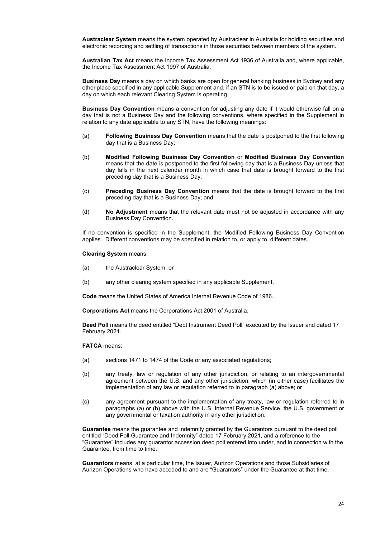**Austraclear System** means the system operated by Austraclear in Australia for holding securities and electronic recording and settling of transactions in those securities between members of the system.

**Australian Tax Act** means the Income Tax Assessment Act 1936 of Australia and, where applicable, the Income Tax Assessment Act 1997 of Australia.

**Business Day** means a day on which banks are open for general banking business in Sydney and any other place specified in any applicable Supplement and, if an STN is to be issued or paid on that day, a day on which each relevant Clearing System is operating.

**Business Day Convention** means a convention for adjusting any date if it would otherwise fall on a day that is not a Business Day and the following conventions, where specified in the Supplement in relation to any date applicable to any STN, have the following meanings:

- (a) **Following Business Day Convention** means that the date is postponed to the first following day that is a Business Day;
- (b) **Modified Following Business Day Convention** or **Modified Business Day Convention** means that the date is postponed to the first following day that is a Business Day unless that day falls in the next calendar month in which case that date is brought forward to the first preceding day that is a Business Day;
- (c) **Preceding Business Day Convention** means that the date is brought forward to the first preceding day that is a Business Day; and
- (d) **No Adjustment** means that the relevant date must not be adjusted in accordance with any Business Day Convention.

If no convention is specified in the Supplement, the Modified Following Business Day Convention applies. Different conventions may be specified in relation to, or apply to, different dates.

#### **Clearing System** means:

- (a) the Austraclear System; or
- (b) any other clearing system specified in any applicable Supplement.

**Code** means the United States of America Internal Revenue Code of 1986.

**Corporations Act** means the Corporations Act 2001 of Australia.

**Deed Poll** means the deed entitled "Debt Instrument Deed Poll" executed by the Issuer and dated 17 February 2021.

#### **FATCA** means:

- (a) sections 1471 to 1474 of the Code or any associated regulations;
- (b) any treaty, law or regulation of any other jurisdiction, or relating to an intergovernmental agreement between the U.S. and any other jurisdiction, which (in either case) facilitates the implementation of any law or regulation referred to in paragraph (a) above; or
- (c) any agreement pursuant to the implementation of any treaty, law or regulation referred to in paragraphs (a) or (b) above with the U.S. Internal Revenue Service, the U.S. government or any governmental or taxation authority in any other jurisdiction.

**Guarantee** means the guarantee and indemnity granted by the Guarantors pursuant to the deed poll entitled "Deed Poll Guarantee and Indemnity" dated 17 February 2021, and a reference to the "Guarantee" includes any guarantor accession deed poll entered into under, and in connection with the Guarantee, from time to time.

**Guarantors** means, at a particular time, the Issuer, Aurizon Operations and those Subsidiaries of Aurizon Operations who have acceded to and are "Guarantors" under the Guarantee at that time.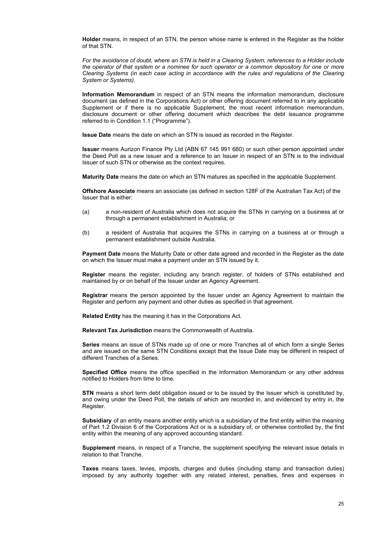**Holder** means, in respect of an STN, the person whose name is entered in the Register as the holder of that STN.

*For the avoidance of doubt, where an STN is held in a Clearing System, references to a Holder include the operator of that system or a nominee for such operator or a common depository for one or more Clearing Systems (in each case acting in accordance with the rules and regulations of the Clearing System or Systems).* 

**Information Memorandum** in respect of an STN means the information memorandum, disclosure document (as defined in the Corporations Act) or other offering document referred to in any applicable Supplement or if there is no applicable Supplement, the most recent information memorandum, disclosure document or other offering document which describes the debt issuance programme referred to in Condition 1.1 ("Programme").

**Issue Date** means the date on which an STN is issued as recorded in the Register.

**Issuer** means Aurizon Finance Pty Ltd (ABN 67 145 991 680) or such other person appointed under the Deed Poll as a new issuer and a reference to an Issuer in respect of an STN is to the individual Issuer of such STN or otherwise as the context requires.

**Maturity Date** means the date on which an STN matures as specified in the applicable Supplement.

**Offshore Associate** means an associate (as defined in section 128F of the Australian Tax Act) of the Issuer that is either:

- (a) a non-resident of Australia which does not acquire the STNs in carrying on a business at or through a permanent establishment in Australia; or
- (b) a resident of Australia that acquires the STNs in carrying on a business at or through a permanent establishment outside Australia.

**Payment Date** means the Maturity Date or other date agreed and recorded in the Register as the date on which the Issuer must make a payment under an STN issued by it.

**Register** means the register, including any branch register, of holders of STNs established and maintained by or on behalf of the Issuer under an Agency Agreement.

**Registrar** means the person appointed by the Issuer under an Agency Agreement to maintain the Register and perform any payment and other duties as specified in that agreement.

**Related Entity** has the meaning it has in the Corporations Act.

**Relevant Tax Jurisdiction** means the Commonwealth of Australia.

**Series** means an issue of STNs made up of one or more Tranches all of which form a single Series and are issued on the same STN Conditions except that the Issue Date may be different in respect of different Tranches of a Series.

**Specified Office** means the office specified in the Information Memorandum or any other address notified to Holders from time to time.

**STN** means a short term debt obligation issued or to be issued by the Issuer which is constituted by, and owing under the Deed Poll, the details of which are recorded in, and evidenced by entry in, the Register.

**Subsidiary** of an entity means another entity which is a subsidiary of the first entity within the meaning of Part 1.2 Division 6 of the Corporations Act or is a subsidiary of, or otherwise controlled by, the first entity within the meaning of any approved accounting standard.

**Supplement** means, in respect of a Tranche, the supplement specifying the relevant issue details in relation to that Tranche.

**Taxes** means taxes, levies, imposts, charges and duties (including stamp and transaction duties) imposed by any authority together with any related interest, penalties, fines and expenses in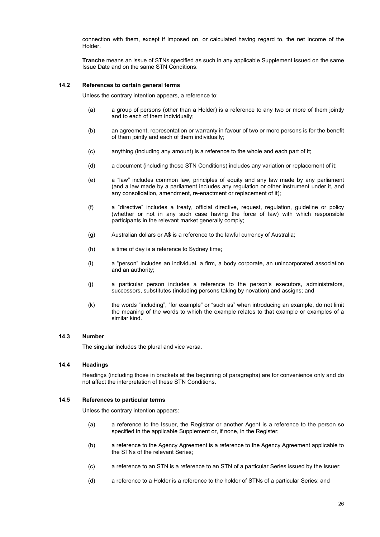connection with them, except if imposed on, or calculated having regard to, the net income of the Holder.

**Tranche** means an issue of STNs specified as such in any applicable Supplement issued on the same Issue Date and on the same STN Conditions.

# **14.2 References to certain general terms**

Unless the contrary intention appears, a reference to:

- (a) a group of persons (other than a Holder) is a reference to any two or more of them jointly and to each of them individually;
- (b) an agreement, representation or warranty in favour of two or more persons is for the benefit of them jointly and each of them individually;
- (c) anything (including any amount) is a reference to the whole and each part of it;
- (d) a document (including these STN Conditions) includes any variation or replacement of it;
- (e) a "law" includes common law, principles of equity and any law made by any parliament (and a law made by a parliament includes any regulation or other instrument under it, and any consolidation, amendment, re-enactment or replacement of it);
- (f) a "directive" includes a treaty, official directive, request, regulation, guideline or policy (whether or not in any such case having the force of law) with which responsible participants in the relevant market generally comply;
- (g) Australian dollars or A\$ is a reference to the lawful currency of Australia;
- (h) a time of day is a reference to Sydney time;
- (i) a "person" includes an individual, a firm, a body corporate, an unincorporated association and an authority;
- (j) a particular person includes a reference to the person's executors, administrators, successors, substitutes (including persons taking by novation) and assigns; and
- (k) the words "including", "for example" or "such as" when introducing an example, do not limit the meaning of the words to which the example relates to that example or examples of a similar kind.

#### **14.3 Number**

The singular includes the plural and vice versa.

#### **14.4 Headings**

Headings (including those in brackets at the beginning of paragraphs) are for convenience only and do not affect the interpretation of these STN Conditions.

#### **14.5 References to particular terms**

Unless the contrary intention appears:

- (a) a reference to the Issuer, the Registrar or another Agent is a reference to the person so specified in the applicable Supplement or, if none, in the Register;
- (b) a reference to the Agency Agreement is a reference to the Agency Agreement applicable to the STNs of the relevant Series;
- (c) a reference to an STN is a reference to an STN of a particular Series issued by the Issuer;
- (d) a reference to a Holder is a reference to the holder of STNs of a particular Series; and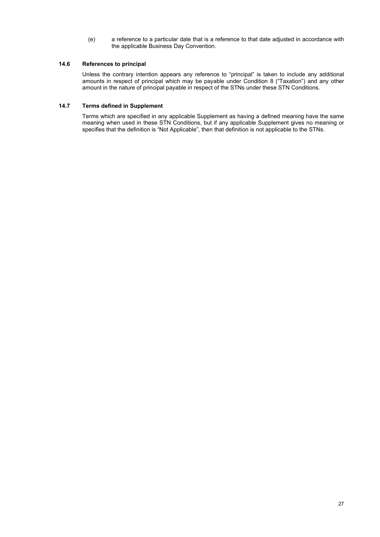(e) a reference to a particular date that is a reference to that date adjusted in accordance with the applicable Business Day Convention.

# **14.6 References to principal**

Unless the contrary intention appears any reference to "principal" is taken to include any additional amounts in respect of principal which may be payable under Condition 8 ("Taxation") and any other amount in the nature of principal payable in respect of the STNs under these STN Conditions.

# **14.7 Terms defined in Supplement**

Terms which are specified in any applicable Supplement as having a defined meaning have the same meaning when used in these STN Conditions, but if any applicable Supplement gives no meaning or specifies that the definition is "Not Applicable", then that definition is not applicable to the STNs.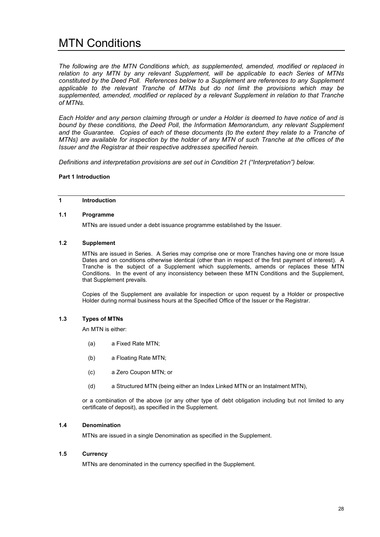# MTN Conditions

*The following are the MTN Conditions which, as supplemented, amended, modified or replaced in relation to any MTN by any relevant Supplement, will be applicable to each Series of MTNs constituted by the Deed Poll. References below to a Supplement are references to any Supplement applicable to the relevant Tranche of MTNs but do not limit the provisions which may be supplemented, amended, modified or replaced by a relevant Supplement in relation to that Tranche of MTNs.*

*Each Holder and any person claiming through or under a Holder is deemed to have notice of and is bound by these conditions, the Deed Poll, the Information Memorandum, any relevant Supplement and the Guarantee. Copies of each of these documents (to the extent they relate to a Tranche of MTNs) are available for inspection by the holder of any MTN of such Tranche at the offices of the Issuer and the Registrar at their respective addresses specified herein.* 

*Definitions and interpretation provisions are set out in Condition 21 ("Interpretation") below.*

## **Part 1 Introduction**

# **1 Introduction**

#### **1.1 Programme**

MTNs are issued under a debt issuance programme established by the Issuer.

#### **1.2 Supplement**

MTNs are issued in Series. A Series may comprise one or more Tranches having one or more Issue Dates and on conditions otherwise identical (other than in respect of the first payment of interest). A Tranche is the subject of a Supplement which supplements, amends or replaces these MTN Conditions. In the event of any inconsistency between these MTN Conditions and the Supplement, that Supplement prevails.

Copies of the Supplement are available for inspection or upon request by a Holder or prospective Holder during normal business hours at the Specified Office of the Issuer or the Registrar.

# **1.3 Types of MTNs**

An MTN is either:

- (a) a Fixed Rate MTN;
- (b) a Floating Rate MTN;
- (c) a Zero Coupon MTN; or
- (d) a Structured MTN (being either an Index Linked MTN or an Instalment MTN),

or a combination of the above (or any other type of debt obligation including but not limited to any certificate of deposit), as specified in the Supplement.

#### **1.4 Denomination**

MTNs are issued in a single Denomination as specified in the Supplement.

#### **1.5 Currency**

MTNs are denominated in the currency specified in the Supplement.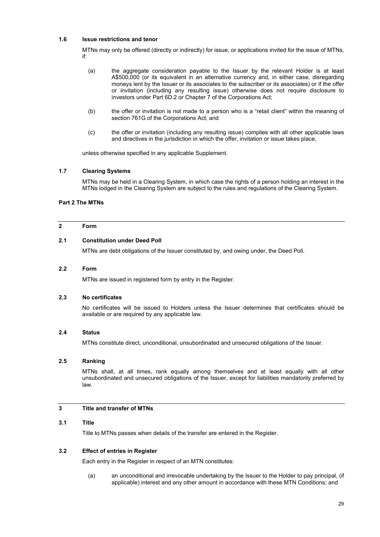# **1.6 Issue restrictions and tenor**

MTNs may only be offered (directly or indirectly) for issue, or applications invited for the issue of MTNs, if:

- (a) the aggregate consideration payable to the Issuer by the relevant Holder is at least A\$500,000 (or its equivalent in an alternative currency and, in either case, disregarding moneys lent by the Issuer or its associates to the subscriber or its associates) or if the offer or invitation (including any resulting issue) otherwise does not require disclosure to investors under Part 6D.2 or Chapter 7 of the Corporations Act;
- (b) the offer or invitation is not made to a person who is a "retail client" within the meaning of section 761G of the Corporations Act; and
- (c) the offer or invitation (including any resulting issue) complies with all other applicable laws and directives in the jurisdiction in which the offer, invitation or issue takes place,

unless otherwise specified in any applicable Supplement.

# **1.7 Clearing Systems**

MTNs may be held in a Clearing System, in which case the rights of a person holding an interest in the MTNs lodged in the Clearing System are subject to the rules and regulations of the Clearing System.

# **Part 2 The MTNs**

# **2 Form**

## **2.1 Constitution under Deed Poll**

MTNs are debt obligations of the Issuer constituted by, and owing under, the Deed Poll.

## **2.2 Form**

MTNs are issued in registered form by entry in the Register.

#### **2.3 No certificates**

No certificates will be issued to Holders unless the Issuer determines that certificates should be available or are required by any applicable law.

#### **2.4 Status**

MTNs constitute direct, unconditional, unsubordinated and unsecured obligations of the Issuer.

# **2.5 Ranking**

MTNs shall, at all times, rank equally among themselves and at least equally with all other unsubordinated and unsecured obligations of the Issuer, except for liabilities mandatorily preferred by law.

# **3 Title and transfer of MTNs**

#### **3.1 Title**

Title to MTNs passes when details of the transfer are entered in the Register.

## **3.2 Effect of entries in Register**

Each entry in the Register in respect of an MTN constitutes:

(a) an unconditional and irrevocable undertaking by the Issuer to the Holder to pay principal, (if applicable) interest and any other amount in accordance with these MTN Conditions; and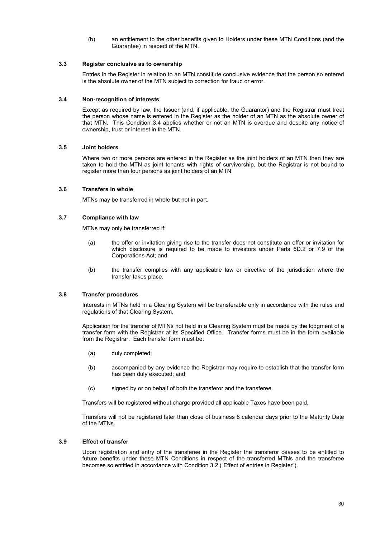(b) an entitlement to the other benefits given to Holders under these MTN Conditions (and the Guarantee) in respect of the MTN.

# **3.3 Register conclusive as to ownership**

Entries in the Register in relation to an MTN constitute conclusive evidence that the person so entered is the absolute owner of the MTN subject to correction for fraud or error.

#### **3.4 Non-recognition of interests**

Except as required by law, the Issuer (and, if applicable, the Guarantor) and the Registrar must treat the person whose name is entered in the Register as the holder of an MTN as the absolute owner of that MTN. This Condition 3.4 applies whether or not an MTN is overdue and despite any notice of ownership, trust or interest in the MTN.

## **3.5 Joint holders**

Where two or more persons are entered in the Register as the joint holders of an MTN then they are taken to hold the MTN as joint tenants with rights of survivorship, but the Registrar is not bound to register more than four persons as joint holders of an MTN.

## **3.6 Transfers in whole**

MTNs may be transferred in whole but not in part.

## **3.7 Compliance with law**

MTNs may only be transferred if:

- (a) the offer or invitation giving rise to the transfer does not constitute an offer or invitation for which disclosure is required to be made to investors under Parts 6D.2 or 7.9 of the Corporations Act; and
- (b) the transfer complies with any applicable law or directive of the jurisdiction where the transfer takes place.

#### **3.8 Transfer procedures**

Interests in MTNs held in a Clearing System will be transferable only in accordance with the rules and regulations of that Clearing System.

Application for the transfer of MTNs not held in a Clearing System must be made by the lodgment of a transfer form with the Registrar at its Specified Office. Transfer forms must be in the form available from the Registrar. Each transfer form must be:

- (a) duly completed;
- (b) accompanied by any evidence the Registrar may require to establish that the transfer form has been duly executed; and
- (c) signed by or on behalf of both the transferor and the transferee.

Transfers will be registered without charge provided all applicable Taxes have been paid.

Transfers will not be registered later than close of business 8 calendar days prior to the Maturity Date of the MTNs.

#### **3.9 Effect of transfer**

Upon registration and entry of the transferee in the Register the transferor ceases to be entitled to future benefits under these MTN Conditions in respect of the transferred MTNs and the transferee becomes so entitled in accordance with Condition 3.2 ("Effect of entries in Register").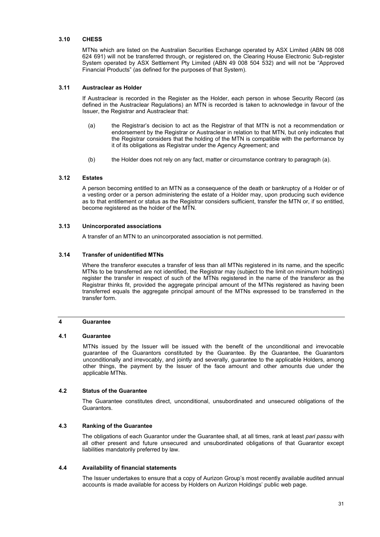#### **3.10 CHESS**

MTNs which are listed on the Australian Securities Exchange operated by ASX Limited (ABN 98 008 624 691) will not be transferred through, or registered on, the Clearing House Electronic Sub-register System operated by ASX Settlement Pty Limited (ABN 49 008 504 532) and will not be "Approved Financial Products" (as defined for the purposes of that System).

## **3.11 Austraclear as Holder**

If Austraclear is recorded in the Register as the Holder, each person in whose Security Record (as defined in the Austraclear Regulations) an MTN is recorded is taken to acknowledge in favour of the Issuer, the Registrar and Austraclear that:

- (a) the Registrar's decision to act as the Registrar of that MTN is not a recommendation or endorsement by the Registrar or Austraclear in relation to that MTN, but only indicates that the Registrar considers that the holding of the MTN is compatible with the performance by it of its obligations as Registrar under the Agency Agreement; and
- (b) the Holder does not rely on any fact, matter or circumstance contrary to paragraph (a).

#### **3.12 Estates**

A person becoming entitled to an MTN as a consequence of the death or bankruptcy of a Holder or of a vesting order or a person administering the estate of a Holder may, upon producing such evidence as to that entitlement or status as the Registrar considers sufficient, transfer the MTN or, if so entitled, become registered as the holder of the MTN.

#### **3.13 Unincorporated associations**

A transfer of an MTN to an unincorporated association is not permitted.

#### **3.14 Transfer of unidentified MTNs**

Where the transferor executes a transfer of less than all MTNs registered in its name, and the specific MTNs to be transferred are not identified, the Registrar may (subject to the limit on minimum holdings) register the transfer in respect of such of the MTNs registered in the name of the transferor as the Registrar thinks fit, provided the aggregate principal amount of the MTNs registered as having been transferred equals the aggregate principal amount of the MTNs expressed to be transferred in the transfer form.

#### **4 Guarantee**

#### **4.1 Guarantee**

MTNs issued by the Issuer will be issued with the benefit of the unconditional and irrevocable guarantee of the Guarantors constituted by the Guarantee. By the Guarantee, the Guarantors unconditionally and irrevocably, and jointly and severally, guarantee to the applicable Holders, among other things, the payment by the Issuer of the face amount and other amounts due under the applicable MTNs.

#### **4.2 Status of the Guarantee**

The Guarantee constitutes direct, unconditional, unsubordinated and unsecured obligations of the Guarantors.

#### **4.3 Ranking of the Guarantee**

The obligations of each Guarantor under the Guarantee shall, at all times, rank at least *pari passu* with all other present and future unsecured and unsubordinated obligations of that Guarantor except liabilities mandatorily preferred by law.

#### **4.4 Availability of financial statements**

The Issuer undertakes to ensure that a copy of Aurizon Group's most recently available audited annual accounts is made available for access by Holders on Aurizon Holdings' public web page.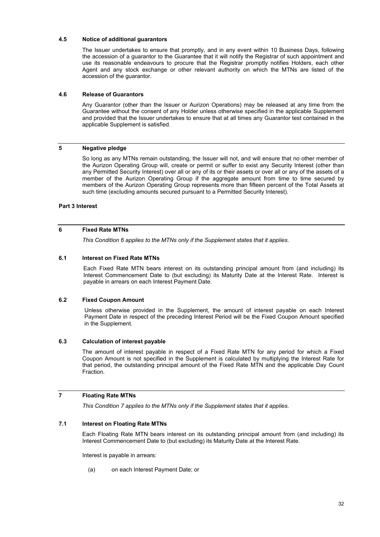## **4.5 Notice of additional guarantors**

The Issuer undertakes to ensure that promptly, and in any event within 10 Business Days, following the accession of a guarantor to the Guarantee that it will notify the Registrar of such appointment and use its reasonable endeavours to procure that the Registrar promptly notifies Holders, each other Agent and any stock exchange or other relevant authority on which the MTNs are listed of the accession of the guarantor.

## **4.6 Release of Guarantors**

Any Guarantor (other than the Issuer or Aurizon Operations) may be released at any time from the Guarantee without the consent of any Holder unless otherwise specified in the applicable Supplement and provided that the Issuer undertakes to ensure that at all times any Guarantor test contained in the applicable Supplement is satisfied.

# **5 Negative pledge**

So long as any MTNs remain outstanding, the Issuer will not, and will ensure that no other member of the Aurizon Operating Group will, create or permit or suffer to exist any Security Interest (other than any Permitted Security Interest) over all or any of its or their assets or over all or any of the assets of a member of the Aurizon Operating Group if the aggregate amount from time to time secured by members of the Aurizon Operating Group represents more than fifteen percent of the Total Assets at such time (excluding amounts secured pursuant to a Permitted Security Interest).

#### **Part 3 Interest**

# **6 Fixed Rate MTNs**

*This Condition 6 applies to the MTNs only if the Supplement states that it applies.* 

#### **6.1 Interest on Fixed Rate MTNs**

Each Fixed Rate MTN bears interest on its outstanding principal amount from (and including) its Interest Commencement Date to (but excluding) its Maturity Date at the Interest Rate. Interest is payable in arrears on each Interest Payment Date.

# **6.2 Fixed Coupon Amount**

 Unless otherwise provided in the Supplement, the amount of interest payable on each Interest Payment Date in respect of the preceding Interest Period will be the Fixed Coupon Amount specified in the Supplement.

#### **6.3 Calculation of interest payable**

The amount of interest payable in respect of a Fixed Rate MTN for any period for which a Fixed Coupon Amount is not specified in the Supplement is calculated by multiplying the Interest Rate for that period, the outstanding principal amount of the Fixed Rate MTN and the applicable Day Count **Fraction** 

# **7 Floating Rate MTNs**

*This Condition 7 applies to the MTNs only if the Supplement states that it applies.* 

# **7.1 Interest on Floating Rate MTNs**

Each Floating Rate MTN bears interest on its outstanding principal amount from (and including) its Interest Commencement Date to (but excluding) its Maturity Date at the Interest Rate.

Interest is payable in arrears:

(a) on each Interest Payment Date; or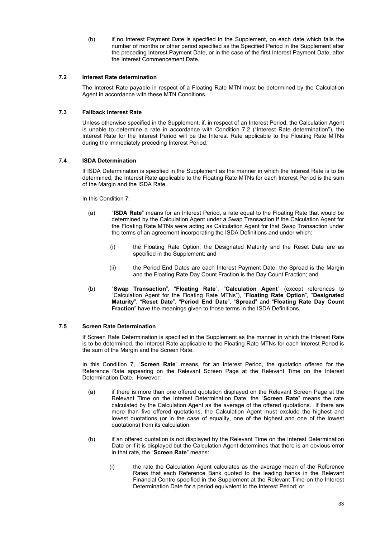(b) if no Interest Payment Date is specified in the Supplement, on each date which falls the number of months or other period specified as the Specified Period in the Supplement after the preceding Interest Payment Date, or in the case of the first Interest Payment Date, after the Interest Commencement Date.

## **7.2 Interest Rate determination**

The Interest Rate payable in respect of a Floating Rate MTN must be determined by the Calculation Agent in accordance with these MTN Conditions.

## **7.3 Fallback Interest Rate**

Unless otherwise specified in the Supplement, if, in respect of an Interest Period, the Calculation Agent is unable to determine a rate in accordance with Condition 7.2 ("Interest Rate determination"), the Interest Rate for the Interest Period will be the Interest Rate applicable to the Floating Rate MTNs during the immediately preceding Interest Period.

## **7.4 ISDA Determination**

If ISDA Determination is specified in the Supplement as the manner in which the Interest Rate is to be determined, the Interest Rate applicable to the Floating Rate MTNs for each Interest Period is the sum of the Margin and the ISDA Rate.

In this Condition 7:

- (a) "**ISDA Rate**" means for an Interest Period, a rate equal to the Floating Rate that would be determined by the Calculation Agent under a Swap Transaction if the Calculation Agent for the Floating Rate MTNs were acting as Calculation Agent for that Swap Transaction under the terms of an agreement incorporating the ISDA Definitions and under which:
	- (i) the Floating Rate Option, the Designated Maturity and the Reset Date are as specified in the Supplement; and
	- (ii) the Period End Dates are each Interest Payment Date, the Spread is the Margin and the Floating Rate Day Count Fraction is the Day Count Fraction; and
- (b) "**Swap Transaction**", "**Floating Rate**", "**Calculation Agent**" (except references to "Calculation Agent for the Floating Rate MTNs"), "**Floating Rate Option**", "**Designated Maturity**", "**Reset Date**", "**Period End Date**", "**Spread**" and "**Floating Rate Day Count Fraction**" have the meanings given to those terms in the ISDA Definitions.

## **7.5 Screen Rate Determination**

If Screen Rate Determination is specified in the Supplement as the manner in which the Interest Rate is to be determined, the Interest Rate applicable to the Floating Rate MTNs for each Interest Period is the sum of the Margin and the Screen Rate.

In this Condition 7, "**Screen Rate**" means, for an Interest Period, the quotation offered for the Reference Rate appearing on the Relevant Screen Page at the Relevant Time on the Interest Determination Date. However:

- (a) if there is more than one offered quotation displayed on the Relevant Screen Page at the Relevant Time on the Interest Determination Date, the "**Screen Rate**" means the rate calculated by the Calculation Agent as the average of the offered quotations. If there are more than five offered quotations, the Calculation Agent must exclude the highest and lowest quotations (or in the case of equality, one of the highest and one of the lowest quotations) from its calculation;
- (b) if an offered quotation is not displayed by the Relevant Time on the Interest Determination Date or if it is displayed but the Calculation Agent determines that there is an obvious error in that rate, the "**Screen Rate**" means:
	- (i) the rate the Calculation Agent calculates as the average mean of the Reference Rates that each Reference Bank quoted to the leading banks in the Relevant Financial Centre specified in the Supplement at the Relevant Time on the Interest Determination Date for a period equivalent to the Interest Period; or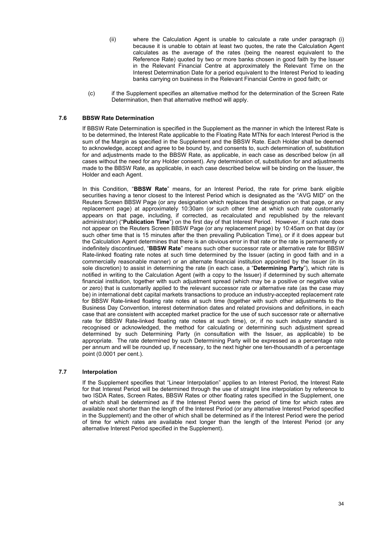- (ii) where the Calculation Agent is unable to calculate a rate under paragraph (i) because it is unable to obtain at least two quotes, the rate the Calculation Agent calculates as the average of the rates (being the nearest equivalent to the Reference Rate) quoted by two or more banks chosen in good faith by the Issuer in the Relevant Financial Centre at approximately the Relevant Time on the Interest Determination Date for a period equivalent to the Interest Period to leading banks carrying on business in the Relevant Financial Centre in good faith; or
- (c) if the Supplement specifies an alternative method for the determination of the Screen Rate Determination, then that alternative method will apply.

# **7.6 BBSW Rate Determination**

If BBSW Rate Determination is specified in the Supplement as the manner in which the Interest Rate is to be determined, the Interest Rate applicable to the Floating Rate MTNs for each Interest Period is the sum of the Margin as specified in the Supplement and the BBSW Rate. Each Holder shall be deemed to acknowledge, accept and agree to be bound by, and consents to, such determination of, substitution for and adjustments made to the BBSW Rate, as applicable, in each case as described below (in all cases without the need for any Holder consent). Any determination of, substitution for and adjustments made to the BBSW Rate, as applicable, in each case described below will be binding on the Issuer, the Holder and each Agent.

In this Condition, "**BBSW Rate**" means, for an Interest Period, the rate for prime bank eligible securities having a tenor closest to the Interest Period which is designated as the "AVG MID" on the Reuters Screen BBSW Page (or any designation which replaces that designation on that page, or any replacement page) at approximately 10:30am (or such other time at which such rate customarily appears on that page, including, if corrected, as recalculated and republished by the relevant administrator) ("**Publication Time**") on the first day of that Interest Period. However, if such rate does not appear on the Reuters Screen BBSW Page (or any replacement page) by 10:45am on that day (or such other time that is 15 minutes after the then prevailing Publication Time), or if it does appear but the Calculation Agent determines that there is an obvious error in that rate or the rate is permanently or indefinitely discontinued, "**BBSW Rate**" means such other successor rate or alternative rate for BBSW Rate-linked floating rate notes at such time determined by the Issuer (acting in good faith and in a commercially reasonable manner) or an alternate financial institution appointed by the Issuer (in its sole discretion) to assist in determining the rate (in each case, a "**Determining Party**"), which rate is notified in writing to the Calculation Agent (with a copy to the Issuer) if determined by such alternate financial institution, together with such adjustment spread (which may be a positive or negative value or zero) that is customarily applied to the relevant successor rate or alternative rate (as the case may be) in international debt capital markets transactions to produce an industry-accepted replacement rate for BBSW Rate-linked floating rate notes at such time (together with such other adjustments to the Business Day Convention, interest determination dates and related provisions and definitions, in each case that are consistent with accepted market practice for the use of such successor rate or alternative rate for BBSW Rate-linked floating rate notes at such time), or, if no such industry standard is recognised or acknowledged, the method for calculating or determining such adjustment spread determined by such Determining Party (in consultation with the Issuer, as applicable) to be appropriate. The rate determined by such Determining Party will be expressed as a percentage rate per annum and will be rounded up, if necessary, to the next higher one ten-thousandth of a percentage point (0.0001 per cent.).

## **7.7 Interpolation**

If the Supplement specifies that "Linear Interpolation" applies to an Interest Period, the Interest Rate for that Interest Period will be determined through the use of straight line interpolation by reference to two ISDA Rates, Screen Rates, BBSW Rates or other floating rates specified in the Supplement, one of which shall be determined as if the Interest Period were the period of time for which rates are available next shorter than the length of the Interest Period (or any alternative Interest Period specified in the Supplement) and the other of which shall be determined as if the Interest Period were the period of time for which rates are available next longer than the length of the Interest Period (or any alternative Interest Period specified in the Supplement).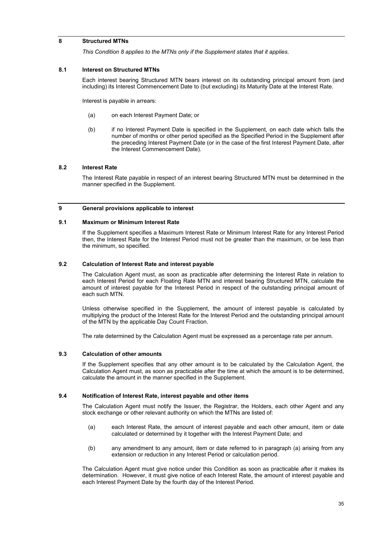# **8 Structured MTNs**

*This Condition 8 applies to the MTNs only if the Supplement states that it applies.* 

#### **8.1 Interest on Structured MTNs**

Each interest bearing Structured MTN bears interest on its outstanding principal amount from (and including) its Interest Commencement Date to (but excluding) its Maturity Date at the Interest Rate.

Interest is payable in arrears:

- (a) on each Interest Payment Date; or
- (b) if no Interest Payment Date is specified in the Supplement, on each date which falls the number of months or other period specified as the Specified Period in the Supplement after the preceding Interest Payment Date (or in the case of the first Interest Payment Date, after the Interest Commencement Date).

## **8.2 Interest Rate**

The Interest Rate payable in respect of an interest bearing Structured MTN must be determined in the manner specified in the Supplement.

#### **9 General provisions applicable to interest**

## **9.1 Maximum or Minimum Interest Rate**

If the Supplement specifies a Maximum Interest Rate or Minimum Interest Rate for any Interest Period then, the Interest Rate for the Interest Period must not be greater than the maximum, or be less than the minimum, so specified.

#### **9.2 Calculation of Interest Rate and interest payable**

The Calculation Agent must, as soon as practicable after determining the Interest Rate in relation to each Interest Period for each Floating Rate MTN and interest bearing Structured MTN, calculate the amount of interest payable for the Interest Period in respect of the outstanding principal amount of each such MTN.

Unless otherwise specified in the Supplement, the amount of interest payable is calculated by multiplying the product of the Interest Rate for the Interest Period and the outstanding principal amount of the MTN by the applicable Day Count Fraction.

The rate determined by the Calculation Agent must be expressed as a percentage rate per annum.

#### **9.3 Calculation of other amounts**

If the Supplement specifies that any other amount is to be calculated by the Calculation Agent, the Calculation Agent must, as soon as practicable after the time at which the amount is to be determined, calculate the amount in the manner specified in the Supplement.

# **9.4 Notification of Interest Rate, interest payable and other items**

The Calculation Agent must notify the Issuer, the Registrar, the Holders, each other Agent and any stock exchange or other relevant authority on which the MTNs are listed of:

- (a) each Interest Rate, the amount of interest payable and each other amount, item or date calculated or determined by it together with the Interest Payment Date; and
- (b) any amendment to any amount, item or date referred to in paragraph (a) arising from any extension or reduction in any Interest Period or calculation period.

The Calculation Agent must give notice under this Condition as soon as practicable after it makes its determination. However, it must give notice of each Interest Rate, the amount of interest payable and each Interest Payment Date by the fourth day of the Interest Period.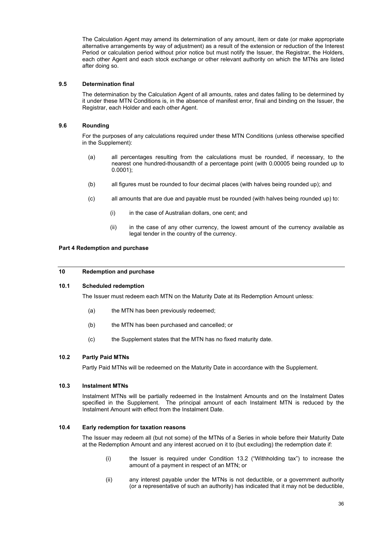The Calculation Agent may amend its determination of any amount, item or date (or make appropriate alternative arrangements by way of adjustment) as a result of the extension or reduction of the Interest Period or calculation period without prior notice but must notify the Issuer, the Registrar, the Holders, each other Agent and each stock exchange or other relevant authority on which the MTNs are listed after doing so.

## **9.5 Determination final**

The determination by the Calculation Agent of all amounts, rates and dates falling to be determined by it under these MTN Conditions is, in the absence of manifest error, final and binding on the Issuer, the Registrar, each Holder and each other Agent.

## **9.6 Rounding**

For the purposes of any calculations required under these MTN Conditions (unless otherwise specified in the Supplement):

- (a) all percentages resulting from the calculations must be rounded, if necessary, to the nearest one hundred-thousandth of a percentage point (with 0.00005 being rounded up to 0.0001);
- (b) all figures must be rounded to four decimal places (with halves being rounded up); and
- (c) all amounts that are due and payable must be rounded (with halves being rounded up) to:
	- (i) in the case of Australian dollars, one cent; and
	- (ii) in the case of any other currency, the lowest amount of the currency available as legal tender in the country of the currency.

# **Part 4 Redemption and purchase**

# **10 Redemption and purchase**

#### **10.1 Scheduled redemption**

The Issuer must redeem each MTN on the Maturity Date at its Redemption Amount unless:

- (a) the MTN has been previously redeemed;
- (b) the MTN has been purchased and cancelled; or
- (c) the Supplement states that the MTN has no fixed maturity date.

# **10.2 Partly Paid MTNs**

Partly Paid MTNs will be redeemed on the Maturity Date in accordance with the Supplement.

## **10.3 Instalment MTNs**

Instalment MTNs will be partially redeemed in the Instalment Amounts and on the Instalment Dates specified in the Supplement. The principal amount of each Instalment MTN is reduced by the Instalment Amount with effect from the Instalment Date.

#### **10.4 Early redemption for taxation reasons**

The Issuer may redeem all (but not some) of the MTNs of a Series in whole before their Maturity Date at the Redemption Amount and any interest accrued on it to (but excluding) the redemption date if:

- (i) the Issuer is required under Condition 13.2 ("Withholding tax") to increase the amount of a payment in respect of an MTN; or
- (ii) any interest payable under the MTNs is not deductible, or a government authority (or a representative of such an authority) has indicated that it may not be deductible,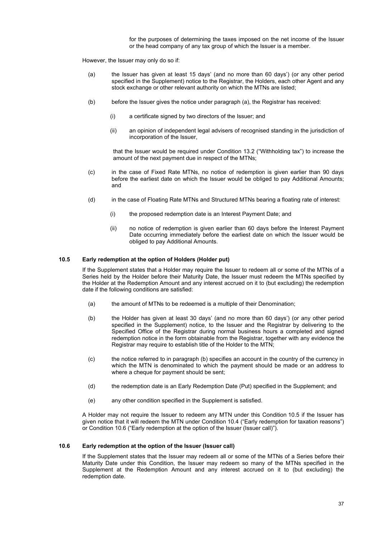for the purposes of determining the taxes imposed on the net income of the Issuer or the head company of any tax group of which the Issuer is a member.

However, the Issuer may only do so if:

- (a) the Issuer has given at least 15 days' (and no more than 60 days') (or any other period specified in the Supplement) notice to the Registrar, the Holders, each other Agent and any stock exchange or other relevant authority on which the MTNs are listed;
- (b) before the Issuer gives the notice under paragraph (a), the Registrar has received:
	- (i) a certificate signed by two directors of the Issuer; and
	- (ii) an opinion of independent legal advisers of recognised standing in the jurisdiction of incorporation of the Issuer,

that the Issuer would be required under Condition 13.2 ("Withholding tax") to increase the amount of the next payment due in respect of the MTNs;

- (c) in the case of Fixed Rate MTNs, no notice of redemption is given earlier than 90 days before the earliest date on which the Issuer would be obliged to pay Additional Amounts; and
- (d) in the case of Floating Rate MTNs and Structured MTNs bearing a floating rate of interest:
	- (i) the proposed redemption date is an Interest Payment Date; and
	- (ii) no notice of redemption is given earlier than 60 days before the Interest Payment Date occurring immediately before the earliest date on which the Issuer would be obliged to pay Additional Amounts.

#### **10.5 Early redemption at the option of Holders (Holder put)**

If the Supplement states that a Holder may require the Issuer to redeem all or some of the MTNs of a Series held by the Holder before their Maturity Date, the Issuer must redeem the MTNs specified by the Holder at the Redemption Amount and any interest accrued on it to (but excluding) the redemption date if the following conditions are satisfied:

- (a) the amount of MTNs to be redeemed is a multiple of their Denomination;
- (b) the Holder has given at least 30 days' (and no more than 60 days') (or any other period specified in the Supplement) notice, to the Issuer and the Registrar by delivering to the Specified Office of the Registrar during normal business hours a completed and signed redemption notice in the form obtainable from the Registrar, together with any evidence the Registrar may require to establish title of the Holder to the MTN;
- (c) the notice referred to in paragraph (b) specifies an account in the country of the currency in which the MTN is denominated to which the payment should be made or an address to where a cheque for payment should be sent;
- (d) the redemption date is an Early Redemption Date (Put) specified in the Supplement; and
- (e) any other condition specified in the Supplement is satisfied.

A Holder may not require the Issuer to redeem any MTN under this Condition 10.5 if the Issuer has given notice that it will redeem the MTN under Condition 10.4 ("Early redemption for taxation reasons") or Condition 10.6 ("Early redemption at the option of the Issuer (Issuer call)").

#### **10.6 Early redemption at the option of the Issuer (Issuer call)**

If the Supplement states that the Issuer may redeem all or some of the MTNs of a Series before their Maturity Date under this Condition, the Issuer may redeem so many of the MTNs specified in the Supplement at the Redemption Amount and any interest accrued on it to (but excluding) the redemption date.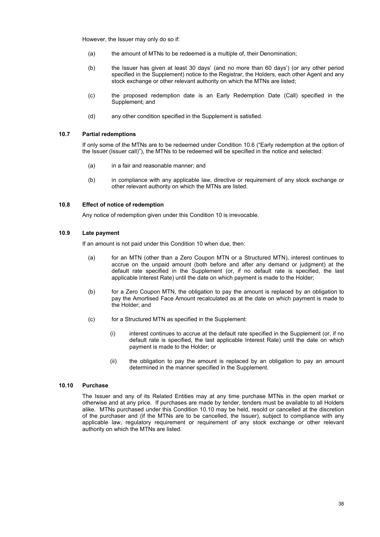However, the Issuer may only do so if:

- (a) the amount of MTNs to be redeemed is a multiple of, their Denomination;
- (b) the Issuer has given at least 30 days' (and no more than 60 days') (or any other period specified in the Supplement) notice to the Registrar, the Holders, each other Agent and any stock exchange or other relevant authority on which the MTNs are listed;
- (c) the proposed redemption date is an Early Redemption Date (Call) specified in the Supplement; and
- (d) any other condition specified in the Supplement is satisfied.

#### **10.7 Partial redemptions**

If only some of the MTNs are to be redeemed under Condition 10.6 ("Early redemption at the option of the Issuer (Issuer call)"), the MTNs to be redeemed will be specified in the notice and selected:

- (a) in a fair and reasonable manner; and
- (b) in compliance with any applicable law, directive or requirement of any stock exchange or other relevant authority on which the MTNs are listed.

#### **10.8 Effect of notice of redemption**

Any notice of redemption given under this Condition 10 is irrevocable.

### **10.9 Late payment**

If an amount is not paid under this Condition 10 when due, then:

- (a) for an MTN (other than a Zero Coupon MTN or a Structured MTN), interest continues to accrue on the unpaid amount (both before and after any demand or judgment) at the default rate specified in the Supplement (or, if no default rate is specified, the last applicable Interest Rate) until the date on which payment is made to the Holder;
- (b) for a Zero Coupon MTN, the obligation to pay the amount is replaced by an obligation to pay the Amortised Face Amount recalculated as at the date on which payment is made to the Holder; and
- (c) for a Structured MTN as specified in the Supplement:
	- (i) interest continues to accrue at the default rate specified in the Supplement (or, if no default rate is specified, the last applicable Interest Rate) until the date on which payment is made to the Holder; or
	- (ii) the obligation to pay the amount is replaced by an obligation to pay an amount determined in the manner specified in the Supplement.

### **10.10 Purchase**

The Issuer and any of its Related Entities may at any time purchase MTNs in the open market or otherwise and at any price. If purchases are made by tender, tenders must be available to all Holders alike. MTNs purchased under this Condition 10.10 may be held, resold or cancelled at the discretion of the purchaser and (if the MTNs are to be cancelled, the Issuer), subject to compliance with any applicable law, regulatory requirement or requirement of any stock exchange or other relevant authority on which the MTNs are listed.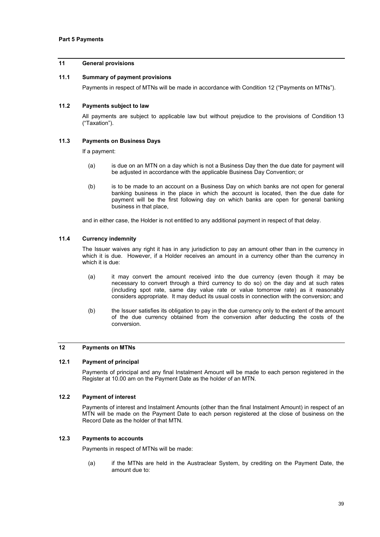## **11 General provisions**

### **11.1 Summary of payment provisions**

Payments in respect of MTNs will be made in accordance with Condition 12 ("Payments on MTNs").

### **11.2 Payments subject to law**

All payments are subject to applicable law but without prejudice to the provisions of Condition 13 ("Taxation").

### **11.3 Payments on Business Days**

If a payment:

- (a) is due on an MTN on a day which is not a Business Day then the due date for payment will be adjusted in accordance with the applicable Business Day Convention; or
- (b) is to be made to an account on a Business Day on which banks are not open for general banking business in the place in which the account is located, then the due date for payment will be the first following day on which banks are open for general banking business in that place,

and in either case, the Holder is not entitled to any additional payment in respect of that delay.

### **11.4 Currency indemnity**

The Issuer waives any right it has in any jurisdiction to pay an amount other than in the currency in which it is due. However, if a Holder receives an amount in a currency other than the currency in which it is due:

- (a) it may convert the amount received into the due currency (even though it may be necessary to convert through a third currency to do so) on the day and at such rates (including spot rate, same day value rate or value tomorrow rate) as it reasonably considers appropriate. It may deduct its usual costs in connection with the conversion; and
- (b) the Issuer satisfies its obligation to pay in the due currency only to the extent of the amount of the due currency obtained from the conversion after deducting the costs of the conversion.

### **12 Payments on MTNs**

#### **12.1 Payment of principal**

Payments of principal and any final Instalment Amount will be made to each person registered in the Register at 10.00 am on the Payment Date as the holder of an MTN.

### **12.2 Payment of interest**

Payments of interest and Instalment Amounts (other than the final Instalment Amount) in respect of an MTN will be made on the Payment Date to each person registered at the close of business on the Record Date as the holder of that MTN.

#### **12.3 Payments to accounts**

Payments in respect of MTNs will be made:

(a) if the MTNs are held in the Austraclear System, by crediting on the Payment Date, the amount due to: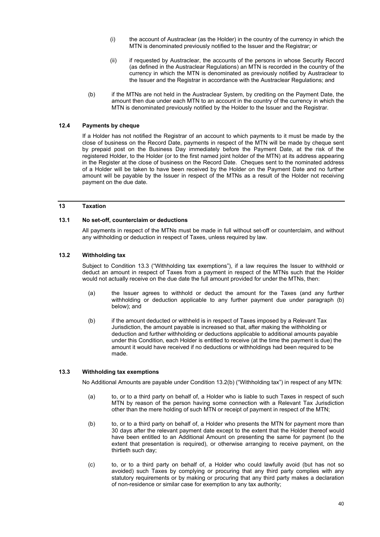- (i) the account of Austraclear (as the Holder) in the country of the currency in which the MTN is denominated previously notified to the Issuer and the Registrar; or
- (ii) if requested by Austraclear, the accounts of the persons in whose Security Record (as defined in the Austraclear Regulations) an MTN is recorded in the country of the currency in which the MTN is denominated as previously notified by Austraclear to the Issuer and the Registrar in accordance with the Austraclear Regulations; and
- (b) if the MTNs are not held in the Austraclear System, by crediting on the Payment Date, the amount then due under each MTN to an account in the country of the currency in which the MTN is denominated previously notified by the Holder to the Issuer and the Registrar.

## **12.4 Payments by cheque**

If a Holder has not notified the Registrar of an account to which payments to it must be made by the close of business on the Record Date, payments in respect of the MTN will be made by cheque sent by prepaid post on the Business Day immediately before the Payment Date, at the risk of the registered Holder, to the Holder (or to the first named joint holder of the MTN) at its address appearing in the Register at the close of business on the Record Date. Cheques sent to the nominated address of a Holder will be taken to have been received by the Holder on the Payment Date and no further amount will be payable by the Issuer in respect of the MTNs as a result of the Holder not receiving payment on the due date.

#### **13 Taxation**

### **13.1 No set-off, counterclaim or deductions**

All payments in respect of the MTNs must be made in full without set-off or counterclaim, and without any withholding or deduction in respect of Taxes, unless required by law.

## **13.2 Withholding tax**

Subject to Condition 13.3 ("Withholding tax exemptions"), if a law requires the Issuer to withhold or deduct an amount in respect of Taxes from a payment in respect of the MTNs such that the Holder would not actually receive on the due date the full amount provided for under the MTNs, then:

- (a) the Issuer agrees to withhold or deduct the amount for the Taxes (and any further withholding or deduction applicable to any further payment due under paragraph (b) below); and
- (b) if the amount deducted or withheld is in respect of Taxes imposed by a Relevant Tax Jurisdiction, the amount payable is increased so that, after making the withholding or deduction and further withholding or deductions applicable to additional amounts payable under this Condition, each Holder is entitled to receive (at the time the payment is due) the amount it would have received if no deductions or withholdings had been required to be made.

#### **13.3 Withholding tax exemptions**

No Additional Amounts are payable under Condition 13.2(b) ("Withholding tax") in respect of any MTN:

- (a) to, or to a third party on behalf of, a Holder who is liable to such Taxes in respect of such MTN by reason of the person having some connection with a Relevant Tax Jurisdiction other than the mere holding of such MTN or receipt of payment in respect of the MTN;
- (b) to, or to a third party on behalf of, a Holder who presents the MTN for payment more than 30 days after the relevant payment date except to the extent that the Holder thereof would have been entitled to an Additional Amount on presenting the same for payment (to the extent that presentation is required), or otherwise arranging to receive payment, on the thirtieth such day;
- (c) to, or to a third party on behalf of, a Holder who could lawfully avoid (but has not so avoided) such Taxes by complying or procuring that any third party complies with any statutory requirements or by making or procuring that any third party makes a declaration of non-residence or similar case for exemption to any tax authority;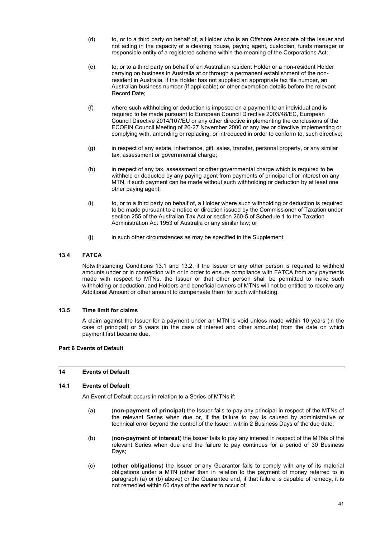- (d) to, or to a third party on behalf of, a Holder who is an Offshore Associate of the Issuer and not acting in the capacity of a clearing house, paying agent, custodian, funds manager or responsible entity of a registered scheme within the meaning of the Corporations Act;
- (e) to, or to a third party on behalf of an Australian resident Holder or a non-resident Holder carrying on business in Australia at or through a permanent establishment of the nonresident in Australia, if the Holder has not supplied an appropriate tax file number, an Australian business number (if applicable) or other exemption details before the relevant Record Date;
- (f) where such withholding or deduction is imposed on a payment to an individual and is required to be made pursuant to European Council Directive 2003/48/EC, European Council Directive 2014/107/EU or any other directive implementing the conclusions of the ECOFIN Council Meeting of 26-27 November 2000 or any law or directive implementing or complying with, amending or replacing, or introduced in order to conform to, such directive;
- (g) in respect of any estate, inheritance, gift, sales, transfer, personal property, or any similar tax, assessment or governmental charge;
- (h) in respect of any tax, assessment or other governmental charge which is required to be withheld or deducted by any paying agent from payments of principal of or interest on any MTN, if such payment can be made without such withholding or deduction by at least one other paying agent;
- (i) to, or to a third party on behalf of, a Holder where such withholding or deduction is required to be made pursuant to a notice or direction issued by the Commissioner of Taxation under section 255 of the Australian Tax Act or section 260-5 of Schedule 1 to the Taxation Administration Act 1953 of Australia or any similar law; or
- (j) in such other circumstances as may be specified in the Supplement.

## **13.4 FATCA**

Notwithstanding Conditions 13.1 and 13.2, if the Issuer or any other person is required to withhold amounts under or in connection with or in order to ensure compliance with FATCA from any payments made with respect to MTNs, the Issuer or that other person shall be permitted to make such withholding or deduction, and Holders and beneficial owners of MTNs will not be entitled to receive any Additional Amount or other amount to compensate them for such withholding.

### **13.5 Time limit for claims**

A claim against the Issuer for a payment under an MTN is void unless made within 10 years (in the case of principal) or 5 years (in the case of interest and other amounts) from the date on which payment first became due.

## **Part 6 Events of Default**

## **14 Events of Default**

### **14.1 Events of Default**

An Event of Default occurs in relation to a Series of MTNs if:

- (a) (**non-payment of principal**) the Issuer fails to pay any principal in respect of the MTNs of the relevant Series when due or, if the failure to pay is caused by administrative or technical error beyond the control of the Issuer, within 2 Business Days of the due date;
- (b) (**non-payment of interest**) the Issuer fails to pay any interest in respect of the MTNs of the relevant Series when due and the failure to pay continues for a period of 30 Business Days:
- (c) (**other obligations**) the Issuer or any Guarantor fails to comply with any of its material obligations under a MTN (other than in relation to the payment of money referred to in paragraph (a) or (b) above) or the Guarantee and, if that failure is capable of remedy, it is not remedied within 60 days of the earlier to occur of: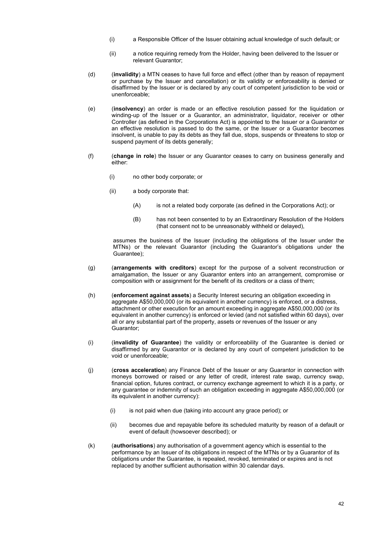- (i) a Responsible Officer of the Issuer obtaining actual knowledge of such default; or
- (ii) a notice requiring remedy from the Holder, having been delivered to the Issuer or relevant Guarantor;
- (d) (**invalidity**) a MTN ceases to have full force and effect (other than by reason of repayment or purchase by the Issuer and cancellation) or its validity or enforceability is denied or disaffirmed by the Issuer or is declared by any court of competent jurisdiction to be void or unenforceable;
- (e) (**insolvency**) an order is made or an effective resolution passed for the liquidation or winding-up of the Issuer or a Guarantor, an administrator, liquidator, receiver or other Controller (as defined in the Corporations Act) is appointed to the Issuer or a Guarantor or an effective resolution is passed to do the same, or the Issuer or a Guarantor becomes insolvent, is unable to pay its debts as they fall due, stops, suspends or threatens to stop or suspend payment of its debts generally:
- (f) (**change in role**) the Issuer or any Guarantor ceases to carry on business generally and either:
	- (i) no other body corporate; or
	- (ii) a body corporate that:
		- (A) is not a related body corporate (as defined in the Corporations Act); or
		- (B) has not been consented to by an Extraordinary Resolution of the Holders (that consent not to be unreasonably withheld or delayed),

assumes the business of the Issuer (including the obligations of the Issuer under the MTNs) or the relevant Guarantor (including the Guarantor's obligations under the Guarantee);

- (g) (**arrangements with creditors**) except for the purpose of a solvent reconstruction or amalgamation, the Issuer or any Guarantor enters into an arrangement, compromise or composition with or assignment for the benefit of its creditors or a class of them;
- (h) (**enforcement against assets**) a Security Interest securing an obligation exceeding in aggregate A\$50,000,000 (or its equivalent in another currency) is enforced, or a distress, attachment or other execution for an amount exceeding in aggregate A\$50,000,000 (or its equivalent in another currency) is enforced or levied (and not satisfied within 60 days), over all or any substantial part of the property, assets or revenues of the Issuer or any Guarantor;
- (i) (**invalidity of Guarantee**) the validity or enforceability of the Guarantee is denied or disaffirmed by any Guarantor or is declared by any court of competent jurisdiction to be void or unenforceable;
- (j) (**cross acceleration**) any Finance Debt of the Issuer or any Guarantor in connection with moneys borrowed or raised or any letter of credit, interest rate swap, currency swap, financial option, futures contract, or currency exchange agreement to which it is a party, or any guarantee or indemnity of such an obligation exceeding in aggregate A\$50,000,000 (or its equivalent in another currency):
	- (i) is not paid when due (taking into account any grace period); or
	- (ii) becomes due and repayable before its scheduled maturity by reason of a default or event of default (howsoever described); or
- (k) (**authorisations**) any authorisation of a government agency which is essential to the performance by an Issuer of its obligations in respect of the MTNs or by a Guarantor of its obligations under the Guarantee, is repealed, revoked, terminated or expires and is not replaced by another sufficient authorisation within 30 calendar days.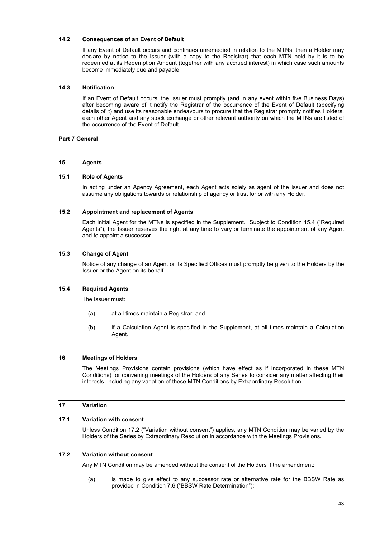### **14.2 Consequences of an Event of Default**

If any Event of Default occurs and continues unremedied in relation to the MTNs, then a Holder may declare by notice to the Issuer (with a copy to the Registrar) that each MTN held by it is to be redeemed at its Redemption Amount (together with any accrued interest) in which case such amounts become immediately due and payable.

## **14.3 Notification**

If an Event of Default occurs, the Issuer must promptly (and in any event within five Business Days) after becoming aware of it notify the Registrar of the occurrence of the Event of Default (specifying details of it) and use its reasonable endeavours to procure that the Registrar promptly notifies Holders, each other Agent and any stock exchange or other relevant authority on which the MTNs are listed of the occurrence of the Event of Default.

## **Part 7 General**

#### **15 Agents**

#### **15.1 Role of Agents**

In acting under an Agency Agreement, each Agent acts solely as agent of the Issuer and does not assume any obligations towards or relationship of agency or trust for or with any Holder.

#### **15.2 Appointment and replacement of Agents**

Each initial Agent for the MTNs is specified in the Supplement. Subject to Condition 15.4 ("Required Agents"), the Issuer reserves the right at any time to vary or terminate the appointment of any Agent and to appoint a successor.

### **15.3 Change of Agent**

Notice of any change of an Agent or its Specified Offices must promptly be given to the Holders by the Issuer or the Agent on its behalf.

## **15.4 Required Agents**

The Issuer must:

- (a) at all times maintain a Registrar; and
- (b) if a Calculation Agent is specified in the Supplement, at all times maintain a Calculation Agent.

## **16 Meetings of Holders**

The Meetings Provisions contain provisions (which have effect as if incorporated in these MTN Conditions) for convening meetings of the Holders of any Series to consider any matter affecting their interests, including any variation of these MTN Conditions by Extraordinary Resolution.

## **17 Variation**

## **17.1 Variation with consent**

Unless Condition 17.2 ("Variation without consent") applies, any MTN Condition may be varied by the Holders of the Series by Extraordinary Resolution in accordance with the Meetings Provisions.

#### **17.2 Variation without consent**

Any MTN Condition may be amended without the consent of the Holders if the amendment:

(a) is made to give effect to any successor rate or alternative rate for the BBSW Rate as provided in Condition 7.6 ("BBSW Rate Determination");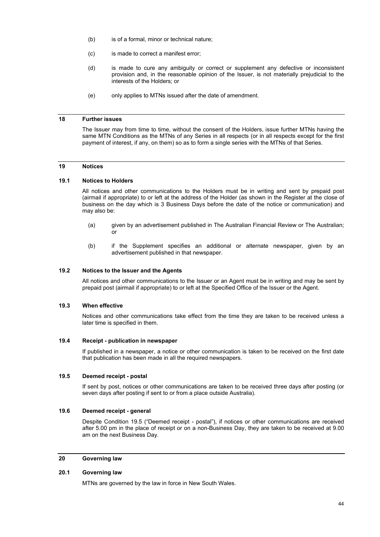- (b) is of a formal, minor or technical nature;
- (c) is made to correct a manifest error;
- (d) is made to cure any ambiguity or correct or supplement any defective or inconsistent provision and, in the reasonable opinion of the Issuer, is not materially prejudicial to the interests of the Holders; or
- (e) only applies to MTNs issued after the date of amendment.

#### **18 Further issues**

The Issuer may from time to time, without the consent of the Holders, issue further MTNs having the same MTN Conditions as the MTNs of any Series in all respects (or in all respects except for the first payment of interest, if any, on them) so as to form a single series with the MTNs of that Series.

## **19 Notices**

#### **19.1 Notices to Holders**

All notices and other communications to the Holders must be in writing and sent by prepaid post (airmail if appropriate) to or left at the address of the Holder (as shown in the Register at the close of business on the day which is 3 Business Days before the date of the notice or communication) and may also be:

- (a) given by an advertisement published in The Australian Financial Review or The Australian; or
- (b) if the Supplement specifies an additional or alternate newspaper, given by an advertisement published in that newspaper.

### **19.2 Notices to the Issuer and the Agents**

All notices and other communications to the Issuer or an Agent must be in writing and may be sent by prepaid post (airmail if appropriate) to or left at the Specified Office of the Issuer or the Agent.

#### **19.3 When effective**

Notices and other communications take effect from the time they are taken to be received unless a later time is specified in them.

#### **19.4 Receipt - publication in newspaper**

If published in a newspaper, a notice or other communication is taken to be received on the first date that publication has been made in all the required newspapers.

### **19.5 Deemed receipt - postal**

If sent by post, notices or other communications are taken to be received three days after posting (or seven days after posting if sent to or from a place outside Australia).

#### **19.6 Deemed receipt - general**

Despite Condition 19.5 ("Deemed receipt - postal"), if notices or other communications are received after 5.00 pm in the place of receipt or on a non-Business Day, they are taken to be received at 9.00 am on the next Business Day.

### **20 Governing law**

#### **20.1 Governing law**

MTNs are governed by the law in force in New South Wales.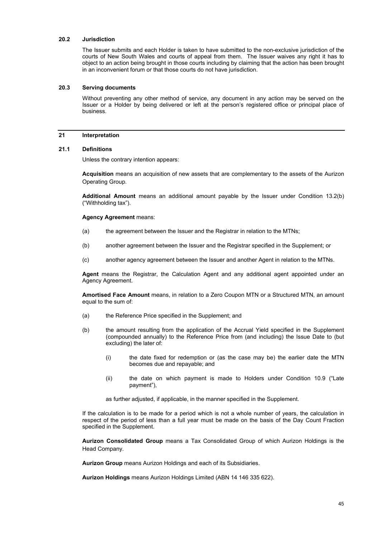### **20.2 Jurisdiction**

The Issuer submits and each Holder is taken to have submitted to the non-exclusive jurisdiction of the courts of New South Wales and courts of appeal from them. The Issuer waives any right it has to object to an action being brought in those courts including by claiming that the action has been brought in an inconvenient forum or that those courts do not have jurisdiction.

### **20.3 Serving documents**

Without preventing any other method of service, any document in any action may be served on the Issuer or a Holder by being delivered or left at the person's registered office or principal place of business.

#### **21 Interpretation**

#### **21.1 Definitions**

Unless the contrary intention appears:

**Acquisition** means an acquisition of new assets that are complementary to the assets of the Aurizon Operating Group.

**Additional Amount** means an additional amount payable by the Issuer under Condition 13.2(b) ("Withholding tax").

#### **Agency Agreement** means:

- (a) the agreement between the Issuer and the Registrar in relation to the MTNs;
- (b) another agreement between the Issuer and the Registrar specified in the Supplement; or
- (c) another agency agreement between the Issuer and another Agent in relation to the MTNs.

**Agent** means the Registrar, the Calculation Agent and any additional agent appointed under an Agency Agreement.

**Amortised Face Amount** means, in relation to a Zero Coupon MTN or a Structured MTN, an amount equal to the sum of:

- (a) the Reference Price specified in the Supplement; and
- (b) the amount resulting from the application of the Accrual Yield specified in the Supplement (compounded annually) to the Reference Price from (and including) the Issue Date to (but excluding) the later of:
	- (i) the date fixed for redemption or (as the case may be) the earlier date the MTN becomes due and repayable; and
	- (ii) the date on which payment is made to Holders under Condition 10.9 ("Late payment"),

as further adjusted, if applicable, in the manner specified in the Supplement.

If the calculation is to be made for a period which is not a whole number of years, the calculation in respect of the period of less than a full year must be made on the basis of the Day Count Fraction specified in the Supplement.

**Aurizon Consolidated Group** means a Tax Consolidated Group of which Aurizon Holdings is the Head Company.

**Aurizon Group** means Aurizon Holdings and each of its Subsidiaries.

**Aurizon Holdings** means Aurizon Holdings Limited (ABN 14 146 335 622).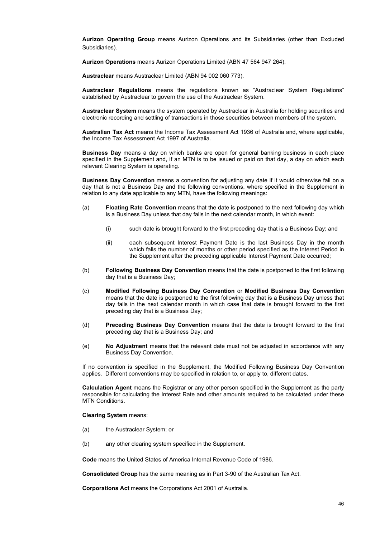**Aurizon Operating Group** means Aurizon Operations and its Subsidiaries (other than Excluded Subsidiaries).

**Aurizon Operations** means Aurizon Operations Limited (ABN 47 564 947 264).

**Austraclear** means Austraclear Limited (ABN 94 002 060 773).

**Austraclear Regulations** means the regulations known as "Austraclear System Regulations" established by Austraclear to govern the use of the Austraclear System.

**Austraclear System** means the system operated by Austraclear in Australia for holding securities and electronic recording and settling of transactions in those securities between members of the system.

**Australian Tax Act** means the Income Tax Assessment Act 1936 of Australia and, where applicable, the Income Tax Assessment Act 1997 of Australia.

**Business Day** means a day on which banks are open for general banking business in each place specified in the Supplement and, if an MTN is to be issued or paid on that day, a day on which each relevant Clearing System is operating.

**Business Day Convention** means a convention for adjusting any date if it would otherwise fall on a day that is not a Business Day and the following conventions, where specified in the Supplement in relation to any date applicable to any MTN, have the following meanings:

- (a) **Floating Rate Convention** means that the date is postponed to the next following day which is a Business Day unless that day falls in the next calendar month, in which event:
	- (i) such date is brought forward to the first preceding day that is a Business Day; and
	- (ii) each subsequent Interest Payment Date is the last Business Day in the month which falls the number of months or other period specified as the Interest Period in the Supplement after the preceding applicable Interest Payment Date occurred;
- (b) **Following Business Day Convention** means that the date is postponed to the first following day that is a Business Day;
- (c) **Modified Following Business Day Convention** or **Modified Business Day Convention** means that the date is postponed to the first following day that is a Business Day unless that day falls in the next calendar month in which case that date is brought forward to the first preceding day that is a Business Day;
- (d) **Preceding Business Day Convention** means that the date is brought forward to the first preceding day that is a Business Day; and
- (e) **No Adjustment** means that the relevant date must not be adjusted in accordance with any Business Day Convention.

If no convention is specified in the Supplement, the Modified Following Business Day Convention applies. Different conventions may be specified in relation to, or apply to, different dates.

**Calculation Agent** means the Registrar or any other person specified in the Supplement as the party responsible for calculating the Interest Rate and other amounts required to be calculated under these MTN Conditions.

**Clearing System** means:

- (a) the Austraclear System; or
- (b) any other clearing system specified in the Supplement.

**Code** means the United States of America Internal Revenue Code of 1986.

**Consolidated Group** has the same meaning as in Part 3-90 of the Australian Tax Act.

**Corporations Act** means the Corporations Act 2001 of Australia.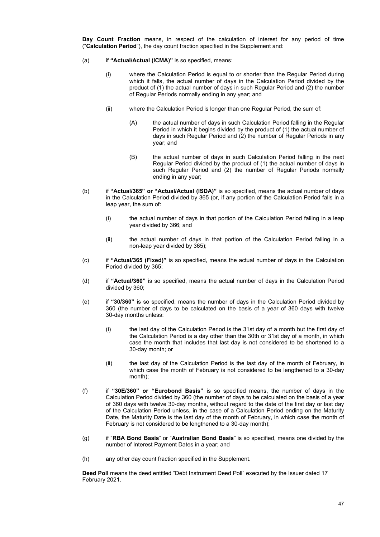**Day Count Fraction** means, in respect of the calculation of interest for any period of time ("**Calculation Period**"), the day count fraction specified in the Supplement and:

- (a) if **"Actual/Actual (ICMA)"** is so specified, means:
	- (i) where the Calculation Period is equal to or shorter than the Regular Period during which it falls, the actual number of days in the Calculation Period divided by the product of (1) the actual number of days in such Regular Period and (2) the number of Regular Periods normally ending in any year; and
	- (ii) where the Calculation Period is longer than one Regular Period, the sum of:
		- (A) the actual number of days in such Calculation Period falling in the Regular Period in which it begins divided by the product of (1) the actual number of days in such Regular Period and (2) the number of Regular Periods in any year; and
		- (B) the actual number of days in such Calculation Period falling in the next Regular Period divided by the product of (1) the actual number of days in such Regular Period and (2) the number of Regular Periods normally ending in any year;
- (b) if **"Actual/365" or "Actual/Actual (ISDA)"** is so specified, means the actual number of days in the Calculation Period divided by 365 (or, if any portion of the Calculation Period falls in a leap year, the sum of:
	- (i) the actual number of days in that portion of the Calculation Period falling in a leap year divided by 366; and
	- (ii) the actual number of days in that portion of the Calculation Period falling in a non-leap year divided by 365);
- (c) if **"Actual/365 (Fixed)"** is so specified, means the actual number of days in the Calculation Period divided by 365;
- (d) if **"Actual/360"** is so specified, means the actual number of days in the Calculation Period divided by 360;
- (e) if **"30/360"** is so specified, means the number of days in the Calculation Period divided by 360 (the number of days to be calculated on the basis of a year of 360 days with twelve 30-day months unless:
	- (i) the last day of the Calculation Period is the 31st day of a month but the first day of the Calculation Period is a day other than the 30th or 31st day of a month, in which case the month that includes that last day is not considered to be shortened to a 30-day month; or
	- (ii) the last day of the Calculation Period is the last day of the month of February, in which case the month of February is not considered to be lengthened to a 30-day month);
- (f) if **"30E/360" or "Eurobond Basis"** is so specified means, the number of days in the Calculation Period divided by 360 (the number of days to be calculated on the basis of a year of 360 days with twelve 30-day months, without regard to the date of the first day or last day of the Calculation Period unless, in the case of a Calculation Period ending on the Maturity Date, the Maturity Date is the last day of the month of February, in which case the month of February is not considered to be lengthened to a 30-day month);
- (g) if "**RBA Bond Basis**" or "**Australian Bond Basis**" is so specified, means one divided by the number of Interest Payment Dates in a year; and
- (h) any other day count fraction specified in the Supplement.

**Deed Poll** means the deed entitled "Debt Instrument Deed Poll" executed by the Issuer dated 17 February 2021.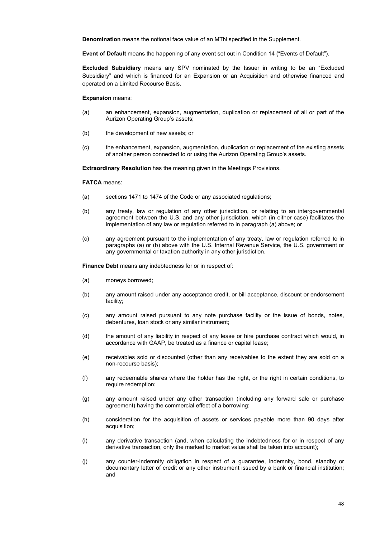**Denomination** means the notional face value of an MTN specified in the Supplement.

**Event of Default** means the happening of any event set out in Condition 14 ("Events of Default").

**Excluded Subsidiary** means any SPV nominated by the Issuer in writing to be an "Excluded Subsidiary" and which is financed for an Expansion or an Acquisition and otherwise financed and operated on a Limited Recourse Basis.

**Expansion** means:

- (a) an enhancement, expansion, augmentation, duplication or replacement of all or part of the Aurizon Operating Group's assets;
- (b) the development of new assets; or
- (c) the enhancement, expansion, augmentation, duplication or replacement of the existing assets of another person connected to or using the Aurizon Operating Group's assets.

**Extraordinary Resolution** has the meaning given in the Meetings Provisions.

**FATCA** means:

- (a) sections 1471 to 1474 of the Code or any associated regulations;
- (b) any treaty, law or regulation of any other jurisdiction, or relating to an intergovernmental agreement between the U.S. and any other jurisdiction, which (in either case) facilitates the implementation of any law or regulation referred to in paragraph (a) above; or
- (c) any agreement pursuant to the implementation of any treaty, law or regulation referred to in paragraphs (a) or (b) above with the U.S. Internal Revenue Service, the U.S. government or any governmental or taxation authority in any other jurisdiction.

**Finance Debt** means any indebtedness for or in respect of:

- (a) moneys borrowed;
- (b) any amount raised under any acceptance credit, or bill acceptance, discount or endorsement facility;
- (c) any amount raised pursuant to any note purchase facility or the issue of bonds, notes, debentures, loan stock or any similar instrument;
- (d) the amount of any liability in respect of any lease or hire purchase contract which would, in accordance with GAAP, be treated as a finance or capital lease;
- (e) receivables sold or discounted (other than any receivables to the extent they are sold on a non-recourse basis);
- (f) any redeemable shares where the holder has the right, or the right in certain conditions, to require redemption;
- (g) any amount raised under any other transaction (including any forward sale or purchase agreement) having the commercial effect of a borrowing;
- (h) consideration for the acquisition of assets or services payable more than 90 days after acquisition;
- (i) any derivative transaction (and, when calculating the indebtedness for or in respect of any derivative transaction, only the marked to market value shall be taken into account);
- (j) any counter-indemnity obligation in respect of a guarantee, indemnity, bond, standby or documentary letter of credit or any other instrument issued by a bank or financial institution; and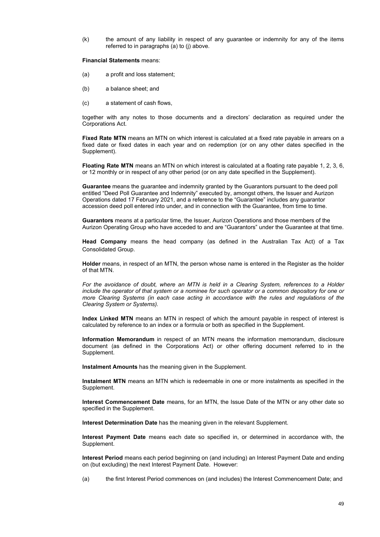(k) the amount of any liability in respect of any guarantee or indemnity for any of the items referred to in paragraphs (a) to (j) above.

### **Financial Statements** means:

- (a) a profit and loss statement;
- (b) a balance sheet; and
- (c) a statement of cash flows,

together with any notes to those documents and a directors' declaration as required under the Corporations Act.

**Fixed Rate MTN** means an MTN on which interest is calculated at a fixed rate payable in arrears on a fixed date or fixed dates in each year and on redemption (or on any other dates specified in the Supplement).

**Floating Rate MTN** means an MTN on which interest is calculated at a floating rate payable 1, 2, 3, 6, or 12 monthly or in respect of any other period (or on any date specified in the Supplement).

**Guarantee** means the guarantee and indemnity granted by the Guarantors pursuant to the deed poll entitled "Deed Poll Guarantee and Indemnity" executed by, amongst others, the Issuer and Aurizon Operations dated 17 February 2021, and a reference to the "Guarantee" includes any guarantor accession deed poll entered into under, and in connection with the Guarantee, from time to time.

**Guarantors** means at a particular time, the Issuer, Aurizon Operations and those members of the Aurizon Operating Group who have acceded to and are "Guarantors" under the Guarantee at that time.

**Head Company** means the head company (as defined in the Australian Tax Act) of a Tax Consolidated Group.

**Holder** means, in respect of an MTN, the person whose name is entered in the Register as the holder of that MTN.

*For the avoidance of doubt, where an MTN is held in a Clearing System, references to a Holder include the operator of that system or a nominee for such operator or a common depository for one or more Clearing Systems (in each case acting in accordance with the rules and regulations of the Clearing System or Systems).* 

**Index Linked MTN** means an MTN in respect of which the amount payable in respect of interest is calculated by reference to an index or a formula or both as specified in the Supplement.

**Information Memorandum** in respect of an MTN means the information memorandum, disclosure document (as defined in the Corporations Act) or other offering document referred to in the Supplement.

**Instalment Amounts** has the meaning given in the Supplement.

**Instalment MTN** means an MTN which is redeemable in one or more instalments as specified in the Supplement.

**Interest Commencement Date** means, for an MTN, the Issue Date of the MTN or any other date so specified in the Supplement.

**Interest Determination Date** has the meaning given in the relevant Supplement.

**Interest Payment Date** means each date so specified in, or determined in accordance with, the Supplement.

**Interest Period** means each period beginning on (and including) an Interest Payment Date and ending on (but excluding) the next Interest Payment Date. However:

(a) the first Interest Period commences on (and includes) the Interest Commencement Date; and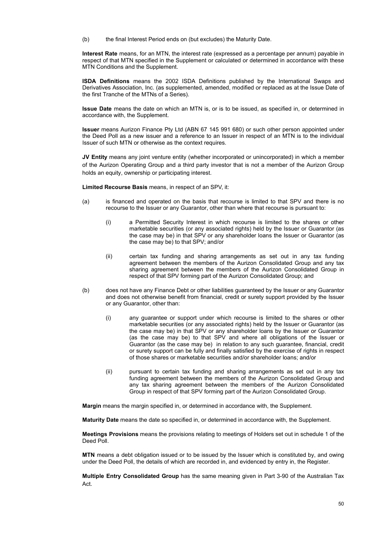(b) the final Interest Period ends on (but excludes) the Maturity Date.

**Interest Rate** means, for an MTN, the interest rate (expressed as a percentage per annum) payable in respect of that MTN specified in the Supplement or calculated or determined in accordance with these MTN Conditions and the Supplement.

**ISDA Definitions** means the 2002 ISDA Definitions published by the International Swaps and Derivatives Association, Inc. (as supplemented, amended, modified or replaced as at the Issue Date of the first Tranche of the MTNs of a Series).

**Issue Date** means the date on which an MTN is, or is to be issued, as specified in, or determined in accordance with, the Supplement.

**Issuer** means Aurizon Finance Pty Ltd (ABN 67 145 991 680) or such other person appointed under the Deed Poll as a new issuer and a reference to an Issuer in respect of an MTN is to the individual Issuer of such MTN or otherwise as the context requires.

**JV Entity** means any joint venture entity (whether incorporated or unincorporated) in which a member of the Aurizon Operating Group and a third party investor that is not a member of the Aurizon Group holds an equity, ownership or participating interest.

**Limited Recourse Basis** means, in respect of an SPV, it:

- (a) is financed and operated on the basis that recourse is limited to that SPV and there is no recourse to the Issuer or any Guarantor, other than where that recourse is pursuant to:
	- (i) a Permitted Security Interest in which recourse is limited to the shares or other marketable securities (or any associated rights) held by the Issuer or Guarantor (as the case may be) in that SPV or any shareholder loans the Issuer or Guarantor (as the case may be) to that SPV; and/or
	- (ii) certain tax funding and sharing arrangements as set out in any tax funding agreement between the members of the Aurizon Consolidated Group and any tax sharing agreement between the members of the Aurizon Consolidated Group in respect of that SPV forming part of the Aurizon Consolidated Group; and
- (b) does not have any Finance Debt or other liabilities guaranteed by the Issuer or any Guarantor and does not otherwise benefit from financial, credit or surety support provided by the Issuer or any Guarantor, other than:
	- (i) any guarantee or support under which recourse is limited to the shares or other marketable securities (or any associated rights) held by the Issuer or Guarantor (as the case may be) in that SPV or any shareholder loans by the Issuer or Guarantor (as the case may be) to that SPV and where all obligations of the Issuer or Guarantor (as the case may be) in relation to any such guarantee, financial, credit or surety support can be fully and finally satisfied by the exercise of rights in respect of those shares or marketable securities and/or shareholder loans; and/or
	- (ii) pursuant to certain tax funding and sharing arrangements as set out in any tax funding agreement between the members of the Aurizon Consolidated Group and any tax sharing agreement between the members of the Aurizon Consolidated Group in respect of that SPV forming part of the Aurizon Consolidated Group.

**Margin** means the margin specified in, or determined in accordance with, the Supplement.

**Maturity Date** means the date so specified in, or determined in accordance with, the Supplement.

**Meetings Provisions** means the provisions relating to meetings of Holders set out in schedule 1 of the Deed Poll.

**MTN** means a debt obligation issued or to be issued by the Issuer which is constituted by, and owing under the Deed Poll, the details of which are recorded in, and evidenced by entry in, the Register.

**Multiple Entry Consolidated Group** has the same meaning given in Part 3-90 of the Australian Tax Act.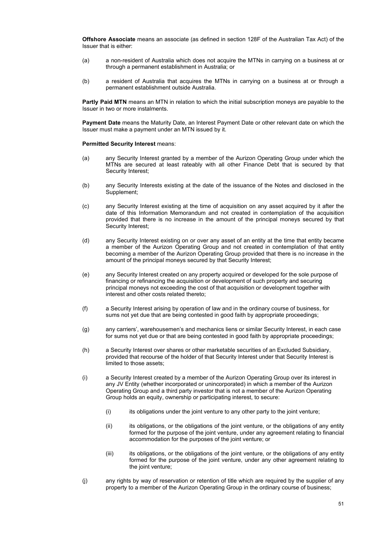**Offshore Associate** means an associate (as defined in section 128F of the Australian Tax Act) of the Issuer that is either:

- (a) a non-resident of Australia which does not acquire the MTNs in carrying on a business at or through a permanent establishment in Australia; or
- (b) a resident of Australia that acquires the MTNs in carrying on a business at or through a permanent establishment outside Australia.

**Partly Paid MTN** means an MTN in relation to which the initial subscription moneys are payable to the Issuer in two or more instalments.

**Payment Date** means the Maturity Date, an Interest Payment Date or other relevant date on which the Issuer must make a payment under an MTN issued by it.

### **Permitted Security Interest means:**

- (a) any Security Interest granted by a member of the Aurizon Operating Group under which the MTNs are secured at least rateably with all other Finance Debt that is secured by that Security Interest;
- (b) any Security Interests existing at the date of the issuance of the Notes and disclosed in the Supplement;
- (c) any Security Interest existing at the time of acquisition on any asset acquired by it after the date of this Information Memorandum and not created in contemplation of the acquisition provided that there is no increase in the amount of the principal moneys secured by that Security Interest;
- (d) any Security Interest existing on or over any asset of an entity at the time that entity became a member of the Aurizon Operating Group and not created in contemplation of that entity becoming a member of the Aurizon Operating Group provided that there is no increase in the amount of the principal moneys secured by that Security Interest;
- (e) any Security Interest created on any property acquired or developed for the sole purpose of financing or refinancing the acquisition or development of such property and securing principal moneys not exceeding the cost of that acquisition or development together with interest and other costs related thereto;
- (f) a Security Interest arising by operation of law and in the ordinary course of business, for sums not yet due that are being contested in good faith by appropriate proceedings;
- (g) any carriers', warehousemen's and mechanics liens or similar Security Interest, in each case for sums not yet due or that are being contested in good faith by appropriate proceedings;
- (h) a Security Interest over shares or other marketable securities of an Excluded Subsidiary, provided that recourse of the holder of that Security Interest under that Security Interest is limited to those assets;
- (i) a Security Interest created by a member of the Aurizon Operating Group over its interest in any JV Entity (whether incorporated or unincorporated) in which a member of the Aurizon Operating Group and a third party investor that is not a member of the Aurizon Operating Group holds an equity, ownership or participating interest, to secure:
	- $(i)$  its obligations under the joint venture to any other party to the joint venture;
	- (ii) its obligations, or the obligations of the joint venture, or the obligations of any entity formed for the purpose of the joint venture, under any agreement relating to financial accommodation for the purposes of the joint venture; or
	- (iii) its obligations, or the obligations of the joint venture, or the obligations of any entity formed for the purpose of the joint venture, under any other agreement relating to the joint venture;
- (j) any rights by way of reservation or retention of title which are required by the supplier of any property to a member of the Aurizon Operating Group in the ordinary course of business;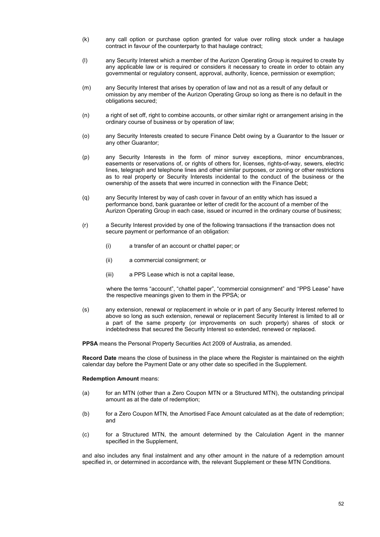- (k) any call option or purchase option granted for value over rolling stock under a haulage contract in favour of the counterparty to that haulage contract;
- (l) any Security Interest which a member of the Aurizon Operating Group is required to create by any applicable law or is required or considers it necessary to create in order to obtain any governmental or regulatory consent, approval, authority, licence, permission or exemption;
- (m) any Security Interest that arises by operation of law and not as a result of any default or omission by any member of the Aurizon Operating Group so long as there is no default in the obligations secured;
- (n) a right of set off, right to combine accounts, or other similar right or arrangement arising in the ordinary course of business or by operation of law;
- (o) any Security Interests created to secure Finance Debt owing by a Guarantor to the Issuer or any other Guarantor;
- (p) any Security Interests in the form of minor survey exceptions, minor encumbrances, easements or reservations of, or rights of others for, licenses, rights-of-way, sewers, electric lines, telegraph and telephone lines and other similar purposes, or zoning or other restrictions as to real property or Security Interests incidental to the conduct of the business or the ownership of the assets that were incurred in connection with the Finance Debt;
- (q) any Security Interest by way of cash cover in favour of an entity which has issued a performance bond, bank guarantee or letter of credit for the account of a member of the Aurizon Operating Group in each case, issued or incurred in the ordinary course of business;
- (r) a Security Interest provided by one of the following transactions if the transaction does not secure payment or performance of an obligation:
	- (i) a transfer of an account or chattel paper; or
	- (ii) a commercial consignment; or
	- (iii) a PPS Lease which is not a capital lease,

where the terms "account", "chattel paper", "commercial consignment" and "PPS Lease" have the respective meanings given to them in the PPSA; or

(s) any extension, renewal or replacement in whole or in part of any Security Interest referred to above so long as such extension, renewal or replacement Security Interest is limited to all or a part of the same property (or improvements on such property) shares of stock or indebtedness that secured the Security Interest so extended, renewed or replaced.

**PPSA** means the Personal Property Securities Act 2009 of Australia, as amended.

**Record Date** means the close of business in the place where the Register is maintained on the eighth calendar day before the Payment Date or any other date so specified in the Supplement.

#### **Redemption Amount** means:

- (a) for an MTN (other than a Zero Coupon MTN or a Structured MTN), the outstanding principal amount as at the date of redemption;
- (b) for a Zero Coupon MTN, the Amortised Face Amount calculated as at the date of redemption; and
- (c) for a Structured MTN, the amount determined by the Calculation Agent in the manner specified in the Supplement,

and also includes any final instalment and any other amount in the nature of a redemption amount specified in, or determined in accordance with, the relevant Supplement or these MTN Conditions.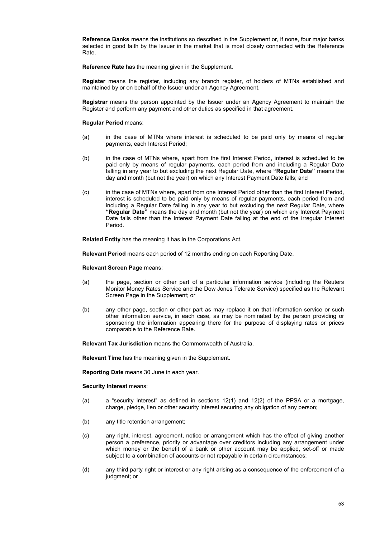**Reference Banks** means the institutions so described in the Supplement or, if none, four major banks selected in good faith by the Issuer in the market that is most closely connected with the Reference Rate.

**Reference Rate** has the meaning given in the Supplement.

**Register** means the register, including any branch register, of holders of MTNs established and maintained by or on behalf of the Issuer under an Agency Agreement.

**Registrar** means the person appointed by the Issuer under an Agency Agreement to maintain the Register and perform any payment and other duties as specified in that agreement.

#### **Regular Period** means:

- (a) in the case of MTNs where interest is scheduled to be paid only by means of regular payments, each Interest Period;
- (b) in the case of MTNs where, apart from the first Interest Period, interest is scheduled to be paid only by means of regular payments, each period from and including a Regular Date falling in any year to but excluding the next Regular Date, where **"Regular Date"** means the day and month (but not the year) on which any Interest Payment Date falls; and
- (c) in the case of MTNs where, apart from one Interest Period other than the first Interest Period, interest is scheduled to be paid only by means of regular payments, each period from and including a Regular Date falling in any year to but excluding the next Regular Date, where **"Regular Date"** means the day and month (but not the year) on which any Interest Payment Date falls other than the Interest Payment Date falling at the end of the irregular Interest Period.

**Related Entity** has the meaning it has in the Corporations Act.

**Relevant Period** means each period of 12 months ending on each Reporting Date.

**Relevant Screen Page** means:

- (a) the page, section or other part of a particular information service (including the Reuters Monitor Money Rates Service and the Dow Jones Telerate Service) specified as the Relevant Screen Page in the Supplement; or
- (b) any other page, section or other part as may replace it on that information service or such other information service, in each case, as may be nominated by the person providing or sponsoring the information appearing there for the purpose of displaying rates or prices comparable to the Reference Rate.

**Relevant Tax Jurisdiction** means the Commonwealth of Australia.

**Relevant Time** has the meaning given in the Supplement.

**Reporting Date** means 30 June in each year.

**Security Interest** means:

- (a) a "security interest" as defined in sections  $12(1)$  and  $12(2)$  of the PPSA or a mortgage, charge, pledge, lien or other security interest securing any obligation of any person;
- (b) any title retention arrangement;
- (c) any right, interest, agreement, notice or arrangement which has the effect of giving another person a preference, priority or advantage over creditors including any arrangement under which money or the benefit of a bank or other account may be applied, set-off or made subject to a combination of accounts or not repayable in certain circumstances;
- (d) any third party right or interest or any right arising as a consequence of the enforcement of a judgment; or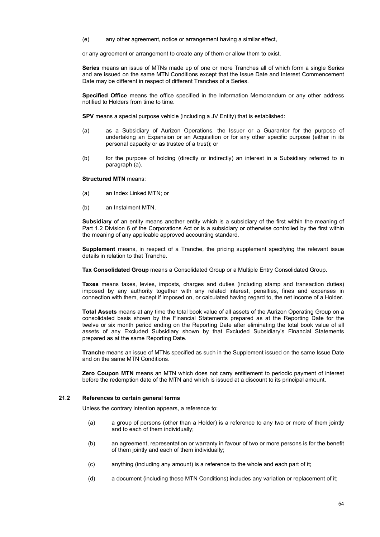(e) any other agreement, notice or arrangement having a similar effect,

or any agreement or arrangement to create any of them or allow them to exist.

**Series** means an issue of MTNs made up of one or more Tranches all of which form a single Series and are issued on the same MTN Conditions except that the Issue Date and Interest Commencement Date may be different in respect of different Tranches of a Series.

**Specified Office** means the office specified in the Information Memorandum or any other address notified to Holders from time to time.

**SPV** means a special purpose vehicle (including a JV Entity) that is established:

- (a) as a Subsidiary of Aurizon Operations, the Issuer or a Guarantor for the purpose of undertaking an Expansion or an Acquisition or for any other specific purpose (either in its personal capacity or as trustee of a trust); or
- (b) for the purpose of holding (directly or indirectly) an interest in a Subsidiary referred to in paragraph (a).

**Structured MTN** means:

- (a) an Index Linked MTN; or
- (b) an Instalment MTN.

**Subsidiary** of an entity means another entity which is a subsidiary of the first within the meaning of Part 1.2 Division 6 of the Corporations Act or is a subsidiary or otherwise controlled by the first within the meaning of any applicable approved accounting standard.

**Supplement** means, in respect of a Tranche, the pricing supplement specifying the relevant issue details in relation to that Tranche.

**Tax Consolidated Group** means a Consolidated Group or a Multiple Entry Consolidated Group.

**Taxes** means taxes, levies, imposts, charges and duties (including stamp and transaction duties) imposed by any authority together with any related interest, penalties, fines and expenses in connection with them, except if imposed on, or calculated having regard to, the net income of a Holder.

**Total Assets** means at any time the total book value of all assets of the Aurizon Operating Group on a consolidated basis shown by the Financial Statements prepared as at the Reporting Date for the twelve or six month period ending on the Reporting Date after eliminating the total book value of all assets of any Excluded Subsidiary shown by that Excluded Subsidiary's Financial Statements prepared as at the same Reporting Date.

**Tranche** means an issue of MTNs specified as such in the Supplement issued on the same Issue Date and on the same MTN Conditions.

**Zero Coupon MTN** means an MTN which does not carry entitlement to periodic payment of interest before the redemption date of the MTN and which is issued at a discount to its principal amount.

## **21.2 References to certain general terms**

Unless the contrary intention appears, a reference to:

- (a) a group of persons (other than a Holder) is a reference to any two or more of them jointly and to each of them individually;
- (b) an agreement, representation or warranty in favour of two or more persons is for the benefit of them jointly and each of them individually;
- (c) anything (including any amount) is a reference to the whole and each part of it;
- (d) a document (including these MTN Conditions) includes any variation or replacement of it;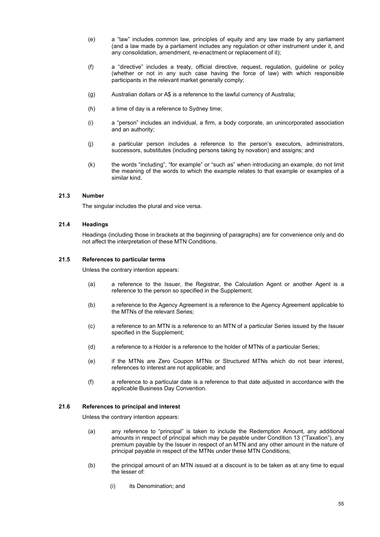- (e) a "law" includes common law, principles of equity and any law made by any parliament (and a law made by a parliament includes any regulation or other instrument under it, and any consolidation, amendment, re-enactment or replacement of it);
- (f) a "directive" includes a treaty, official directive, request, regulation, guideline or policy (whether or not in any such case having the force of law) with which responsible participants in the relevant market generally comply;
- (g) Australian dollars or A\$ is a reference to the lawful currency of Australia;
- (h) a time of day is a reference to Sydney time;
- (i) a "person" includes an individual, a firm, a body corporate, an unincorporated association and an authority;
- (j) a particular person includes a reference to the person's executors, administrators, successors, substitutes (including persons taking by novation) and assigns; and
- (k) the words "including", "for example" or "such as" when introducing an example, do not limit the meaning of the words to which the example relates to that example or examples of a similar kind.

### **21.3 Number**

The singular includes the plural and vice versa.

## **21.4 Headings**

Headings (including those in brackets at the beginning of paragraphs) are for convenience only and do not affect the interpretation of these MTN Conditions.

#### **21.5 References to particular terms**

Unless the contrary intention appears:

- (a) a reference to the Issuer, the Registrar, the Calculation Agent or another Agent is a reference to the person so specified in the Supplement;
- (b) a reference to the Agency Agreement is a reference to the Agency Agreement applicable to the MTNs of the relevant Series;
- (c) a reference to an MTN is a reference to an MTN of a particular Series issued by the Issuer specified in the Supplement;
- (d) a reference to a Holder is a reference to the holder of MTNs of a particular Series;
- (e) if the MTNs are Zero Coupon MTNs or Structured MTNs which do not bear interest, references to interest are not applicable; and
- (f) a reference to a particular date is a reference to that date adjusted in accordance with the applicable Business Day Convention.

## **21.6 References to principal and interest**

Unless the contrary intention appears:

- (a) any reference to "principal" is taken to include the Redemption Amount, any additional amounts in respect of principal which may be payable under Condition 13 ("Taxation"), any premium payable by the Issuer in respect of an MTN and any other amount in the nature of principal payable in respect of the MTNs under these MTN Conditions;
- (b) the principal amount of an MTN issued at a discount is to be taken as at any time to equal the lesser of:
	- (i) its Denomination; and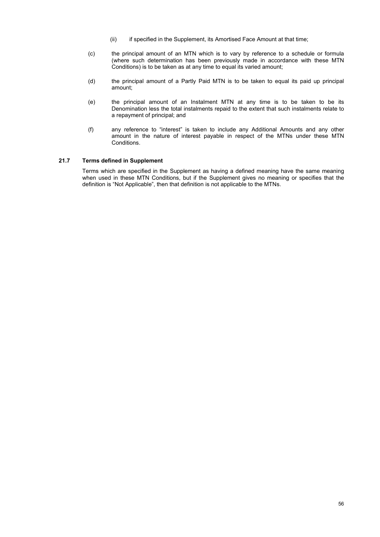- (ii) if specified in the Supplement, its Amortised Face Amount at that time;
- (c) the principal amount of an MTN which is to vary by reference to a schedule or formula (where such determination has been previously made in accordance with these MTN Conditions) is to be taken as at any time to equal its varied amount;
- (d) the principal amount of a Partly Paid MTN is to be taken to equal its paid up principal amount;
- (e) the principal amount of an Instalment MTN at any time is to be taken to be its Denomination less the total instalments repaid to the extent that such instalments relate to a repayment of principal; and
- (f) any reference to "interest" is taken to include any Additional Amounts and any other amount in the nature of interest payable in respect of the MTNs under these MTN Conditions.

## **21.7 Terms defined in Supplement**

Terms which are specified in the Supplement as having a defined meaning have the same meaning when used in these MTN Conditions, but if the Supplement gives no meaning or specifies that the definition is "Not Applicable", then that definition is not applicable to the MTNs.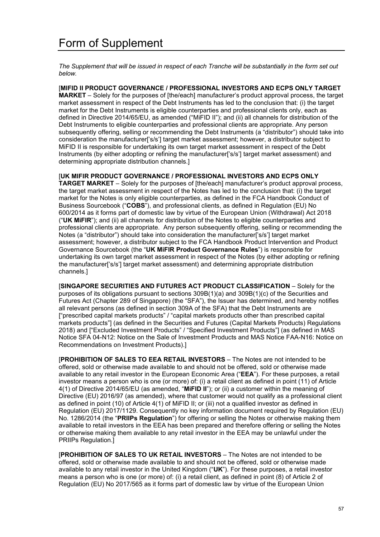*The Supplement that will be issued in respect of each Tranche will be substantially in the form set out below.* 

[**MIFID II PRODUCT GOVERNANCE / PROFESSIONAL INVESTORS AND ECPS ONLY TARGET MARKET** – Solely for the purposes of [the/each] manufacturer's product approval process, the target market assessment in respect of the Debt Instruments has led to the conclusion that: (i) the target market for the Debt Instruments is eligible counterparties and professional clients only, each as defined in Directive 2014/65/EU, as amended ("MiFID II"); and (ii) all channels for distribution of the Debt Instruments to eligible counterparties and professional clients are appropriate. Any person subsequently offering, selling or recommending the Debt Instruments (a "distributor") should take into consideration the manufacturer['s/s'] target market assessment; however, a distributor subject to MiFID II is responsible for undertaking its own target market assessment in respect of the Debt Instruments (by either adopting or refining the manufacturer['s/s'] target market assessment) and determining appropriate distribution channels.]

[**UK MIFIR PRODUCT GOVERNANCE / PROFESSIONAL INVESTORS AND ECPS ONLY TARGET MARKET** – Solely for the purposes of [the/each] manufacturer's product approval process, the target market assessment in respect of the Notes has led to the conclusion that: (i) the target market for the Notes is only eligible counterparties, as defined in the FCA Handbook Conduct of Business Sourcebook ("**COBS**"), and professional clients, as defined in Regulation (EU) No 600/2014 as it forms part of domestic law by virtue of the European Union (Withdrawal) Act 2018 ("**UK MiFIR**"); and (ii) all channels for distribution of the Notes to eligible counterparties and professional clients are appropriate. Any person subsequently offering, selling or recommending the Notes (a "distributor") should take into consideration the manufacturer['s/s'] target market assessment; however, a distributor subject to the FCA Handbook Product Intervention and Product Governance Sourcebook (the "**UK MiFIR Product Governance Rules**") is responsible for undertaking its own target market assessment in respect of the Notes (by either adopting or refining the manufacturer['s/s'] target market assessment) and determining appropriate distribution channels.]

[**SINGAPORE SECURITIES AND FUTURES ACT PRODUCT CLASSIFICATION** – Solely for the purposes of its obligations pursuant to sections 309B(1)(a) and 309B(1)(c) of the Securities and Futures Act (Chapter 289 of Singapore) (the "SFA"), the Issuer has determined, and hereby notifies all relevant persons (as defined in section 309A of the SFA) that the Debt Instruments are ["prescribed capital markets products" / "capital markets products other than prescribed capital markets products"] (as defined in the Securities and Futures (Capital Markets Products) Regulations 2018) and ["Excluded Investment Products" / "Specified Investment Products"] (as defined in MAS Notice SFA 04-N12: Notice on the Sale of Investment Products and MAS Notice FAA-N16: Notice on Recommendations on Investment Products).]

[**PROHIBITION OF SALES TO EEA RETAIL INVESTORS** – The Notes are not intended to be offered, sold or otherwise made available to and should not be offered, sold or otherwise made available to any retail investor in the European Economic Area ("**EEA**"). For these purposes, a retail investor means a person who is one (or more) of: (i) a retail client as defined in point (11) of Article 4(1) of Directive 2014/65/EU (as amended, "**MiFID II**"); or (ii) a customer within the meaning of Directive (EU) 2016/97 (as amended), where that customer would not qualify as a professional client as defined in point (10) of Article 4(1) of MiFID II; or (iii) not a qualified investor as defined in Regulation (EU) 2017/1129. Consequently no key information document required by Regulation (EU) No. 1286/2014 (the "**PRIIPs Regulation**") for offering or selling the Notes or otherwise making them available to retail investors in the EEA has been prepared and therefore offering or selling the Notes or otherwise making them available to any retail investor in the EEA may be unlawful under the PRIIPs Regulation.]

[**PROHIBITION OF SALES TO UK RETAIL INVESTORS** – The Notes are not intended to be offered, sold or otherwise made available to and should not be offered, sold or otherwise made available to any retail investor in the United Kingdom ("**UK**"). For these purposes, a retail investor means a person who is one (or more) of: (i) a retail client, as defined in point (8) of Article 2 of Regulation (EU) No 2017/565 as it forms part of domestic law by virtue of the European Union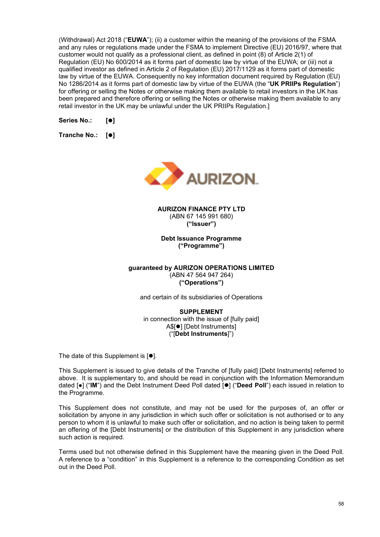(Withdrawal) Act 2018 ("**EUWA**"); (ii) a customer within the meaning of the provisions of the FSMA and any rules or regulations made under the FSMA to implement Directive (EU) 2016/97, where that customer would not qualify as a professional client, as defined in point (8) of Article 2(1) of Regulation (EU) No 600/2014 as it forms part of domestic law by virtue of the EUWA; or (iii) not a qualified investor as defined in Article 2 of Regulation (EU) 2017/1129 as it forms part of domestic law by virtue of the EUWA. Consequently no key information document required by Regulation (EU) No 1286/2014 as it forms part of domestic law by virtue of the EUWA (the "**UK PRIIPs Regulation**") for offering or selling the Notes or otherwise making them available to retail investors in the UK has been prepared and therefore offering or selling the Notes or otherwise making them available to any retail investor in the UK may be unlawful under the UK PRIIPs Regulation.]

Series No.: [<sup>0</sup>]

**Tranche No.: []** 



**AURIZON FINANCE PTY LTD**  (ABN 67 145 991 680) **("Issuer")** 

**Debt Issuance Programme ("Programme")** 

**guaranteed by AURIZON OPERATIONS LIMITED**  (ABN 47 564 947 264) **("Operations")** 

and certain of its subsidiaries of Operations

**SUPPLEMENT**  in connection with the issue of [fully paid] A\$[<sup>●</sup>] [Debt Instruments] ("[**Debt Instruments**]")

The date of this Supplement is  $[•]$ .

This Supplement is issued to give details of the Tranche of [fully paid] [Debt Instruments] referred to above. It is supplementary to, and should be read in conjunction with the Information Memorandum dated [●] ("IM") and the Debt Instrument Deed Poll dated [<sup>●</sup>] ("Deed Poll") each issued in relation to the Programme.

This Supplement does not constitute, and may not be used for the purposes of, an offer or solicitation by anyone in any jurisdiction in which such offer or solicitation is not authorised or to any person to whom it is unlawful to make such offer or solicitation, and no action is being taken to permit an offering of the [Debt Instruments] or the distribution of this Supplement in any jurisdiction where such action is required.

Terms used but not otherwise defined in this Supplement have the meaning given in the Deed Poll. A reference to a "condition" in this Supplement is a reference to the corresponding Condition as set out in the Deed Poll.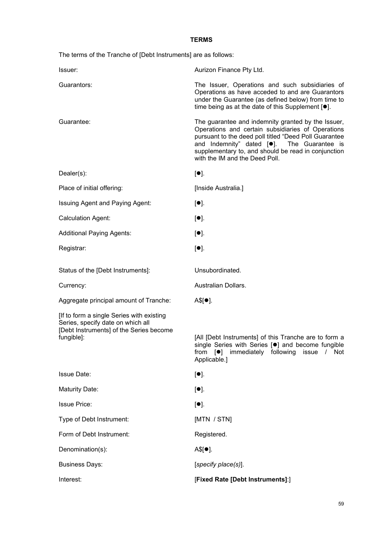## **TERMS**

The terms of the Tranche of [Debt Instruments] are as follows:

| Issuer:                                                                                                                                 | Aurizon Finance Pty Ltd.                                                                                                                                                                                                                                                                                             |
|-----------------------------------------------------------------------------------------------------------------------------------------|----------------------------------------------------------------------------------------------------------------------------------------------------------------------------------------------------------------------------------------------------------------------------------------------------------------------|
| Guarantors:                                                                                                                             | The Issuer, Operations and such subsidiaries of<br>Operations as have acceded to and are Guarantors<br>under the Guarantee (as defined below) from time to<br>time being as at the date of this Supplement $[•]$ .                                                                                                   |
| Guarantee:                                                                                                                              | The guarantee and indemnity granted by the Issuer,<br>Operations and certain subsidiaries of Operations<br>pursuant to the deed poll titled "Deed Poll Guarantee<br>and Indemnity" dated [ <sup>•</sup> ]. The Guarantee is<br>supplementary to, and should be read in conjunction<br>with the IM and the Deed Poll. |
| $Dealer(s)$ :                                                                                                                           | $[•]$ .                                                                                                                                                                                                                                                                                                              |
| Place of initial offering:                                                                                                              | [Inside Australia.]                                                                                                                                                                                                                                                                                                  |
| Issuing Agent and Paying Agent:                                                                                                         | $[•]$ .                                                                                                                                                                                                                                                                                                              |
| <b>Calculation Agent:</b>                                                                                                               | $[•]$ .                                                                                                                                                                                                                                                                                                              |
| <b>Additional Paying Agents:</b>                                                                                                        | $[•]$ .                                                                                                                                                                                                                                                                                                              |
| Registrar:                                                                                                                              | $[•]$ .                                                                                                                                                                                                                                                                                                              |
| Status of the [Debt Instruments]:                                                                                                       | Unsubordinated.                                                                                                                                                                                                                                                                                                      |
| Currency:                                                                                                                               | Australian Dollars.                                                                                                                                                                                                                                                                                                  |
| Aggregate principal amount of Tranche:                                                                                                  | $A$[•]$ .                                                                                                                                                                                                                                                                                                            |
| [If to form a single Series with existing<br>Series, specify date on which all<br>[Debt Instruments] of the Series become<br>fungible]: | [All [Debt Instruments] of this Tranche are to form a<br>single Series with Series [ <sup>o</sup> ] and become fungible<br>immediately following issue<br>from<br>$\lceil \bullet \rceil$<br>/ Not<br>Applicable.]                                                                                                   |
| <b>Issue Date:</b>                                                                                                                      | $[•]$ .                                                                                                                                                                                                                                                                                                              |
| <b>Maturity Date:</b>                                                                                                                   | $[•]$ .                                                                                                                                                                                                                                                                                                              |
| <b>Issue Price:</b>                                                                                                                     | $[•]$ .                                                                                                                                                                                                                                                                                                              |
| Type of Debt Instrument:                                                                                                                | [MTN / STN]                                                                                                                                                                                                                                                                                                          |
| Form of Debt Instrument:                                                                                                                | Registered.                                                                                                                                                                                                                                                                                                          |
| Denomination(s):                                                                                                                        | $A$[•]$ .                                                                                                                                                                                                                                                                                                            |
| <b>Business Days:</b>                                                                                                                   | [specify place(s)].                                                                                                                                                                                                                                                                                                  |
| Interest:                                                                                                                               | [Fixed Rate [Debt Instruments]:]                                                                                                                                                                                                                                                                                     |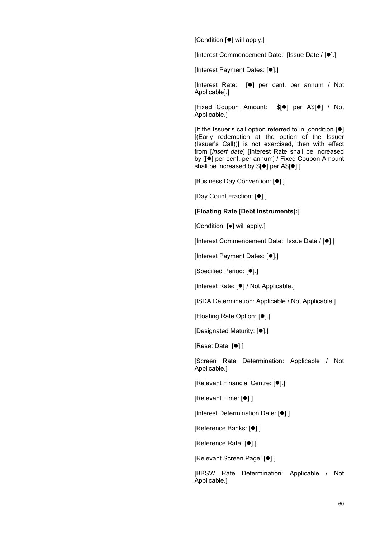[Condition [<sup>●</sup>] will apply.]

[Interest Commencement Date: [Issue Date / [ $\bullet$ ].]

[Interest Payment Dates: [ $\bullet$ ].]

[Interest Rate:  $[•]$  per cent. per annum / Not Applicable].]

[Fixed Coupon Amount: \$[<sup>o</sup>] per A\$[<sup>o</sup>] / Not Applicable.]

[If the Issuer's call option referred to in [condition  $[•]$ ] [(Early redemption at the option of the Issuer (Issuer's Call))] is not exercised, then with effect from [*insert date*] [Interest Rate shall be increased by [[ $\bullet$ ] per cent. per annum] / Fixed Coupon Amount shall be increased by  $[0]$  per A\$[ $[0]$ .]

[Business Day Convention: [ $\bullet$ ].]

[Day Count Fraction: [<sup>0</sup>].]

## **[Floating Rate [Debt Instruments]:**]

[Condition [●] will apply.]

[Interest Commencement Date: Issue Date / [ $\bullet$ ].]

[Interest Payment Dates: [ $\bullet$ ].]

[Specified Period: [<sup>0</sup>].]

[Interest Rate: [<sup>0</sup>] / Not Applicable.]

[ISDA Determination: Applicable / Not Applicable.]

[Floating Rate Option: [<sup>0</sup>].]

[Designated Maturity: [ $\bullet$ ].]

[Reset Date: [ $\bullet$ ].]

[Screen Rate Determination: Applicable / Not Applicable.]

[Relevant Financial Centre: [ $\bullet$ ].]

[Relevant Time: [<sup>o</sup>].]

[Interest Determination Date: [ $\bullet$ ].]

[Reference Banks: [ $\bullet$ ].]

[Reference Rate: [ $\bullet$ ].]

[Relevant Screen Page: [ $\bullet$ ].]

[BBSW Rate Determination: Applicable / Not Applicable.]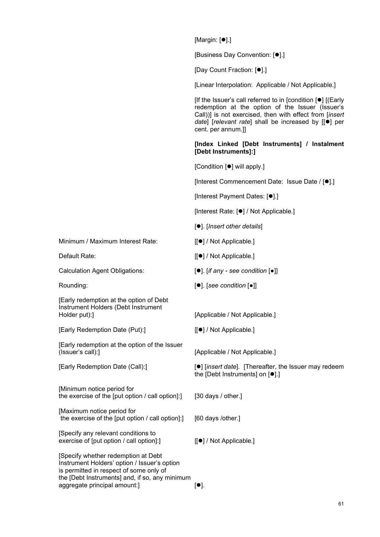$[Margin: [①].]$ 

[Business Day Convention: [●].]

[Day Count Fraction: [ $\bullet$ ].]

[Linear Interpolation: Applicable / Not Applicable.]

[If the Issuer's call referred to in [condition  $[•]$ ] [(Early redemption at the option of the Issuer (Issuer's Call))] is not exercised, then with effect from [*insert date*] [*relevant rate*] shall be increased by [[ $\bullet$ ] per cent. per annum.]]

**[Index Linked [Debt Instruments] / Instalment [Debt Instruments]:]** 

[Condition [ $\bullet$ ] will apply.]

[Interest Commencement Date: Issue Date / [<sup>...]</sup>].]

[Interest Payment Dates: [ $\bullet$ ].]

[Interest Rate: [ $\bullet$ ] / Not Applicable.]

[]. [*Insert other details*]

Minimum / Maximum Interest Rate: [[ $\bullet$ ] / Not Applicable.]

- Default Rate:  $[[\bullet] / Not Applicable.]$ 
	-
- Rounding: []. [*see condition* [●]]

[Early Redemption Date (Call):] **[1]** [*insert date*]. [Thereafter, the Issuer may redeem the [Debt Instruments] on  $[•]$ .]

[Specify any relevant conditions to exercise of [put option / call option]:  $\begin{bmatrix} \bullet \\ \end{bmatrix}$  / Not Applicable.]

[Specify whether redemption at Debt Instrument Holders' option / Issuer's option is permitted in respect of some only of the [Debt Instruments] and, if so, any minimum aggregate principal amount: $]$  [].

Calculation Agent Obligations: **[●]** [*if any - see condition* **[●**]]

[Early redemption at the option of Debt Instrument Holders (Debt Instrument Holder put):] [Applicable / Not Applicable.]

[Early Redemption Date (Put):] [[ $\bullet$ ] / Not Applicable.]

[Early redemption at the option of the Issuer (Issuer's call):] [Applicable / Not Applicable.]

[Minimum notice period for the exercise of the [put option / call option]:] [30 days / other.]

[Maximum notice period for the exercise of the [put option / call option]:] [60 days /other.]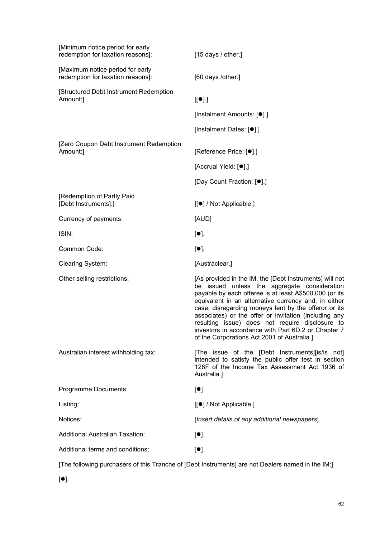| [Minimum notice period for early<br>redemption for taxation reasons]:                             | [15 days / other.]                                                                                                                                                                                                                                                                                                                                                                                                                                                                                  |
|---------------------------------------------------------------------------------------------------|-----------------------------------------------------------------------------------------------------------------------------------------------------------------------------------------------------------------------------------------------------------------------------------------------------------------------------------------------------------------------------------------------------------------------------------------------------------------------------------------------------|
| [Maximum notice period for early<br>redemption for taxation reasons]:                             | [60 days /other.]                                                                                                                                                                                                                                                                                                                                                                                                                                                                                   |
| [Structured Debt Instrument Redemption<br>Amount:]                                                | $[[\bullet]].]$                                                                                                                                                                                                                                                                                                                                                                                                                                                                                     |
|                                                                                                   | [Instalment Amounts: [●].]                                                                                                                                                                                                                                                                                                                                                                                                                                                                          |
|                                                                                                   | [Instalment Dates: [●].]                                                                                                                                                                                                                                                                                                                                                                                                                                                                            |
| [Zero Coupon Debt Instrument Redemption<br>Amount:]                                               | [Reference Price: [●].]                                                                                                                                                                                                                                                                                                                                                                                                                                                                             |
|                                                                                                   | [Accrual Yield: [ <sup>.]</sup> ].]                                                                                                                                                                                                                                                                                                                                                                                                                                                                 |
|                                                                                                   | [Day Count Fraction: [ <sup>●</sup> ].]                                                                                                                                                                                                                                                                                                                                                                                                                                                             |
| [Redemption of Partly Paid<br>[Debt Instruments]:]                                                | [[●] / Not Applicable.]                                                                                                                                                                                                                                                                                                                                                                                                                                                                             |
| Currency of payments:                                                                             | [AUD]                                                                                                                                                                                                                                                                                                                                                                                                                                                                                               |
| ISIN:                                                                                             | $[•]$ .                                                                                                                                                                                                                                                                                                                                                                                                                                                                                             |
| Common Code:                                                                                      | $[•]$ .                                                                                                                                                                                                                                                                                                                                                                                                                                                                                             |
| Clearing System:                                                                                  | [Austraclear.]                                                                                                                                                                                                                                                                                                                                                                                                                                                                                      |
| Other selling restrictions:                                                                       | [As provided in the IM, the [Debt Instruments] will not<br>be issued unless the aggregate consideration<br>payable by each offeree is at least A\$500,000 (or its<br>equivalent in an alternative currency and, in either<br>case, disregarding moneys lent by the offeror or its<br>associates) or the offer or invitation (including any<br>resulting issue) does not require disclosure to<br>investors in accordance with Part 6D.2 or Chapter 7<br>of the Corporations Act 2001 of Australia.] |
| Australian interest withholding tax:                                                              | [The issue of the [Debt Instruments][is/is not]<br>intended to satisfy the public offer test in section<br>128F of the Income Tax Assessment Act 1936 of<br>Australia.]                                                                                                                                                                                                                                                                                                                             |
| Programme Documents:                                                                              | $[\bullet]$ .                                                                                                                                                                                                                                                                                                                                                                                                                                                                                       |
| Listing:                                                                                          | [[●] / Not Applicable.]                                                                                                                                                                                                                                                                                                                                                                                                                                                                             |
| Notices:                                                                                          | [Insert details of any additional newspapers]                                                                                                                                                                                                                                                                                                                                                                                                                                                       |
| <b>Additional Australian Taxation:</b>                                                            | $[•]$ .                                                                                                                                                                                                                                                                                                                                                                                                                                                                                             |
| Additional terms and conditions:                                                                  | $[•]$ .                                                                                                                                                                                                                                                                                                                                                                                                                                                                                             |
| [The following purchasers of this Tranche of [Debt Instruments] are not Dealers named in the IM:] |                                                                                                                                                                                                                                                                                                                                                                                                                                                                                                     |

 $[•]$ .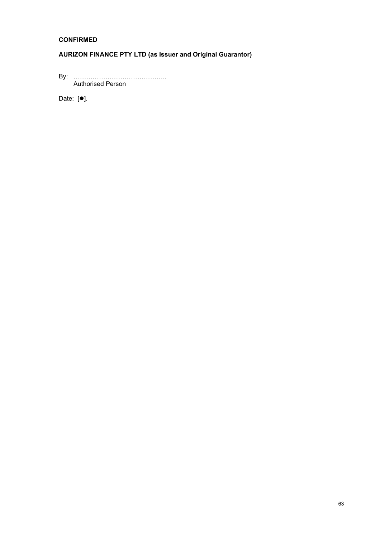## **CONFIRMED**

## **AURIZON FINANCE PTY LTD (as Issuer and Original Guarantor)**

By: ……………………………………… Authorised Person

Date:  $[•]$ .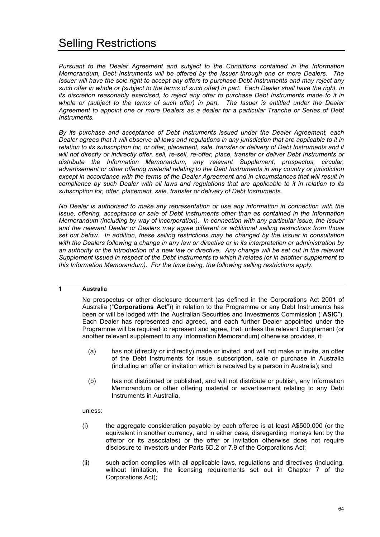*Pursuant to the Dealer Agreement and subject to the Conditions contained in the Information Memorandum, Debt Instruments will be offered by the Issuer through one or more Dealers. The Issuer will have the sole right to accept any offers to purchase Debt Instruments and may reject any such offer in whole or (subject to the terms of such offer) in part. Each Dealer shall have the right, in its discretion reasonably exercised, to reject any offer to purchase Debt Instruments made to it in whole or (subject to the terms of such offer) in part. The Issuer is entitled under the Dealer Agreement to appoint one or more Dealers as a dealer for a particular Tranche or Series of Debt Instruments.* 

*By its purchase and acceptance of Debt Instruments issued under the Dealer Agreement, each Dealer agrees that it will observe all laws and regulations in any jurisdiction that are applicable to it in relation to its subscription for, or offer, placement, sale, transfer or delivery of Debt Instruments and it will not directly or indirectly offer, sell, re-sell, re-offer, place, transfer or deliver Debt Instruments or distribute the Information Memorandum, any relevant Supplement, prospectus, circular, advertisement or other offering material relating to the Debt Instruments in any country or jurisdiction except in accordance with the terms of the Dealer Agreement and in circumstances that will result in compliance by such Dealer with all laws and regulations that are applicable to it in relation to its subscription for, offer, placement, sale, transfer or delivery of Debt Instruments.* 

*No Dealer is authorised to make any representation or use any information in connection with the issue, offering, acceptance or sale of Debt Instruments other than as contained in the Information Memorandum (including by way of incorporation). In connection with any particular issue, the Issuer and the relevant Dealer or Dealers may agree different or additional selling restrictions from those set out below. In addition*, *these selling restrictions may be changed by the Issuer in consultation with the Dealers following a change in any law or directive or in its interpretation or administration by an authority or the introduction of a new law or directive. Any change will be set out in the relevant Supplement issued in respect of the Debt Instruments to which it relates (or in another supplement to this Information Memorandum). For the time being, the following selling restrictions apply.* 

## **1 Australia**

No prospectus or other disclosure document (as defined in the Corporations Act 2001 of Australia ("**Corporations Act**")) in relation to the Programme or any Debt Instruments has been or will be lodged with the Australian Securities and Investments Commission ("**ASIC**"). Each Dealer has represented and agreed, and each further Dealer appointed under the Programme will be required to represent and agree, that, unless the relevant Supplement (or another relevant supplement to any Information Memorandum) otherwise provides, it:

- (a) has not (directly or indirectly) made or invited, and will not make or invite, an offer of the Debt Instruments for issue, subscription, sale or purchase in Australia (including an offer or invitation which is received by a person in Australia); and
- (b) has not distributed or published, and will not distribute or publish, any Information Memorandum or other offering material or advertisement relating to any Debt Instruments in Australia,

unless:

- (i) the aggregate consideration payable by each offeree is at least A\$500,000 (or the equivalent in another currency, and in either case, disregarding moneys lent by the offeror or its associates) or the offer or invitation otherwise does not require disclosure to investors under Parts 6D.2 or 7.9 of the Corporations Act;
- (ii) such action complies with all applicable laws, regulations and directives (including, without limitation, the licensing requirements set out in Chapter 7 of the Corporations Act);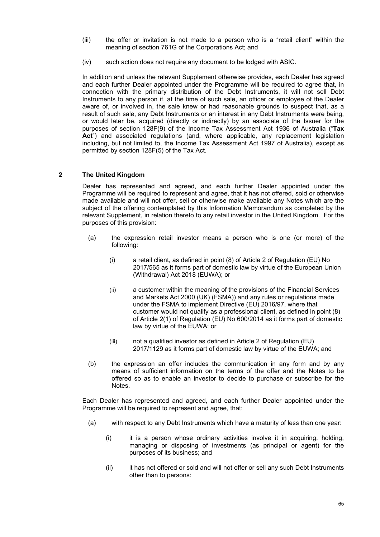- (iii) the offer or invitation is not made to a person who is a "retail client" within the meaning of section 761G of the Corporations Act; and
- (iv) such action does not require any document to be lodged with ASIC.

In addition and unless the relevant Supplement otherwise provides, each Dealer has agreed and each further Dealer appointed under the Programme will be required to agree that, in connection with the primary distribution of the Debt Instruments, it will not sell Debt Instruments to any person if, at the time of such sale, an officer or employee of the Dealer aware of, or involved in, the sale knew or had reasonable grounds to suspect that, as a result of such sale, any Debt Instruments or an interest in any Debt Instruments were being, or would later be, acquired (directly or indirectly) by an associate of the Issuer for the purposes of section 128F(9) of the Income Tax Assessment Act 1936 of Australia ("**Tax Act**") and associated regulations (and, where applicable, any replacement legislation including, but not limited to, the Income Tax Assessment Act 1997 of Australia), except as permitted by section 128F(5) of the Tax Act.

## **2 The United Kingdom**

Dealer has represented and agreed, and each further Dealer appointed under the Programme will be required to represent and agree, that it has not offered, sold or otherwise made available and will not offer, sell or otherwise make available any Notes which are the subject of the offering contemplated by this Information Memorandum as completed by the relevant Supplement, in relation thereto to any retail investor in the United Kingdom. For the purposes of this provision:

- (a) the expression retail investor means a person who is one (or more) of the following:
	- (i) a retail client, as defined in point (8) of Article 2 of Regulation (EU) No 2017/565 as it forms part of domestic law by virtue of the European Union (Withdrawal) Act 2018 (EUWA); or
	- (ii) a customer within the meaning of the provisions of the Financial Services and Markets Act 2000 (UK) (FSMA)) and any rules or regulations made under the FSMA to implement Directive (EU) 2016/97, where that customer would not qualify as a professional client, as defined in point (8) of Article 2(1) of Regulation (EU) No 600/2014 as it forms part of domestic law by virtue of the EUWA; or
	- (iii) not a qualified investor as defined in Article 2 of Regulation (EU) 2017/1129 as it forms part of domestic law by virtue of the EUWA; and
- (b) the expression an offer includes the communication in any form and by any means of sufficient information on the terms of the offer and the Notes to be offered so as to enable an investor to decide to purchase or subscribe for the Notes.

Each Dealer has represented and agreed, and each further Dealer appointed under the Programme will be required to represent and agree, that:

- (a) with respect to any Debt Instruments which have a maturity of less than one year:
	- (i) it is a person whose ordinary activities involve it in acquiring, holding, managing or disposing of investments (as principal or agent) for the purposes of its business; and
	- (ii) it has not offered or sold and will not offer or sell any such Debt Instruments other than to persons: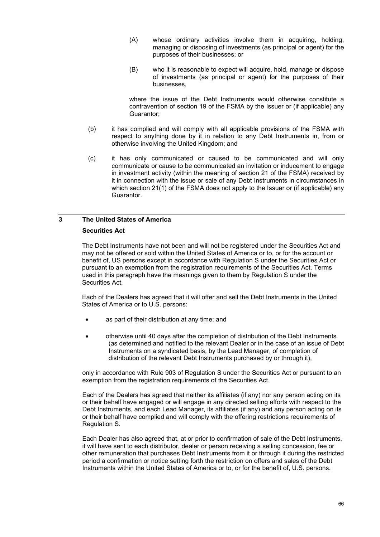- (A) whose ordinary activities involve them in acquiring, holding, managing or disposing of investments (as principal or agent) for the purposes of their businesses; or
- (B) who it is reasonable to expect will acquire, hold, manage or dispose of investments (as principal or agent) for the purposes of their businesses,

where the issue of the Debt Instruments would otherwise constitute a contravention of section 19 of the FSMA by the Issuer or (if applicable) any Guarantor;

- (b) it has complied and will comply with all applicable provisions of the FSMA with respect to anything done by it in relation to any Debt Instruments in, from or otherwise involving the United Kingdom; and
- (c) it has only communicated or caused to be communicated and will only communicate or cause to be communicated an invitation or inducement to engage in investment activity (within the meaning of section 21 of the FSMA) received by it in connection with the issue or sale of any Debt Instruments in circumstances in which section 21(1) of the FSMA does not apply to the Issuer or (if applicable) any Guarantor.

# **3 The United States of America**

## **Securities Act**

The Debt Instruments have not been and will not be registered under the Securities Act and may not be offered or sold within the United States of America or to, or for the account or benefit of, US persons except in accordance with Regulation S under the Securities Act or pursuant to an exemption from the registration requirements of the Securities Act. Terms used in this paragraph have the meanings given to them by Regulation S under the Securities Act.

Each of the Dealers has agreed that it will offer and sell the Debt Instruments in the United States of America or to U.S. persons:

- as part of their distribution at any time; and
- otherwise until 40 days after the completion of distribution of the Debt Instruments (as determined and notified to the relevant Dealer or in the case of an issue of Debt Instruments on a syndicated basis, by the Lead Manager, of completion of distribution of the relevant Debt Instruments purchased by or through it),

only in accordance with Rule 903 of Regulation S under the Securities Act or pursuant to an exemption from the registration requirements of the Securities Act.

Each of the Dealers has agreed that neither its affiliates (if any) nor any person acting on its or their behalf have engaged or will engage in any directed selling efforts with respect to the Debt Instruments, and each Lead Manager, its affiliates (if any) and any person acting on its or their behalf have complied and will comply with the offering restrictions requirements of Regulation S.

Each Dealer has also agreed that, at or prior to confirmation of sale of the Debt Instruments, it will have sent to each distributor, dealer or person receiving a selling concession, fee or other remuneration that purchases Debt Instruments from it or through it during the restricted period a confirmation or notice setting forth the restriction on offers and sales of the Debt Instruments within the United States of America or to, or for the benefit of, U.S. persons.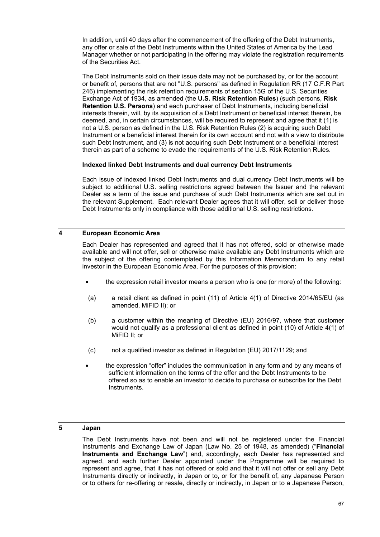In addition, until 40 days after the commencement of the offering of the Debt Instruments, any offer or sale of the Debt Instruments within the United States of America by the Lead Manager whether or not participating in the offering may violate the registration requirements of the Securities Act.

The Debt Instruments sold on their issue date may not be purchased by, or for the account or benefit of, persons that are not "U.S. persons" as defined in Regulation RR (17 C.F.R Part 246) implementing the risk retention requirements of section 15G of the U.S. Securities Exchange Act of 1934, as amended (the **U.S. Risk Retention Rules**) (such persons, **Risk Retention U.S. Persons**) and each purchaser of Debt Instruments, including beneficial interests therein, will, by its acquisition of a Debt Instrument or beneficial interest therein, be deemed, and, in certain circumstances, will be required to represent and agree that it (1) is not a U.S. person as defined in the U.S. Risk Retention Rules (2) is acquiring such Debt Instrument or a beneficial interest therein for its own account and not with a view to distribute such Debt Instrument, and (3) is not acquiring such Debt Instrument or a beneficial interest therein as part of a scheme to evade the requirements of the U.S. Risk Retention Rules.

## **Indexed linked Debt Instruments and dual currency Debt Instruments**

Each issue of indexed linked Debt Instruments and dual currency Debt Instruments will be subject to additional U.S. selling restrictions agreed between the Issuer and the relevant Dealer as a term of the issue and purchase of such Debt Instruments which are set out in the relevant Supplement. Each relevant Dealer agrees that it will offer, sell or deliver those Debt Instruments only in compliance with those additional U.S. selling restrictions.

## **4 European Economic Area**

Each Dealer has represented and agreed that it has not offered, sold or otherwise made available and will not offer, sell or otherwise make available any Debt Instruments which are the subject of the offering contemplated by this Information Memorandum to any retail investor in the European Economic Area. For the purposes of this provision:

- the expression retail investor means a person who is one (or more) of the following:
- (a) a retail client as defined in point (11) of Article 4(1) of Directive 2014/65/EU (as amended, MiFID II); or
- (b) a customer within the meaning of Directive (EU) 2016/97, where that customer would not qualify as a professional client as defined in point (10) of Article 4(1) of MiFID II; or
- (c) not a qualified investor as defined in Regulation (EU) 2017/1129; and
- the expression "offer" includes the communication in any form and by any means of sufficient information on the terms of the offer and the Debt Instruments to be offered so as to enable an investor to decide to purchase or subscribe for the Debt Instruments.

## **5 Japan**

The Debt Instruments have not been and will not be registered under the Financial Instruments and Exchange Law of Japan (Law No. 25 of 1948, as amended) ("**Financial Instruments and Exchange Law**") and, accordingly, each Dealer has represented and agreed, and each further Dealer appointed under the Programme will be required to represent and agree, that it has not offered or sold and that it will not offer or sell any Debt Instruments directly or indirectly, in Japan or to, or for the benefit of, any Japanese Person or to others for re-offering or resale, directly or indirectly, in Japan or to a Japanese Person,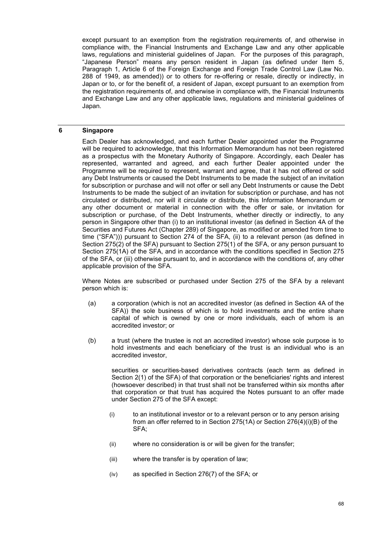except pursuant to an exemption from the registration requirements of, and otherwise in compliance with, the Financial Instruments and Exchange Law and any other applicable laws, regulations and ministerial guidelines of Japan. For the purposes of this paragraph, "Japanese Person" means any person resident in Japan (as defined under Item 5, Paragraph 1, Article 6 of the Foreign Exchange and Foreign Trade Control Law (Law No. 288 of 1949, as amended)) or to others for re-offering or resale, directly or indirectly, in Japan or to, or for the benefit of, a resident of Japan, except pursuant to an exemption from the registration requirements of, and otherwise in compliance with, the Financial Instruments and Exchange Law and any other applicable laws, regulations and ministerial guidelines of Japan.

## **6 Singapore**

Each Dealer has acknowledged, and each further Dealer appointed under the Programme will be required to acknowledge, that this Information Memorandum has not been registered as a prospectus with the Monetary Authority of Singapore. Accordingly, each Dealer has represented, warranted and agreed, and each further Dealer appointed under the Programme will be required to represent, warrant and agree, that it has not offered or sold any Debt Instruments or caused the Debt Instruments to be made the subject of an invitation for subscription or purchase and will not offer or sell any Debt Instruments or cause the Debt Instruments to be made the subject of an invitation for subscription or purchase, and has not circulated or distributed, nor will it circulate or distribute, this Information Memorandum or any other document or material in connection with the offer or sale, or invitation for subscription or purchase, of the Debt Instruments, whether directly or indirectly, to any person in Singapore other than (i) to an institutional investor (as defined in Section 4A of the Securities and Futures Act (Chapter 289) of Singapore, as modified or amended from time to time ("SFA"))) pursuant to Section 274 of the SFA, (ii) to a relevant person (as defined in Section 275(2) of the SFA) pursuant to Section 275(1) of the SFA, or any person pursuant to Section 275(1A) of the SFA, and in accordance with the conditions specified in Section 275 of the SFA, or (iii) otherwise pursuant to, and in accordance with the conditions of, any other applicable provision of the SFA.

Where Notes are subscribed or purchased under Section 275 of the SFA by a relevant person which is:

- (a) a corporation (which is not an accredited investor (as defined in Section 4A of the SFA)) the sole business of which is to hold investments and the entire share capital of which is owned by one or more individuals, each of whom is an accredited investor; or
- (b) a trust (where the trustee is not an accredited investor) whose sole purpose is to hold investments and each beneficiary of the trust is an individual who is an accredited investor,

securities or securities-based derivatives contracts (each term as defined in Section 2(1) of the SFA) of that corporation or the beneficiaries' rights and interest (howsoever described) in that trust shall not be transferred within six months after that corporation or that trust has acquired the Notes pursuant to an offer made under Section 275 of the SFA except:

- (i) to an institutional investor or to a relevant person or to any person arising from an offer referred to in Section 275(1A) or Section 276(4)(i)(B) of the SFA;
- (ii) where no consideration is or will be given for the transfer;
- (iii) where the transfer is by operation of law;
- (iv) as specified in Section 276(7) of the SFA; or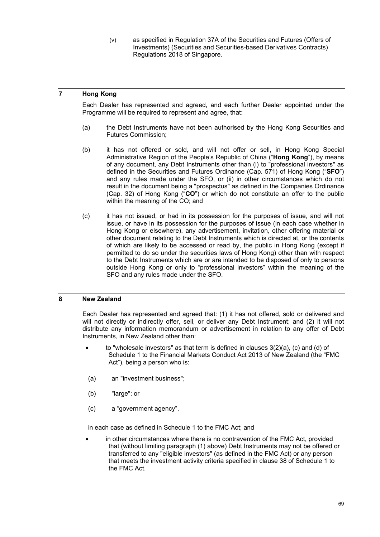(v) as specified in Regulation 37A of the Securities and Futures (Offers of Investments) (Securities and Securities-based Derivatives Contracts) Regulations 2018 of Singapore.

## **7 Hong Kong**

Each Dealer has represented and agreed, and each further Dealer appointed under the Programme will be required to represent and agree, that:

- (a) the Debt Instruments have not been authorised by the Hong Kong Securities and Futures Commission;
- (b) it has not offered or sold, and will not offer or sell, in Hong Kong Special Administrative Region of the People's Republic of China ("Hong Kong"), by means of any document, any Debt Instruments other than (i) to "professional investors" as defined in the Securities and Futures Ordinance (Cap. 571) of Hong Kong ("**SFO**") and any rules made under the SFO, or (ii) in other circumstances which do not result in the document being a "prospectus" as defined in the Companies Ordinance (Cap. 32) of Hong Kong ("**CO**") or which do not constitute an offer to the public within the meaning of the CO; and
- (c) it has not issued, or had in its possession for the purposes of issue, and will not issue, or have in its possession for the purposes of issue (in each case whether in Hong Kong or elsewhere), any advertisement, invitation, other offering material or other document relating to the Debt Instruments which is directed at, or the contents of which are likely to be accessed or read by, the public in Hong Kong (except if permitted to do so under the securities laws of Hong Kong) other than with respect to the Debt Instruments which are or are intended to be disposed of only to persons outside Hong Kong or only to "professional investors" within the meaning of the SFO and any rules made under the SFO.

## **8 New Zealand**

Each Dealer has represented and agreed that: (1) it has not offered, sold or delivered and will not directly or indirectly offer, sell, or deliver any Debt Instrument; and (2) it will not distribute any information memorandum or advertisement in relation to any offer of Debt Instruments, in New Zealand other than:

- to "wholesale investors" as that term is defined in clauses  $3(2)(a)$ , (c) and (d) of Schedule 1 to the Financial Markets Conduct Act 2013 of New Zealand (the "FMC Act"), being a person who is:
- (a) an "investment business";
- (b) "large"; or
- (c) a "government agency",

in each case as defined in Schedule 1 to the FMC Act; and

in other circumstances where there is no contravention of the FMC Act, provided that (without limiting paragraph (1) above) Debt Instruments may not be offered or transferred to any "eligible investors" (as defined in the FMC Act) or any person that meets the investment activity criteria specified in clause 38 of Schedule 1 to the FMC Act.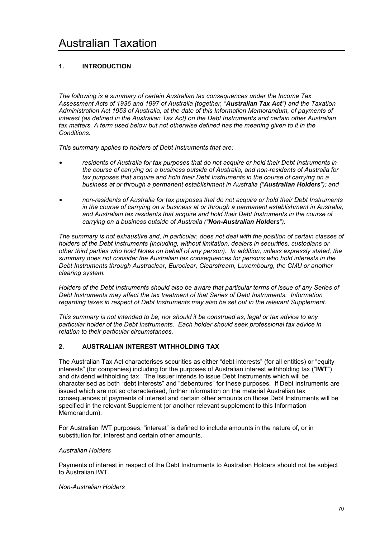## **1. INTRODUCTION**

*The following is a summary of certain Australian tax consequences under the Income Tax Assessment Acts of 1936 and 1997 of Australia (together, "Australian Tax Act") and the Taxation Administration Act 1953 of Australia, at the date of this Information Memorandum, of payments of interest (as defined in the Australian Tax Act) on the Debt Instruments and certain other Australian tax matters. A term used below but not otherwise defined has the meaning given to it in the Conditions.* 

*This summary applies to holders of Debt Instruments that are:* 

- *residents of Australia for tax purposes that do not acquire or hold their Debt Instruments in the course of carrying on a business outside of Australia, and non-residents of Australia for tax purposes that acquire and hold their Debt Instruments in the course of carrying on a business at or through a permanent establishment in Australia ("Australian Holders"); and*
- *non-residents of Australia for tax purposes that do not acquire or hold their Debt Instruments in the course of carrying on a business at or through a permanent establishment in Australia, and Australian tax residents that acquire and hold their Debt Instruments in the course of carrying on a business outside of Australia ("Non-Australian Holders").*

*The summary is not exhaustive and, in particular, does not deal with the position of certain classes of holders of the Debt Instruments (including, without limitation, dealers in securities, custodians or other third parties who hold Notes on behalf of any person). In addition, unless expressly stated, the summary does not consider the Australian tax consequences for persons who hold interests in the Debt Instruments through Austraclear, Euroclear, Clearstream, Luxembourg, the CMU or another clearing system.* 

*Holders of the Debt Instruments should also be aware that particular terms of issue of any Series of Debt Instruments may affect the tax treatment of that Series of Debt Instruments. Information regarding taxes in respect of Debt Instruments may also be set out in the relevant Supplement.* 

*This summary is not intended to be, nor should it be construed as, legal or tax advice to any particular holder of the Debt Instruments. Each holder should seek professional tax advice in relation to their particular circumstances.* 

## **2. AUSTRALIAN INTEREST WITHHOLDING TAX**

The Australian Tax Act characterises securities as either "debt interests" (for all entities) or "equity interests" (for companies) including for the purposes of Australian interest withholding tax ("**IWT**") and dividend withholding tax. The Issuer intends to issue Debt Instruments which will be characterised as both "debt interests" and "debentures" for these purposes. If Debt Instruments are issued which are not so characterised, further information on the material Australian tax consequences of payments of interest and certain other amounts on those Debt Instruments will be specified in the relevant Supplement (or another relevant supplement to this Information Memorandum).

For Australian IWT purposes, "interest" is defined to include amounts in the nature of, or in substitution for, interest and certain other amounts.

## *Australian Holders*

Payments of interest in respect of the Debt Instruments to Australian Holders should not be subject to Australian IWT.

## *Non-Australian Holders*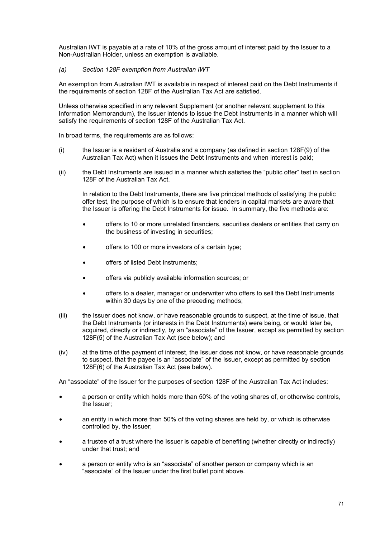Australian IWT is payable at a rate of 10% of the gross amount of interest paid by the Issuer to a Non-Australian Holder, unless an exemption is available.

## *(a) Section 128F exemption from Australian IWT*

An exemption from Australian IWT is available in respect of interest paid on the Debt Instruments if the requirements of section 128F of the Australian Tax Act are satisfied.

Unless otherwise specified in any relevant Supplement (or another relevant supplement to this Information Memorandum), the Issuer intends to issue the Debt Instruments in a manner which will satisfy the requirements of section 128F of the Australian Tax Act.

In broad terms, the requirements are as follows:

- (i) the Issuer is a resident of Australia and a company (as defined in section 128F(9) of the Australian Tax Act) when it issues the Debt Instruments and when interest is paid;
- (ii) the Debt Instruments are issued in a manner which satisfies the "public offer" test in section 128F of the Australian Tax Act.

In relation to the Debt Instruments, there are five principal methods of satisfying the public offer test, the purpose of which is to ensure that lenders in capital markets are aware that the Issuer is offering the Debt Instruments for issue. In summary, the five methods are:

- offers to 10 or more unrelated financiers, securities dealers or entities that carry on the business of investing in securities;
- offers to 100 or more investors of a certain type;
- offers of listed Debt Instruments;
- offers via publicly available information sources; or
- offers to a dealer, manager or underwriter who offers to sell the Debt Instruments within 30 days by one of the preceding methods;
- (iii) the Issuer does not know, or have reasonable grounds to suspect, at the time of issue, that the Debt Instruments (or interests in the Debt Instruments) were being, or would later be, acquired, directly or indirectly, by an "associate" of the Issuer, except as permitted by section 128F(5) of the Australian Tax Act (see below); and
- (iv) at the time of the payment of interest, the Issuer does not know, or have reasonable grounds to suspect, that the payee is an "associate" of the Issuer, except as permitted by section 128F(6) of the Australian Tax Act (see below).

An "associate" of the Issuer for the purposes of section 128F of the Australian Tax Act includes:

- a person or entity which holds more than 50% of the voting shares of, or otherwise controls, the Issuer;
- an entity in which more than 50% of the voting shares are held by, or which is otherwise controlled by, the Issuer;
- a trustee of a trust where the Issuer is capable of benefiting (whether directly or indirectly) under that trust; and
- a person or entity who is an "associate" of another person or company which is an "associate" of the Issuer under the first bullet point above.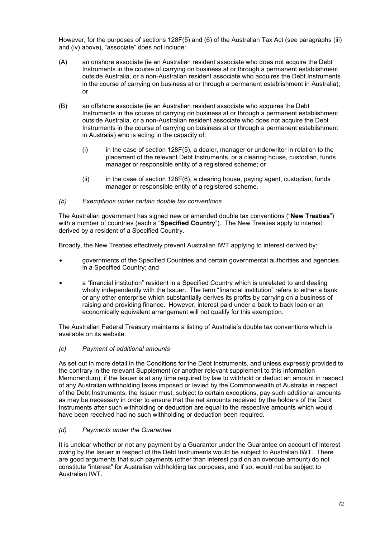However, for the purposes of sections 128F(5) and (6) of the Australian Tax Act (see paragraphs (iii) and (iv) above), "associate" does not include:

- (A) an onshore associate (ie an Australian resident associate who does not acquire the Debt Instruments in the course of carrying on business at or through a permanent establishment outside Australia, or a non-Australian resident associate who acquires the Debt Instruments in the course of carrying on business at or through a permanent establishment in Australia); or
- (B) an offshore associate (ie an Australian resident associate who acquires the Debt Instruments in the course of carrying on business at or through a permanent establishment outside Australia, or a non-Australian resident associate who does not acquire the Debt Instruments in the course of carrying on business at or through a permanent establishment in Australia) who is acting in the capacity of:
	- $(i)$  in the case of section 128F(5), a dealer, manager or underwriter in relation to the placement of the relevant Debt Instruments, or a clearing house, custodian, funds manager or responsible entity of a registered scheme; or
	- $(iii)$  in the case of section 128F(6), a clearing house, paying agent, custodian, funds manager or responsible entity of a registered scheme.

## *(b) Exemptions under certain double tax conventions*

The Australian government has signed new or amended double tax conventions ("**New Treaties**") with a number of countries (each a "**Specified Country**"). The New Treaties apply to interest derived by a resident of a Specified Country.

Broadly, the New Treaties effectively prevent Australian IWT applying to interest derived by:

- governments of the Specified Countries and certain governmental authorities and agencies in a Specified Country; and
- a "financial institution" resident in a Specified Country which is unrelated to and dealing wholly independently with the Issuer. The term "financial institution" refers to either a bank or any other enterprise which substantially derives its profits by carrying on a business of raising and providing finance. However, interest paid under a back to back loan or an economically equivalent arrangement will not qualify for this exemption.

The Australian Federal Treasury maintains a listing of Australia's double tax conventions which is available on its website.

## *(c) Payment of additional amounts*

As set out in more detail in the Conditions for the Debt Instruments, and unless expressly provided to the contrary in the relevant Supplement (or another relevant supplement to this Information Memorandum), if the Issuer is at any time required by law to withhold or deduct an amount in respect of any Australian withholding taxes imposed or levied by the Commonwealth of Australia in respect of the Debt Instruments, the Issuer must, subject to certain exceptions, pay such additional amounts as may be necessary in order to ensure that the net amounts received by the holders of the Debt Instruments after such withholding or deduction are equal to the respective amounts which would have been received had no such withholding or deduction been required.

## *(d) Payments under the Guarantee*

It is unclear whether or not any payment by a Guarantor under the Guarantee on account of interest owing by the Issuer in respect of the Debt Instruments would be subject to Australian IWT. There are good arguments that such payments (other than interest paid on an overdue amount) do not constitute "interest" for Australian withholding tax purposes, and if so, would not be subject to Australian IWT.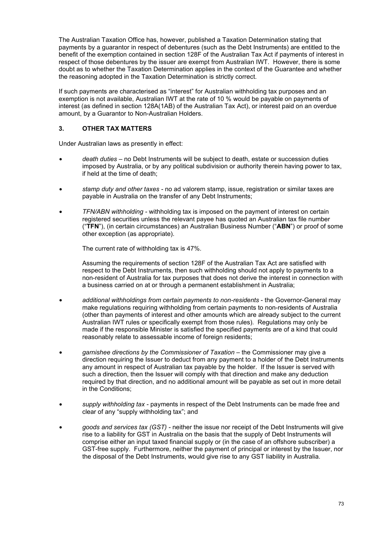The Australian Taxation Office has, however, published a Taxation Determination stating that payments by a guarantor in respect of debentures (such as the Debt Instruments) are entitled to the benefit of the exemption contained in section 128F of the Australian Tax Act if payments of interest in respect of those debentures by the issuer are exempt from Australian IWT. However, there is some doubt as to whether the Taxation Determination applies in the context of the Guarantee and whether the reasoning adopted in the Taxation Determination is strictly correct.

If such payments are characterised as "interest" for Australian withholding tax purposes and an exemption is not available, Australian IWT at the rate of 10 % would be payable on payments of interest (as defined in section 128A(1AB) of the Australian Tax Act), or interest paid on an overdue amount, by a Guarantor to Non-Australian Holders.

# **3. OTHER TAX MATTERS**

Under Australian laws as presently in effect:

- *death duties* no Debt Instruments will be subject to death, estate or succession duties imposed by Australia, or by any political subdivision or authority therein having power to tax, if held at the time of death;
- *stamp duty and other taxes* no ad valorem stamp, issue, registration or similar taxes are payable in Australia on the transfer of any Debt Instruments;
- *TFN/ABN withholding* withholding tax is imposed on the payment of interest on certain registered securities unless the relevant payee has quoted an Australian tax file number ("**TFN**"), (in certain circumstances) an Australian Business Number ("**ABN**") or proof of some other exception (as appropriate).

The current rate of withholding tax is 47%.

Assuming the requirements of section 128F of the Australian Tax Act are satisfied with respect to the Debt Instruments, then such withholding should not apply to payments to a non-resident of Australia for tax purposes that does not derive the interest in connection with a business carried on at or through a permanent establishment in Australia;

- *additional withholdings from certain payments to non-residents* the Governor-General may make regulations requiring withholding from certain payments to non-residents of Australia (other than payments of interest and other amounts which are already subject to the current Australian IWT rules or specifically exempt from those rules). Regulations may only be made if the responsible Minister is satisfied the specified payments are of a kind that could reasonably relate to assessable income of foreign residents;
- garnishee directions by the Commissioner of Taxation the Commissioner may give a direction requiring the Issuer to deduct from any payment to a holder of the Debt Instruments any amount in respect of Australian tax payable by the holder. If the Issuer is served with such a direction, then the Issuer will comply with that direction and make any deduction required by that direction, and no additional amount will be payable as set out in more detail in the Conditions;
- *supply withholding tax* payments in respect of the Debt Instruments can be made free and clear of any "supply withholding tax"; and
- *goods and services tax (GST)* neither the issue nor receipt of the Debt Instruments will give rise to a liability for GST in Australia on the basis that the supply of Debt Instruments will comprise either an input taxed financial supply or (in the case of an offshore subscriber) a GST-free supply. Furthermore, neither the payment of principal or interest by the Issuer, nor the disposal of the Debt Instruments, would give rise to any GST liability in Australia.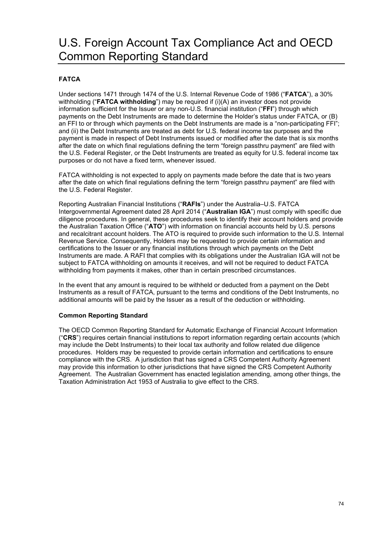# U.S. Foreign Account Tax Compliance Act and OECD Common Reporting Standard

# **FATCA**

Under sections 1471 through 1474 of the U.S. Internal Revenue Code of 1986 ("**FATCA**"), a 30% withholding ("**FATCA withholding**") may be required if (i)(A) an investor does not provide information sufficient for the Issuer or any non-U.S. financial institution ("**FFI**") through which payments on the Debt Instruments are made to determine the Holder's status under FATCA, or (B) an FFI to or through which payments on the Debt Instruments are made is a "non-participating FFI"; and (ii) the Debt Instruments are treated as debt for U.S. federal income tax purposes and the payment is made in respect of Debt Instruments issued or modified after the date that is six months after the date on which final regulations defining the term "foreign passthru payment" are filed with the U.S. Federal Register, or the Debt Instruments are treated as equity for U.S. federal income tax purposes or do not have a fixed term, whenever issued.

FATCA withholding is not expected to apply on payments made before the date that is two years after the date on which final regulations defining the term "foreign passthru payment" are filed with the U.S. Federal Register.

Reporting Australian Financial Institutions ("**RAFIs**") under the Australia–U.S. FATCA Intergovernmental Agreement dated 28 April 2014 ("**Australian IGA**") must comply with specific due diligence procedures. In general, these procedures seek to identify their account holders and provide the Australian Taxation Office ("**ATO**") with information on financial accounts held by U.S. persons and recalcitrant account holders. The ATO is required to provide such information to the U.S. Internal Revenue Service. Consequently, Holders may be requested to provide certain information and certifications to the Issuer or any financial institutions through which payments on the Debt Instruments are made. A RAFI that complies with its obligations under the Australian IGA will not be subject to FATCA withholding on amounts it receives, and will not be required to deduct FATCA withholding from payments it makes, other than in certain prescribed circumstances.

In the event that any amount is required to be withheld or deducted from a payment on the Debt Instruments as a result of FATCA, pursuant to the terms and conditions of the Debt Instruments, no additional amounts will be paid by the Issuer as a result of the deduction or withholding.

## **Common Reporting Standard**

The OECD Common Reporting Standard for Automatic Exchange of Financial Account Information ("**CRS**") requires certain financial institutions to report information regarding certain accounts (which may include the Debt Instruments) to their local tax authority and follow related due diligence procedures. Holders may be requested to provide certain information and certifications to ensure compliance with the CRS. A jurisdiction that has signed a CRS Competent Authority Agreement may provide this information to other jurisdictions that have signed the CRS Competent Authority Agreement. The Australian Government has enacted legislation amending, among other things, the Taxation Administration Act 1953 of Australia to give effect to the CRS.